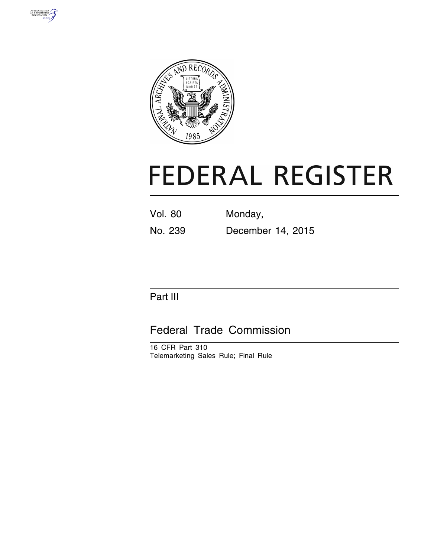



# **FEDERAL REGISTER**

| <b>Vol. 80</b> | Monday,           |
|----------------|-------------------|
| No. 239        | December 14, 2015 |

# Part III

# Federal Trade Commission

16 CFR Part 310 Telemarketing Sales Rule; Final Rule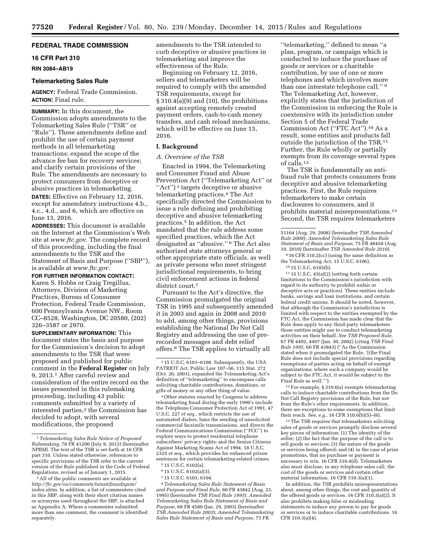#### **FEDERAL TRADE COMMISSION**

#### **16 CFR Part 310**

**RIN 3084–AB19** 

### **Telemarketing Sales Rule**

**AGENCY:** Federal Trade Commission. **ACTION:** Final rule.

**SUMMARY:** In this document, the Commission adopts amendments to the Telemarketing Sales Rule (''TSR'' or ''Rule''). These amendments define and prohibit the use of certain payment methods in all telemarketing transactions; expand the scope of the advance fee ban for recovery services; and clarify certain provisions of the Rule. The amendments are necessary to protect consumers from deceptive or abusive practices in telemarketing. **DATES:** Effective on February 12, 2016, except for amendatory instructions 4.b., 4.c., 4.d., and 6, which are effective on

June 13, 2016. **ADDRESSES:** This document is available on the Internet at the Commission's Web site at *[www.ftc.gov](http://www.ftc.gov)*. The complete record of this proceeding, including the final amendments to the TSR and the Statement of Basis and Purpose ("SBP"), is available at *[www.ftc.gov](http://www.ftc.gov)*.

**FOR FURTHER INFORMATION CONTACT:**  Karen S. Hobbs or Craig Tregillus, Attorneys, Division of Marketing Practices, Bureau of Consumer Protection, Federal Trade Commission, 600 Pennsylvania Avenue NW., Room CC–8528, Washington, DC 20580, (202) 326–3587 or 2970.

**SUPPLEMENTARY INFORMATION:** This document states the basis and purpose for the Commission's decision to adopt amendments to the TSR that were proposed and published for public comment in the **Federal Register** on July 9, 2013.1 After careful review and consideration of the entire record on the issues presented in this rulemaking proceeding, including 43 public comments submitted by a variety of interested parties,<sup>2</sup> the Commission has decided to adopt, with several modifications, the proposed

amendments to the TSR intended to curb deceptive or abusive practices in telemarketing and improve the effectiveness of the Rule.

Beginning on February 12, 2016, sellers and telemarketers will be required to comply with the amended TSR requirements, except for  $§ 310.4(a)(9)$  and (10), the prohibitions against accepting remotely created payment orders, cash-to-cash money transfers, and cash reload mechanisms, which will be effective on June 13, 2016.

#### **I. Background**

#### *A. Overview of the TSR*

Enacted in 1994, the Telemarketing and Consumer Fraud and Abuse Prevention Act (''Telemarketing Act'' or ''Act'') 3 targets deceptive or abusive telemarketing practices.4 The Act specifically directed the Commission to issue a rule defining and prohibiting deceptive and abusive telemarketing practices.5 In addition, the Act mandated that the rule address some specified practices, which the Act designated as ''abusive.'' 6 The Act also authorized state attorneys general or other appropriate state officials, as well as private persons who meet stringent jurisdictional requirements, to bring civil enforcement actions in federal district court.7

Pursuant to the Act's directive, the Commission promulgated the original TSR in 1995 and subsequently amended it in 2003 and again in 2008 and 2010 to add, among other things, provisions establishing the National Do Not Call Registry and addressing the use of prerecorded messages and debt relief offers.8 The TSR applies to virtually all

4Other statutes enacted by Congress to address telemarketing fraud during the early 1990's include the Telephone Consumer Protection Act of 1991, 47 U.S.C. 227 *et seq.,* which restricts the use of automated dialers, bans the sending of unsolicited commercial facsimile transmissions, and directs the Federal Communications Commission (''FCC'') to explore ways to protect residential telephone subscribers' privacy rights; and the Senior Citizens Against Marketing Scams Act of 1994, 18 U.S.C. 2325 *et seq.,* which provides for enhanced prison sentences for certain telemarketing-related crimes.

8*Telemarketing Sales Rule Statement of Basis and Purpose and Final Rule,* 60 FR 43842 (Aug. 23, 1995) (hereinafter *TSR Final Rule 1995*); *Amended Telemarketing Sales Rule Statement of Basis and Purpose,* 68 FR 4580 (Jan. 29, 2003) (hereinafter *TSR Amended Rule 2003*); *Amended Telemarketing Sales Rule Statement of Basis and Purpose,* 73 FR

''telemarketing,'' defined to mean ''a plan, program, or campaign which is conducted to induce the purchase of goods or services or a charitable contribution, by use of one or more telephones and which involves more than one interstate telephone call.'' 9 The Telemarketing Act, however, explicitly states that the jurisdiction of the Commission in enforcing the Rule is coextensive with its jurisdiction under Section 5 of the Federal Trade Commission Act (''FTC Act'').10 As a result, some entities and products fall outside the jurisdiction of the TSR.11 Further, the Rule wholly or partially exempts from its coverage several types of calls.12

The TSR is fundamentally an antifraud rule that protects consumers from deceptive and abusive telemarketing practices. First, the Rule requires telemarketers to make certain disclosures to consumers, and it prohibits material misrepresentations.13 Second, the TSR requires telemarketers

9 16 CFR 310.2(cc) (using the same definition as the Telemarketing Act, 15 U.S.C. 6106).

10 15 U.S.C. 6105(b).

 $^{\rm 11}$  15 U.S.C. 45(a)(2) (setting forth certain limitations to the Commission's jurisdiction with regard to its authority to prohibit unfair or deceptive acts or practices). These entities include banks, savings and loan institutions, and certain federal credit unions. It should be noted, however, that although the Commission's jurisdiction is limited with respect to the entities exempted by the FTC Act, the Commission has made clear that the Rule does apply to any third-party telemarketers those entities might use to conduct telemarketing activities on their behalf. *See TSR Proposed Rule,*  67 FR 4492, 4497 (Jan. 30, 2002) (citing *TSR Final Rule 1995,* 60 FR 43843) (''As the Commission stated when it promulgated the Rule, '[t]he Final Rule does not include special provisions regarding exemptions of parties acting on behalf of exempt organizations; where such a company would be subject to the FTC Act, it would be subject to the Final Rule as well.''').

12For example, § 310.6(a) exempts telemarketing calls to induce charitable contributions from the Do Not Call Registry provisions of the Rule, but not from the Rule's other requirements. In addition, there are exceptions to some exemptions that limit their reach. *See, e.g.,* 16 CFR 310.6(b)(5)–(6).

13The TSR requires that telemarketers soliciting sales of goods or services promptly disclose several key pieces of information: (1) The identity of the seller; (2) the fact that the purpose of the call is to sell goods or services; (3) the nature of the goods or services being offered; and (4) in the case of prize promotions, that no purchase or payment is necessary to win. 16 CFR 310.4(d). Telemarketers also must disclose, in any telephone sales call, the cost of the goods or services and certain other material information. 16 CFR 310.3(a)(1).

In addition, the TSR prohibits misrepresentations about, among other things, the cost and quantity of the offered goods or services. 16 CFR 310.3(a)(2). It also prohibits making false or misleading statements to induce any person to pay for goods or services or to induce charitable contributions. 16 CFR 310.3(a)(4).

<sup>1</sup>*Telemarketing Sales Rule Notice of Proposed Rulemaking,* 78 FR 41200 (July 9, 2013) (hereinafter *NPRM*). The text of the TSR is set forth at 16 CFR part 310. Unless stated otherwise, references to specific provisions of the TSR refer to the current version of the Rule published in the Code of Federal Regulations, revised as of January 1, 2015.

<sup>&</sup>lt;sup>2</sup> All of the public comments are available at *[http://ftc.gov/os/comments/tsrantifraudnprm/](http://ftc.gov/os/comments/tsrantifraudnprm/index.shtm) [index.shtm](http://ftc.gov/os/comments/tsrantifraudnprm/index.shtm)*. In addition, a list of commenters cited in this SBP, along with their short citation names or acronyms used throughout the SBP, is attached as Appendix A. Where a commenter submitted more than one comment, the comment is identified separately.

<sup>3</sup> 15 U.S.C. 6101–6108. Subsequently, the USA PATRIOT Act, Public Law 107–56, 115 Stat. 272 (Oct. 26, 2001), expanded the Telemarketing Act's definition of ''telemarketing'' to encompass calls soliciting charitable contributions, donations, or gifts of money or any other thing of value.

<sup>5</sup> 15 U.S.C. 6102(a).

<sup>6</sup> 15 U.S.C. 6102(a)(3).

<sup>7</sup> 15 U.S.C. 6103, 6104.

<sup>51164 (</sup>Aug. 29, 2008) (hereinafter *TSR Amended Rule 2008*); *Amended Telemarketing Sales Rule Statement of Basis and Purpose,* 75 FR 48458 (Aug. 10, 2010) (hereinafter *TSR Amended Rule 2010*).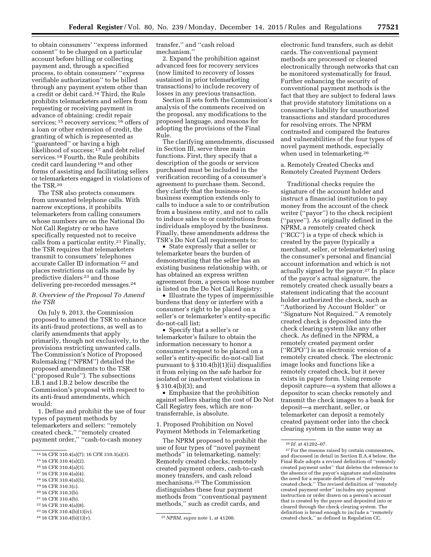to obtain consumers' ''express informed consent'' to be charged on a particular account before billing or collecting payment and, through a specified process, to obtain consumers' ''express verifiable authorization'' to be billed through any payment system other than a credit or debit card.14 Third, the Rule prohibits telemarketers and sellers from requesting or receiving payment in advance of obtaining: credit repair services; 15 recovery services; 16 offers of a loan or other extension of credit, the granting of which is represented as 'guaranteed" or having a high likelihood of success;  $17$  and debt relief services.18 Fourth, the Rule prohibits credit card laundering 19 and other forms of assisting and facilitating sellers or telemarketers engaged in violations of the TSR.20

The TSR also protects consumers from unwanted telephone calls. With narrow exceptions, it prohibits telemarketers from calling consumers whose numbers are on the National Do Not Call Registry or who have specifically requested not to receive calls from a particular entity.21 Finally, the TSR requires that telemarketers transmit to consumers' telephones accurate Caller ID information 22 and places restrictions on calls made by predictive dialers<sup>23</sup> and those delivering pre-recorded messages.24

#### *B. Overview of the Proposal To Amend the TSR*

On July 9, 2013, the Commission proposed to amend the TSR to enhance its anti-fraud protections, as well as to clarify amendments that apply primarily, though not exclusively, to the provisions restricting unwanted calls. The Commission's Notice of Proposed Rulemaking (''NPRM'') detailed the proposed amendments to the TSR (''proposed Rule''). The subsections I.B.1 and I.B.2 below describe the Commission's proposal with respect to its anti-fraud amendments, which would:

1. Define and prohibit the use of four types of payment methods by telemarketers and sellers: ''remotely created check,'' ''remotely created payment order,'' ''cash-to-cash money

- 18 16 CFR 310.4(a)(5). 19 16 CFR 310.3(c).
- 20 16 CFR 310.3(b).
- 21 16 CFR 310.4(b).
- 22 16 CFR 310.4(a)(8).
- 23 16 CFR 310.4(b)(1)(iv).

transfer,'' and ''cash reload mechanism.''

2. Expand the prohibition against advanced fees for recovery services (now limited to recovery of losses sustained in prior telemarketing transactions) to include recovery of losses in any previous transaction.

Section II sets forth the Commission's analysis of the comments received on the proposal, any modifications to the proposed language, and reasons for adopting the provisions of the Final Rule.

The clarifying amendments, discussed in Section III, serve three main functions. First, they specify that a description of the goods or services purchased must be included in the verification recording of a consumer's agreement to purchase them. Second, they clarify that the business-tobusiness exemption extends only to calls to induce a sale to or contribution from a business entity, and not to calls to induce sales to or contributions from individuals employed by the business. Finally, these amendments address the TSR's Do Not Call requirements to:

• State expressly that a seller or telemarketer bears the burden of demonstrating that the seller has an existing business relationship with, or has obtained an express written agreement from, a person whose number is listed on the Do Not Call Registry;

• Illustrate the types of impermissible burdens that deny or interfere with a consumer's right to be placed on a seller's or telemarketer's entity-specific do-not-call list;

• Specify that a seller's or telemarketer's failure to obtain the information necessary to honor a consumer's request to be placed on a seller's entity-specific do-not-call list pursuant to § 310.4(b)(1)(ii) disqualifies it from relying on the safe harbor for isolated or inadvertent violations in § 310.4(b)(3); and

• Emphasize that the prohibition against sellers sharing the cost of Do Not Call Registry fees, which are nontransferrable, is absolute.

1. Proposed Prohibition on Novel Payment Methods in Telemarketing

The NPRM proposed to prohibit the use of four types of ''novel payment methods'' in telemarketing, namely: Remotely created checks, remotely created payment orders, cash-to-cash money transfers, and cash reload mechanisms.25 The Commission distinguishes these four payment methods from ''conventional payment methods,'' such as credit cards, and

electronic fund transfers, such as debit cards. The conventional payment methods are processed or cleared electronically through networks that can be monitored systematically for fraud. Further enhancing the security of conventional payment methods is the fact that they are subject to federal laws that provide statutory limitations on a consumer's liability for unauthorized transactions and standard procedures for resolving errors. The NPRM contrasted and compared the features and vulnerabilities of the four types of novel payment methods, especially when used in telemarketing.26

a. Remotely Created Checks and Remotely Created Payment Orders

Traditional checks require the signature of the account holder and instruct a financial institution to pay money from the account of the check writer (''payor'') to the check recipient (''payee''). As originally defined in the NPRM, a remotely created check (''RCC'') is a type of check which is created by the payee (typically a merchant, seller, or telemarketer) using the consumer's personal and financial account information and which is not actually signed by the payor.27 In place of the payor's actual signature, the remotely created check usually bears a statement indicating that the account holder authorized the check, such as ''Authorized by Account Holder'' or ''Signature Not Required.'' A remotely created check is deposited into the check clearing system like any other check. As defined in the NPRM, a remotely created payment order (''RCPO'') is an electronic version of a remotely created check. The electronic image looks and functions like a remotely created check, but it never exists in paper form. Using remote deposit capture—a system that allows a depositor to scan checks remotely and transmit the check images to a bank for deposit—a merchant, seller, or telemarketer can deposit a remotely created payment order into the check clearing system in the same way as

<sup>14</sup> 16 CFR 310.4(a)(7); 16 CFR 310.3(a)(3).

<sup>15</sup> 16 CFR 310.4(a)(2).

<sup>16</sup> 16 CFR 310.4(a)(3).

<sup>17</sup> 16 CFR 310.4(a)(4).

<sup>24</sup> 16 CFR 310.4(b)(1)(v). 25*NPRM, supra* note 1, at 41200.

<sup>26</sup> *Id.* at 41202–07.

<sup>27</sup>For the reasons raised by certain commenters, and discussed in detail in Section II.A.4 below, the Final Rule adopts a revised definition of ''remotely created payment order'' that deletes the reference to the absence of the payor's signature and eliminates the need for a separate definition of ''remotely created check.'' The revised definition of ''remotely created payment order'' includes any payment instruction or order drawn on a person's account that is created by the payee and deposited into or cleared through the check clearing system. The definition is broad enough to include a ''remotely created check,'' as defined in Regulation CC.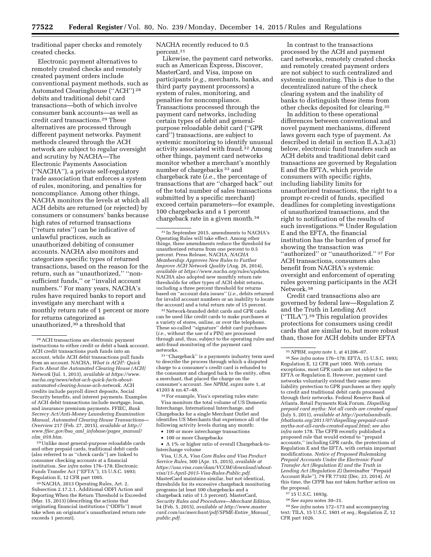traditional paper checks and remotely created checks.

Electronic payment alternatives to remotely created checks and remotely created payment orders include conventional payment methods, such as Automated Clearinghouse (''ACH'') 28 debits and traditional debit card transactions—both of which involve consumer bank accounts—as well as credit card transactions.29 These alternatives are processed through different payment networks. Payment methods cleared through the ACH network are subject to regular oversight and scrutiny by NACHA—The Electronic Payments Association (''NACHA''), a private self-regulatory trade association that enforces a system of rules, monitoring, and penalties for noncompliance. Among other things, NACHA monitors the levels at which all ACH debits are returned (or rejected) by consumers or consumers' banks because high rates of returned transactions (''return rates'') can be indicative of unlawful practices, such as unauthorized debiting of consumer accounts. NACHA also monitors and categorizes specific types of returned transactions, based on the reason for the return, such as ''unauthorized,'' ''nonsufficient funds,'' or ''invalid account numbers.'' For many years, NACHA's rules have required banks to report and investigate any merchant with a monthly return rate of 1 percent or more for returns categorized as unauthorized,<sup>30</sup> a threshold that

29Unlike most general-purpose reloadable cards and other prepaid cards, traditional debit cards (also referred to as ''check cards'') are linked to consumer checking accounts at a financial institution. *See infra* notes 176–178; Electronic Funds Transfer Act (''EFTA''), 15 U.S.C. 1693; Regulation E, 12 CFR part 1005.

30NACHA, 2013 Operating Rules, Art. 2, Subsection 2.17.2.1, Additional ODFI Action and Reporting When the Return Threshold is Exceeded (Mar. 15, 2013) (describing the actions that originating financial institutions (''ODFIs'') must take when an originator's unauthorized return rate exceeds 1 percent).

NACHA recently reduced to 0.5 percent.31

Likewise, the payment card networks, such as American Express, Discover, MasterCard, and Visa, impose on participants (*e.g.,* merchants, banks, and third party payment processors) a system of rules, monitoring, and penalties for noncompliance. Transactions processed through the payment card networks, including certain types of debit and generalpurpose reloadable debit card (''GPR card'') transactions, are subject to systemic monitoring to identify unusual activity associated with fraud.32 Among other things, payment card networks monitor whether a merchant's monthly number of chargebacks 33 and chargeback rate (*i.e.,* the percentage of transactions that are ''charged back'' out of the total number of sales transactions submitted by a specific merchant) exceed certain parameters—for example, 100 chargebacks and a 1 percent chargeback rate in a given month.34

31 In September 2015, amendments to NACHA's Operating Rules will take effect. Among other things, these amendments reduce the threshold for unauthorized returns from one percent to 0.5 percent. Press Release, NACHA, *NACHA Membership Approves New Rules to Further Improve ACH Network Quality* (Aug. 26, 2014), *available at<https://www.nacha.org/rules/updates>*. NACHA also adopted new monthly return rate thresholds for other types of ACH debit returns, including a three percent threshold for returns based on ''account data issues'' (*i.e.,* debits returned for invalid account numbers or an inability to locate the account) and a total return rate of 15 percent.

32Network-branded debit cards and GPR cards can be used like credit cards to make purchases at a variety of stores, online, or over the telephone. These so-called ''signature'' debit card purchases (*i.e.,* without the use of a PIN) are processed through and, thus, subject to the operating rules and anti-fraud monitoring of the payment card networks.

33 ''Chargeback'' is a payments industry term used to describe the process through which a disputed charge to a consumer's credit card is refunded to the consumer and charged back to the entity, often a merchant, that placed the charge on the consumer's account. *See NPRM, supra* note 1, at 41203 & nn.47–48.

34For example, Visa's operating rules state: Visa monitors the total volume of US Domestic Interchange, International Interchange, and Chargebacks for a single Merchant Outlet and identifies US Merchants that experience all of the following activity levels during any month:

• 100 or more interchange transactions

• 100 or more Chargebacks

• A 1% or higher ratio of overall Chargeback-to-Interchange volume

Visa, U.S.A, *Visa Core Rules and Visa Product Service Rules,* 500 (Apr. 15, 2015), *available at [https://usa.visa.com/dam/VCOM/download/about](https://usa.visa.com/dam/VCOM/download/about-visa/15-April-2015-Visa-Rules-Public.pdf)[visa/15-April-2015-Visa-Rules-Public.pdf](https://usa.visa.com/dam/VCOM/download/about-visa/15-April-2015-Visa-Rules-Public.pdf)*. MasterCard maintains similar, but not identical, thresholds for its excessive chargeback monitoring programs (at least 100 chargebacks and a chargeback ratio of 1.5 percent). MasterCard, *Security Rules and Procedures—Merchant Edition,*  54 (Feb. 5, 2015), *available at [http://www.master](http://www.mastercard.com/us/merchant/pdf/SPME-Entire_Manual_public.pdf) [card.com/us/merchant/pdf/SPME-Entire](http://www.mastercard.com/us/merchant/pdf/SPME-Entire_Manual_public.pdf)*\_*Manual*\_ *[public.pdf](http://www.mastercard.com/us/merchant/pdf/SPME-Entire_Manual_public.pdf)*.

In contrast to the transactions processed by the ACH and payment card networks, remotely created checks and remotely created payment orders are not subject to such centralized and systemic monitoring. This is due to the decentralized nature of the check clearing system and the inability of banks to distinguish these items from other checks deposited for clearing.35

In addition to these operational differences between conventional and novel payment mechanisms, different laws govern each type of payment. As described in detail in section II.A.3.a(3) below, electronic fund transfers such as ACH debits and traditional debit card transactions are governed by Regulation E and the EFTA, which provide consumers with specific rights, including liability limits for unauthorized transactions, the right to a prompt re-credit of funds, specified deadlines for completing investigations of unauthorized transactions, and the right to notification of the results of such investigations.36 Under Regulation E and the EFTA, the financial institution has the burden of proof for showing the transaction was ''authorized'' or ''unauthorized.'' 37 For ACH transactions, consumers also benefit from NACHA's systemic oversight and enforcement of operating rules governing participants in the ACH Network.38

Credit card transactions also are governed by federal law—Regulation Z and the Truth in Lending Act (''TILA'').39 This regulation provides protections for consumers using credit cards that are similar to, but more robust than, those for ACH debits under EFTA

36*See infra* notes 176–178; EFTA, 15 U.S.C. 1693; Regulation E, 12 CFR part 1005. With certain exceptions, most GPR cards are not subject to the EFTA or Regulation E. However, payment card networks voluntarily extend their same zero liability protection to GPR purchases as they apply to credit and traditional debit cards processed through their networks. Federal Reserve Bank of Atlanta, Retail Payments Risk Forum, *Dispelling prepaid card myths: Not all cards are created equal*  (July 5, 2011), *available at [http://portalsandrails.](http://portalsandrails.frbatlanta.org/2011/07/dispelling-prepaid-card-myths-not-all-cards-created-equal.html) [frbatlanta.org/2011/07/dispelling-prepaid-card](http://portalsandrails.frbatlanta.org/2011/07/dispelling-prepaid-card-myths-not-all-cards-created-equal.html)[myths-not-all-cards-created-equal.html;](http://portalsandrails.frbatlanta.org/2011/07/dispelling-prepaid-card-myths-not-all-cards-created-equal.html) see also infra* note 178. The CFPB recently published a proposed rule that would extend to ''prepaid accounts,'' including GPR cards, the protections of Regulation E and the EFTA, with certain important modifications. *Notice of Proposed Rulemaking Prepaid Accounts Under the Electronic Fund Transfer Act (Regulation E) and the Truth in Lending Act (Regulation Z)* (hereinafter ''Prepaid Account Rule''), 79 FR 77102 (Dec. 23, 2014). At this time, the CFPB has not taken further action on the proposal.

<sup>37</sup> 15 U.S.C. 1693g.

38*See supra* notes 30–31.

39*See infra* notes 172–173 and accompanying text; TILA, 15 U.S.C. 1601 *et seq.;* Regulation Z, 12 CFR part 1026.

<sup>28</sup>ACH transactions are electronic payment instructions to either credit or debit a bank account. ACH credit transactions push funds into an account, while ACH debit transactions pull funds from an account. NACHA, *What is ACH?: Quick Facts About the Automated Clearing House (ACH) Network* (Jul. 1, 2013), *available at [https://www.](https://www.nacha.org/news/what-ach-quick-facts-about-automated-clearing-house-ach-network) [nacha.org/news/what-ach-quick-facts-about](https://www.nacha.org/news/what-ach-quick-facts-about-automated-clearing-house-ach-network)[automated-clearing-house-ach-network](https://www.nacha.org/news/what-ach-quick-facts-about-automated-clearing-house-ach-network)*. ACH credits include payroll direct deposits, Social Security benefits, and interest payments. Examples of ACH debit transactions include mortgage, loan, and insurance premium payments. FFIEC, *Bank Secrecy Act/Anti-Money Laundering Examination Manual, Automated Clearing House Transactions— Overview* 217 (Feb. 27, 2015), *available at [http://](http://www.ffiec.gov/bsa_aml_infobase/pages_manual/olm_059.htm) [www.ffiec.gov/bsa](http://www.ffiec.gov/bsa_aml_infobase/pages_manual/olm_059.htm)*\_*aml*\_*infobase/pages*\_*manual/ olm*\_*[059.htm](http://www.ffiec.gov/bsa_aml_infobase/pages_manual/olm_059.htm)*.

<sup>35</sup>*NPRM, supra* note 1, at 41206–07.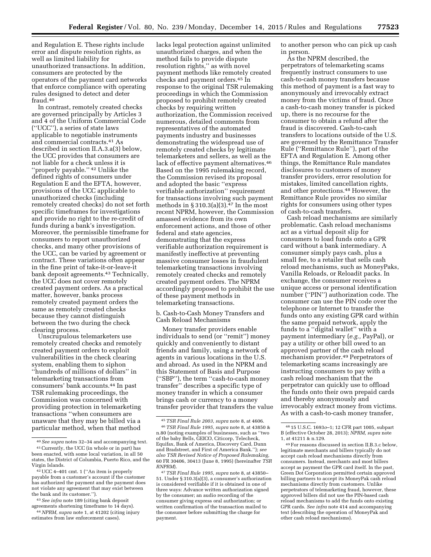and Regulation E. These rights include error and dispute resolution rights, as well as limited liability for unauthorized transactions. In addition, consumers are protected by the operators of the payment card networks that enforce compliance with operating rules designed to detect and deter fraud.40

In contrast, remotely created checks are governed principally by Articles 3 and 4 of the Uniform Commercial Code (''UCC''), a series of state laws applicable to negotiable instruments and commercial contracts.41 As described in section II.A.3.a(3) below, the UCC provides that consumers are not liable for a check unless it is ''properly payable.'' 42 Unlike the defined rights of consumers under Regulation E and the EFTA, however, provisions of the UCC applicable to unauthorized checks (including remotely created checks) do not set forth specific timeframes for investigations and provide no right to the re-credit of funds during a bank's investigation. Moreover, the permissible timeframe for consumers to report unauthorized checks, and many other provisions of the UCC, can be varied by agreement or contract. These variations often appear in the fine print of take-it-or-leave-it bank deposit agreements.43 Technically, the UCC does not cover remotely created payment orders. As a practical matter, however, banks process remotely created payment orders the same as remotely created checks because they cannot distinguish between the two during the check clearing process.

Unscrupulous telemarketers use remotely created checks and remotely created payment orders to exploit vulnerabilities in the check clearing system, enabling them to siphon ''hundreds of millions of dollars'' in telemarketing transactions from consumers' bank accounts.44 In past TSR rulemaking proceedings, the Commission was concerned with providing protection in telemarketing transactions ''when consumers are unaware that they may be billed via a particular method, when that method

44*NPRM, supra* note 1, at 41202 (citing injury estimates from law enforcement cases).

lacks legal protection against unlimited unauthorized charges, and when the method fails to provide dispute resolution rights,'' as with novel payment methods like remotely created checks and payment orders.45 In response to the original TSR rulemaking proceedings in which the Commission proposed to prohibit remotely created checks by requiring written authorization, the Commission received numerous, detailed comments from representatives of the automated payments industry and businesses demonstrating the widespread use of remotely created checks by legitimate telemarketers and sellers, as well as the lack of effective payment alternatives.<sup>46</sup> Based on the 1995 rulemaking record, the Commission revised its proposal and adopted the basic ''express verifiable authorization'' requirement for transactions involving such payment methods in  $\S 310.3(a)(3).47$  In the most recent NPRM, however, the Commission amassed evidence from its own enforcement actions, and those of other federal and state agencies, demonstrating that the express verifiable authorization requirement is manifestly ineffective at preventing massive consumer losses in fraudulent telemarketing transactions involving remotely created checks and remotely created payment orders. The NPRM accordingly proposed to prohibit the use of these payment methods in telemarketing transactions.

b. Cash-to-Cash Money Transfers and Cash Reload Mechanisms

Money transfer providers enable individuals to send (or ''remit'') money quickly and conveniently to distant friends and family, using a network of agents in various locations in the U.S. and abroad. As used in the NPRM and this Statement of Basis and Purpose (''SBP''), the term ''cash-to-cash money transfer'' describes a specific type of money transfer in which a consumer brings cash or currency to a money transfer provider that transfers the value to another person who can pick up cash in person.

As the NPRM described, the perpetrators of telemarketing scams frequently instruct consumers to use cash-to-cash money transfers because this method of payment is a fast way to anonymously and irrevocably extract money from the victims of fraud. Once a cash-to-cash money transfer is picked up, there is no recourse for the consumer to obtain a refund after the fraud is discovered. Cash-to-cash transfers to locations outside of the U.S. are governed by the Remittance Transfer Rule (''Remittance Rule''), part of the EFTA and Regulation E. Among other things, the Remittance Rule mandates disclosures to customers of money transfer providers, error resolution for mistakes, limited cancellation rights, and other protections.48 However, the Remittance Rule provides no similar rights for consumers using other types of cash-to-cash transfers.

Cash reload mechanisms are similarly problematic. Cash reload mechanisms act as a virtual deposit slip for consumers to load funds onto a GPR card without a bank intermediary. A consumer simply pays cash, plus a small fee, to a retailer that sells cash reload mechanisms, such as MoneyPaks, Vanilla Reloads, or Reloadit packs. In exchange, the consumer receives a unique access or personal identification number (''PIN'') authorization code. The consumer can use the PIN code over the telephone or Internet to transfer the funds onto any existing GPR card within the same prepaid network, apply the funds to a ''digital wallet'' with a payment intermediary (*e.g.,* PayPal), or pay a utility or other bill owed to an approved partner of the cash reload mechanism provider.49 Perpetrators of telemarketing scams increasingly are instructing consumers to pay with a cash reload mechanism that the perpetrator can quickly use to offload the funds onto their own prepaid cards and thereby anonymously and irrevocably extract money from victims. As with a cash-to-cash money transfer,

<sup>40</sup>*See supra* notes 32–34 and accompanying text. 41Currently, the UCC (in whole or in part) has been enacted, with some local variation, in all 50 states, the District of Columbia, Puerto Rico, and the Virgin Islands.

<sup>42</sup>UCC 4–401 cmt. 1 (''An item is properly payable from a customer's account if the customer has authorized the payment and the payment does not violate any agreement that may exist between the bank and its customer.'').

<sup>43</sup>*See infra* note 189 (citing bank deposit agreements shortening timeframe to 14 days).

<sup>45</sup>*TSR Final Rule 2003, supra* note 8, at 4606.

<sup>46</sup>*TSR Final Rule 1995, supra* note 8, at 43850 & n.80 (noting examples of businesses, such as ''two of the baby Bells, GEICO, Citicorp, Telecheck, Equifax, Bank of America, Discovery Card, Dunn and Bradstreet, and First of America Bank.''); *see also TSR Revised Notice of Proposed Rulemaking,*  60 FR 30406, 30413 (June 8, 1995) (hereinafter *TSR RNPRM*).

<sup>47</sup>*TSR Final Rule 1995, supra* note 8, at 43850– 51. Under § 310.3(a)(3), a consumer's authorization is considered verifiable if it is obtained in one of three ways: Advance written authorization signed by the consumer; an audio recording of the consumer giving express oral authorization; or written confirmation of the transaction mailed to the consumer before submitting the charge for payment.

<sup>48</sup> 15 U.S.C. 1693*o*–1; 12 CFR part 1005, subpart B (effective October 28, 2013); *NPRM, supra* note 1, at 41211 & n.129.

<sup>49</sup>For reasons discussed in section II.B.3.c below, legitimate merchants and billers typically do not accept cash reload mechanisms directly from consumers. Instead, merchants and most billers accept as payment the GPR card itself. In the past, Green Dot Corporation permitted certain approved billing partners to accept its MoneyPak cash reload mechanisms directly from customers. Unlike perpetrators of telemarketing fraud, however, these approved billers did not use the PIN-based cash reload mechanisms to add the funds onto existing GPR cards. *See infra* note 414 and accompanying text (describing the operation of MoneyPak and other cash reload mechanisms).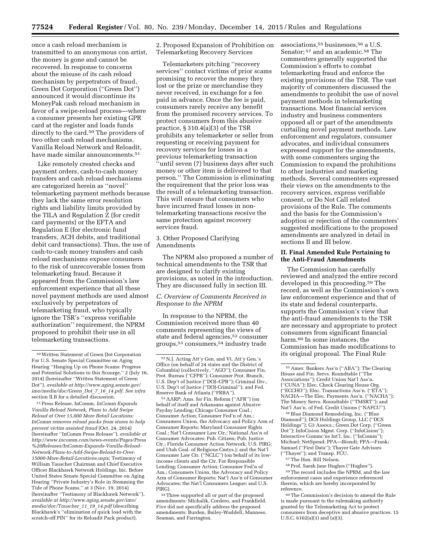once a cash reload mechanism is transmitted to an anonymous con artist, the money is gone and cannot be recovered. In response to concerns about the misuse of its cash reload mechanism by perpetrators of fraud, Green Dot Corporation (''Green Dot'') announced it would discontinue its MoneyPak cash reload mechanism in favor of a swipe-reload process—where a consumer presents her existing GPR card at the register and loads funds directly to the card.<sup>50</sup> The providers of two other cash reload mechanisms, Vanilla Reload Network and Reloadit, have made similar announcements.51

Like remotely created checks and payment orders, cash-to-cash money transfers and cash reload mechanisms are categorized herein as ''novel'' telemarketing payment methods because they lack the same error resolution rights and liability limits provided by the TILA and Regulation Z (for credit card payments) or the EFTA and Regulation E (for electronic fund transfers, ACH debits, and traditional debit card transactions). Thus, the use of cash-to-cash money transfers and cash reload mechanisms expose consumers to the risk of unrecoverable losses from telemarketing fraud. Because it appeared from the Commission's law enforcement experience that all these novel payment methods are used almost exclusively by perpetrators of telemarketing fraud, who typically ignore the TSR's ''express verifiable authorization'' requirement, the NPRM proposed to prohibit their use in all telemarketing transactions.

51Press Release, InComm, *InComm Expands Vanilla Reload Network, Plans to Add Swipe Reload at Over 15,000 More Retail Locations: InComm removes reload packs from stores to help prevent victim assisted fraud* (Oct. 24, 2014) (hereinafter ''InComm Press Release''), *available at [http://www.incomm.com/news-events/Pages/Press](http://www.incomm.com/news-events/Pages/Press%20Releases/InComm-Expands-Vanilla-Reload-Network-Plans-to-Add-Swipe-Reload-to-Over-15000-More-Retail-Locations.aspx) [%20Releases/InComm-Expands-Vanilla-Reload-](http://www.incomm.com/news-events/Pages/Press%20Releases/InComm-Expands-Vanilla-Reload-Network-Plans-to-Add-Swipe-Reload-to-Over-15000-More-Retail-Locations.aspx)[Network-Plans-to-Add-Swipe-Reload-to-Over-](http://www.incomm.com/news-events/Pages/Press%20Releases/InComm-Expands-Vanilla-Reload-Network-Plans-to-Add-Swipe-Reload-to-Over-15000-More-Retail-Locations.aspx)[15000-More-Retail-Locations.aspx](http://www.incomm.com/news-events/Pages/Press%20Releases/InComm-Expands-Vanilla-Reload-Network-Plans-to-Add-Swipe-Reload-to-Over-15000-More-Retail-Locations.aspx)*; Testimony of William Tauscher Chairman and Chief Executive Officer Blackhawk Network Holdings, Inc. Before United States Senate Special Committee on Aging Hearing ''Private Industry's Role in Stemming the Tide of Phone Scams,'' at 3 (Nov. 19, 2014) (hereinafter ''Testimony of Blackhawk Network''), *available at [http://www.aging.senate.gov/imo/](http://www.aging.senate.gov/imo/media/doc/Tauscher_11_19_14.pdf) [media/doc/Tauscher](http://www.aging.senate.gov/imo/media/doc/Tauscher_11_19_14.pdf)*\_*11*\_*19*\_*14.pdf* (describing Blackhawk's ''elimination of quick load with the scratch-off PIN'' for its Reloadit Pack product).

2. Proposed Expansion of Prohibition on Telemarketing Recovery Services

Telemarketers pitching ''recovery services'' contact victims of prior scams promising to recover the money they lost or the prize or merchandise they never received, in exchange for a fee paid in advance. Once the fee is paid, consumers rarely receive any benefit from the promised recovery services. To protect consumers from this abusive practice, § 310.4(a)(3) of the TSR prohibits any telemarketer or seller from requesting or receiving payment for recovery services for losses in a previous telemarketing transaction 'until seven (7) business days after such money or other item is delivered to that person.'' The Commission is eliminating the requirement that the prior loss was the result of a telemarketing transaction. This will ensure that consumers who have incurred fraud losses in nontelemarketing transactions receive the same protection against recovery services fraud.

#### 3. Other Proposed Clarifying Amendments

The NPRM also proposed a number of technical amendments to the TSR that are designed to clarify existing provisions, as noted in the introduction. They are discussed fully in section III.

#### *C. Overview of Comments Received in Response to the NPRM*

In response to the NPRM, the Commission received more than 40 comments representing the views of state and federal agencies,52 consumer groups,53 consumers,54 industry trade

53AARP; Ams. for Fin. Reform (''AFR'') (on behalf of itself and Arkansans against Abusive Payday Lending; Chicago Consumer Coal.; Consumer Action; Consumer Fed'n of Am.; Consumers Union, the Advocacy and Policy Arm of Consumer Reports; Maryland Consumer Rights Coal.; Nat'l Consumer Law Ctr.; National Ass'n of Consumer Advocates; Pub. Citizen; Pub. Justice Ctr.; Florida Consumer Action Network; U.S. PIRG; and Utah Coal. of Religious Cmtys.); and the Nat'l Consumer Law Ctr. (''NCLC'') (on behalf of its lowincome clients and the Ctr. For Responsible Lending; Consumer Action; Consumer Fed'n of Am.; Consumers Union, the Advocacy and Policy Arm of Consumer Reports; Nat'l Ass'n of Consumer Advocates; the Nat'l Consumers League; and U.S. PIRG).

54Three supported all or part of the proposed amendments: Michalik, Cordero, and Frankfield. Five did not specifically address the proposed amendments: Burden, Bailey-Waddell, Manness, Seaman, and Farrington.

associations,55 businesses,56 a U.S. Senator; <sup>57</sup> and an academic.<sup>58</sup> The commenters generally supported the Commission's efforts to combat telemarketing fraud and enforce the existing provisions of the TSR. The vast majority of commenters discussed the amendments to prohibit the use of novel payment methods in telemarketing transactions. Most financial services industry and business commenters opposed all or part of the amendments curtailing novel payment methods. Law enforcement and regulators, consumer advocates, and individual consumers expressed support for the amendments, with some commenters urging the Commission to expand the prohibitions to other industries and marketing methods. Several commenters expressed their views on the amendments to the recovery services, express verifiable consent, or Do Not Call related provisions of the Rule. The comments and the basis for the Commission's adoption or rejection of the commenters' suggested modifications to the proposed amendments are analyzed in detail in sections II and III below.

#### **II. Final Amended Rule Pertaining to the Anti-Fraud Amendments**

The Commission has carefully reviewed and analyzed the entire record developed in this proceeding.59 The record, as well as the Commission's own law enforcement experience and that of its state and federal counterparts, supports the Commission's view that the anti-fraud amendments to the TSR are necessary and appropriate to protect consumers from significant financial harm.60 In some instances, the Commission has made modifications to its original proposal. The Final Rule

56Blue Diamond Remodeling, Inc. (''Blue Diamond''); DCS Holdings Group, LLC (''DCS Holdings''); G3 Assocs.; Green Dot Corp. (''Green Dot''); InfoCision Mgmt. Corp. (''InfoCision''); Interactive Commc'ns Int'l, Inc. (''InComm''); Michael; NetSpend; PPA—Biondi; PPA—Frank; Samuel (''First Data''); Thayer Gate Advisors (''Thayer''); and Transp. FCU.

57The Hon. Bill Nelson.

58Prof. Sarah Jane Hughes (''Hughes'').

 $^{59}\mathrm{The~record~includes~the~NPRM,}$  and the law enforcement cases and experience referenced therein, which are hereby incorporated by reference.

60The Commission's decision to amend the Rule is made pursuant to the rulemaking authority granted by the Telemarketing Act to protect consumers from deceptive and abusive practices. 15 U.S.C.  $6102(a)(1)$  and  $(a)(3)$ .

<sup>50</sup>Written Statement of Green Dot Corporation For U.S. Senate Special Committee on Aging Hearing ''Hanging Up on Phone Scams: Progress and Potential Solutions to this Scourge,'' 2 (July 16, 2014) (hereinafter ''Written Statement of Green Dot''), *available at [http://www.aging.senate.gov/](http://www.aging.senate.gov/imo/media/doc/Green_Dot_7_16_14.pdf) [imo/media/doc/Green](http://www.aging.senate.gov/imo/media/doc/Green_Dot_7_16_14.pdf)*\_*Dot*\_*7*\_*16*\_*14.pdf. See infra*  section II.B for a detailed discussion.

<sup>52</sup>N.J. Acting Att'y Gen. and Vt. Att'y Gen.'s Office (on behalf of 24 states and the District of Columbia) (collectively, ''AGO''); Consumer Fin. Prot. Bureau (''CFPB''); Consumer Prot. Branch, U.S. Dep't of Justice (''DOJ–CPB''); Criminal Div., U.S. Dep't of Justice (''DOJ-Criminal''); and Fed. Reserve Bank of Atlanta (''FRBA'').

<sup>55</sup>Amer. Bankers Ass'n (''ABA''); The Clearing House and Fin. Servs. Roundtable (''The Associations''); Credit Union Nat'l Ass'n. (''CUNA''); Elec. Check Clearing House Org. (''ECCHO''); Elec. Transactions Ass'n. (''ETA''); NACHA—The Elec. Payments Ass'n. (''NACHA''); The Money Servs. Roundtable (''TMSRT''); and Nat'l Ass'n. of Fed. Credit Unions (''NAFCU'').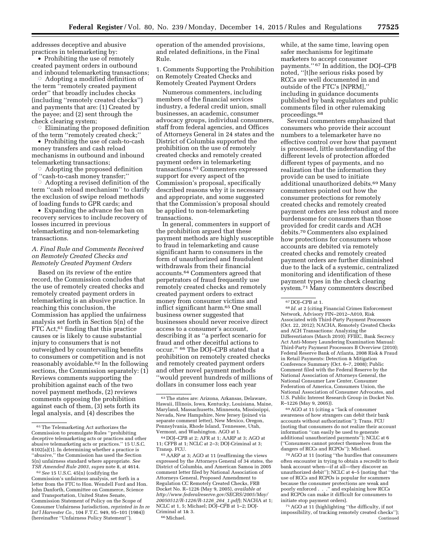addresses deceptive and abusive practices in telemarketing by:

• Prohibiting the use of remotely created payment orders in outbound and inbound telemarketing transactions; Æ

 Adopting a modified definition of the term ''remotely created payment order'' that broadly includes checks (including ''remotely created checks'') and payments that are: (1) Created by the payee; and (2) sent through the check clearing system;

 $\circ$  Eliminating the proposed definition of the term ''remotely created check;''

• Prohibiting the use of cash-to-cash money transfers and cash reload mechanisms in outbound and inbound telemarketing transactions;

 $\circ$  Adopting the proposed definition of ''cash-to-cash money transfer;''

 $\circ$  Adopting a revised definition of the term ''cash reload mechanism'' to clarify the exclusion of swipe reload methods of loading funds to GPR cards; and

• Expanding the advance fee ban on recovery services to include recovery of losses incurred in previous telemarketing and non-telemarketing transactions.

#### *A. Final Rule and Comments Received on Remotely Created Checks and Remotely Created Payment Orders*

Based on its review of the entire record, the Commission concludes that the use of remotely created checks and remotely created payment orders in telemarketing is an abusive practice. In reaching this conclusion, the Commission has applied the unfairness analysis set forth in Section 5(n) of the FTC Act,<sup>61</sup> finding that this practice causes or is likely to cause substantial injury to consumers that is not outweighed by countervailing benefits to consumers or competition and is not reasonably avoidable.62 In the following sections, the Commission separately: (1) Reviews comments supporting the prohibition against each of the two novel payment methods, (2) reviews comments opposing the prohibition against each of them, (3) sets forth its legal analysis, and (4) describes the

operation of the amended provisions, and related definitions, in the Final Rule.

1. Comments Supporting the Prohibition on Remotely Created Checks and Remotely Created Payment Orders

Numerous commenters, including members of the financial services industry, a federal credit union, small businesses, an academic, consumer advocacy groups, individual consumers, staff from federal agencies, and Offices of Attorneys General in 24 states and the District of Columbia supported the prohibition on the use of remotely created checks and remotely created payment orders in telemarketing transactions.63 Commenters expressed support for every aspect of the Commission's proposal, specifically described reasons why it is necessary and appropriate, and some suggested that the Commission's proposal should be applied to non-telemarketing transactions.

In general, commenters in support of the prohibition argued that these payment methods are highly susceptible to fraud in telemarketing and cause significant harm to consumers in the form of unauthorized and fraudulent withdrawals from their financial accounts.64 Commenters agreed that perpetrators of fraud frequently use remotely created checks and remotely created payment orders to extract money from consumer victims and inflict significant harm.65 One small business owner suggested that businesses should never receive direct access to a consumer's account, describing it as ''a perfect scenario for fraud and other deceitful actions to occur.'' 66 The DOJ–CPB stated that a prohibition on remotely created checks and remotely created payment orders and other novel payment methods ''would prevent hundreds of millions of dollars in consumer loss each year

64 DOJ–CPB at 2; AFR at 1; AARP at 3; AGO at 11; CFPB at 1; NCLC at 2–3; DOJ-Criminal at 3; Transp. FCU.

65AARP at 3; AGO at 11 (reaffirming the views expressed by the Attorneys General of 34 states, the District of Columbia, and American Samoa in 2005 comment letter filed by National Association of Attorneys General, Proposed Amendment to Regulation CC Remotely Created Checks, FRB Docket No. R–1226 (May 9, 2005), *available at [http://www.federalreserve.gov/SECRS/2005/May/](http://www.federalreserve.gov/SECRS/2005/May/20050512/R-1226/R-1226_264_1.pdf) [20050512/R-1226/R-1226](http://www.federalreserve.gov/SECRS/2005/May/20050512/R-1226/R-1226_264_1.pdf)*\_*264*\_*1.pdf*); NACHA at 1; NCLC at 1, 5; Michael; DOJ–CPB at 1–2; DOJ-Criminal at 1& 3. 66Michael.

while, at the same time, leaving open safer mechanisms for legitimate marketers to accept consumer payments.'' 67 In addition, the DOJ–CPB noted, ''[t]he serious risks posed by RCCs are well documented in and outside of the FTC's [NPRM],'' including in guidance documents published by bank regulators and public comments filed in other rulemaking proceedings.68

Several commenters emphasized that consumers who provide their account numbers to a telemarketer have no effective control over how that payment is processed, little understanding of the different levels of protection afforded different types of payments, and no realization that the information they provide can be used to initiate additional unauthorized debits.69 Many commenters pointed out how the consumer protections for remotely created checks and remotely created payment orders are less robust and more burdensome for consumers than those provided for credit cards and ACH debits.70 Commenters also explained how protections for consumers whose accounts are debited via remotely created checks and remotely created payment orders are further diminished due to the lack of a systemic, centralized monitoring and identification of these payment types in the check clearing system.71 Many commenters described

68 *Id.* at 2 (citing Financial Crimes Enforcement Network, Advisory FIN–2012–A010, Risk Associated with Third-Party Payment Processors (Oct. 22, 2012); NACHA, Remotely Created Checks and ACH Transactions: Analyzing the Differentiators (March 2010); FFIEC, Bank Secrecy Act Anti-Money Laundering Examination Manual: Third-Party Payment Processors B Overview (2010); Federal Reserve Bank of Atlanta, 2008 Risk & Fraud in Retail Payments: Detection & Mitigation Conference Summary (Oct. 6–7, 2008); Public Comment filed with the Federal Reserve by the National Association of Attorneys General, the National Consumer Law Center, Consumer Federation of America, Consumers Union, the National Association of Consumer Advocates, and U.S. Public Interest Research Group in Docket No. R–1226 (May 9, 2005)).

69AGO at 11 (citing a ''lack of consumer awareness of how strangers can debit their bank accounts without authorization''); Trans. FCU (noting that consumers do not realize their account information ''can easily be used to generate additional unauthorized payments''); NCLC at 6 (''Consumers cannot protect themselves from the dangers of RCCs and RCPOs''); Michael.

70AGO at 11 (noting ''the hurdles that consumers often encounter in trying to obtain a recredit to their bank account when—if at all—they discover an unauthorized debit''); NCLC at 4–5 (noting that ''the use of RCCs and RCPOs is popular for scammers because the consumer protections are weak and poorly enforced . . .'' and explaining how RCCs and RCPOs can make it difficult for consumers to initiate stop payment orders).

71AGO at 11 (highlighting ''the difficulty, if not impossibility, of tracking remotely created checks''); Continued

<sup>61</sup>The Telemarketing Act authorizes the Commission to promulgate Rules ''prohibiting deceptive telemarketing acts or practices and other abusive telemarketing acts or practices.'' 15 U.S.C. 6102(a)(1). In determining whether a practice is ''abusive,'' the Commission has used the Section 5(n) unfairness standard where appropriate. *See TSR Amended Rule 2003, supra* note 8, at 4614.

<sup>62</sup>*See* 15 U.S.C. 45(n) (codifying the Commission's unfairness analysis, set forth in a letter from the FTC to Hon. Wendell Ford and Hon. John Danforth, Committee on Commerce, Science and Transportation, United States Senate, Commission Statement of Policy on the Scope of Consumer Unfairness Jurisdiction, *reprinted in In re Int'l Harvester Co.,* 104 F.T.C. 949, 95–101 (1984)) (hereinafter ''Unfairness Policy Statement'').

<sup>63</sup>The states are: Arizona, Arkansas, Delaware, Hawaii, Illinois, Iowa, Kentucky, Louisiana, Maine, Maryland, Massachusetts, Minnesota, Mississippi, Nevada, New Hampshire, New Jersey (joined via separate comment letter), New Mexico, Oregon, Pennsylvania, Rhode Island, Tennessee, Utah, Vermont, and Washington. AGO at 1.

<sup>67</sup> DOJ–CPB at 1.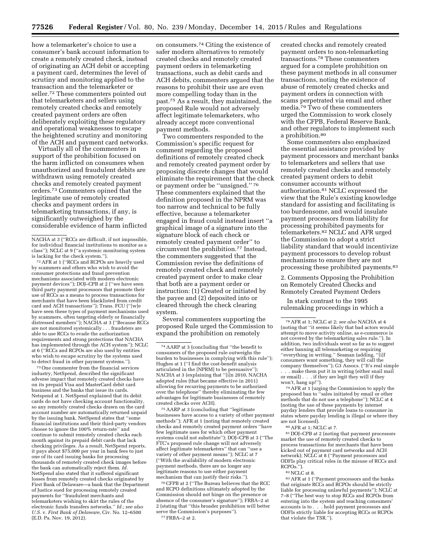how a telemarketer's choice to use a consumer's bank account information to create a remotely created check, instead of originating an ACH debit or accepting a payment card, determines the level of scrutiny and monitoring applied to the transaction and the telemarketer or seller.72 These commenters pointed out that telemarketers and sellers using remotely created checks and remotely created payment orders are often deliberately exploiting these regulatory and operational weaknesses to escape the heightened scrutiny and monitoring of the ACH and payment card networks.

Virtually all of the commenters in support of the prohibition focused on the harm inflicted on consumers when unauthorized and fraudulent debits are withdrawn using remotely created checks and remotely created payment orders.73 Commenters opined that the legitimate use of remotely created checks and payment orders in telemarketing transactions, if any, is significantly outweighed by the considerable evidence of harm inflicted

<sup>72</sup> AFR at 1 ("RCCs and RCPOs are heavily used by scammers and others who wish to avoid the consumer protections and fraud prevention mechanisms associated with modern electronic payment devices''); DOJ–CPB at 2 (''we have seen third party payment processors that promote their use of RCCs as a means to process transactions for merchants that have been blacklisted from credit card and ACH transactions''); Trans. FCU (''[w]e have seen these types of payment mechanisms used by scammers, often targeting elderly or financially distressed members''); NACHA at 3 (''Because RCCs are not monitored systemically . . . fraudsters are able to use RCCs to evade the authorization requirements and strong protections that NACHA has implemented through the ACH system''); NCLC at 6 (''RCCs and RCPOs are also used by entities who wish to escape scrutiny by the systems used to detect fraud in other payment systems.'').

73One commenter from the financial services industry, NetSpend, described the significant adverse impact that remotely created checks have on its prepaid Visa and MasterCard debit card business and the banks that issue its cards. Netspend at 1. NetSpend explained that its debit cards do not have checking account functionality, so any remotely created checks drawn on the card account number are automatically returned unpaid by the issuing bank. NetSpend states that ''some financial institutions and their third-party vendors choose to ignore the 100% return-rate'' and continue to submit remotely created checks each month against its prepaid debit cards that lack checking privileges. As a result, NetSpend reports, it pays about \$75,000 per year in bank fees to just one of its card issuing banks for processing thousands of remotely created check images before the bank can automatically reject them. *Id.*  NetSpend also stated that it suffered significant losses from remotely created checks originated by First Bank of Delaware—a bank that the Department of Justice sued for processing remotely created payments for ''fraudulent merchants and telemarketers wishing to skirt the rules of the electronic funds transfers networks.'' *Id.; see also U.S.* v. *First Bank of Delaware,* Civ. No. 12–6500 (E.D. Pa. Nov. 19, 2012).

on consumers.74 Citing the existence of safer modern alternatives to remotely created checks and remotely created payment orders in telemarketing transactions, such as debit cards and ACH debits, commenters argued that the reasons to prohibit their use are even more compelling today than in the past.75 As a result, they maintained, the proposed Rule would not adversely affect legitimate telemarketers, who already accept more conventional payment methods.

Two commenters responded to the Commission's specific request for comment regarding the proposed definitions of remotely created check and remotely created payment order by proposing discrete changes that would eliminate the requirement that the check or payment order be ''unsigned.'' 76 These commenters explained that the definition proposed in the NPRM was too narrow and technical to be fully effective, because a telemarketer engaged in fraud could instead insert ''a graphical image of a signature into the signature block of each check or remotely created payment order'' to circumvent the prohibition.77 Instead, the commenters suggested that the Commission revise the definitions of remotely created check and remotely created payment order to make clear that both are a payment order or instruction: (1) Created or initiated by the payee and (2) deposited into or cleared through the check clearing system.

Several commenters supporting the proposed Rule urged the Commission to expand the prohibition on remotely

75AARP at 3 (concluding that ''legitimate businesses have access to a variety of other payment methods''); AFR at 1 (noting that remotely created checks and remotely created payment orders ''have few legitimate uses for which other payment systems could not substitute''); DOJ–CPB at 3 (''The FTC's proposed rule change will not adversely affect legitimate telemarketers'' that can ''use a variety of other payment means''); NCLC at 7 (''With the availability of modern electronic payment methods, there are no longer any legitimate reasons to use either payment mechanism that can justify their risks.'').

76CFPB at 2 (''The Bureau believes that the RCC and RCPO definitions ultimately adopted by the Commission should not hinge on the presence or absence of the consumer's signature''); FRBA–2 at 2 (stating that ''this broader prohibition will better serve the Commission's purposes''). 77FRBA–2 at 2.

created checks and remotely created payment orders to non-telemarketing transactions.78 These commenters argued for a complete prohibition on these payment methods in all consumer transactions, noting the existence of abuse of remotely created checks and payment orders in connection with scams perpetrated via email and other media.79 Two of these commenters urged the Commission to work closely with the CFPB, Federal Reserve Bank, and other regulators to implement such a prohibition.<sup>80</sup>

Some commenters also emphasized the essential assistance provided by payment processors and merchant banks to telemarketers and sellers that use remotely created checks and remotely created payment orders to debit consumer accounts without authorization.81 NCLC expressed the view that the Rule's existing knowledge standard for assisting and facilitating is too burdensome, and would insulate payment processors from liability for processing prohibited payments for telemarketers.82 NCLC and AFR urged the Commission to adopt a strict liability standard that would incentivize payment processors to develop robust mechanisms to ensure they are not processing these prohibited payments.83

2. Comments Opposing the Prohibition on Remotely Created Checks and Remotely Created Payment Orders

In stark contrast to the 1995 rulemaking proceedings in which a

79AFR at 1 (urging the Commission to apply the proposed ban to ''sales initiated by email or other methods that do not use a telephone''); NCLC at 4 (noting the use of these payments by internet payday lenders that provide loans to consumer in states where payday lending is illegal or where they

 $\rm ^{80}$  AFR at 1; NCLC at 7.  $\rm ^{81}$  DOJ–CPB at 2 (noting that payment processors market the use of remotely created checks to process transactions for merchants that have been kicked out of payment card networks and ACH network); NCLC at 8 (''Payment processors and ODFIs play critical roles in the misuse of RCCs and

RCPOs.'').<br><sup>82</sup> NCLC at 8.<br><sup>83</sup> AFR at 1 (''Payment processors and the banks that originate RCCs and RCPOs should be strictly liable for processing unlawful payments''); NCLC at 7–8 (''The best way to stop RCCs and RCPOs from entering into the system and reaching consumers' accounts is to . . . hold payment processors and ODFIs strictly liable for accepting RCCs or RCPOs that violate the TSR.'').

NACHA at 3 (''RCCs are difficult, if not impossible, for individual financial institutions to monitor as a class''); NCLC at 9 (''a systemic monitoring system

<sup>74</sup>AARP at 3 (concluding that ''the benefit to consumers of the proposed rule outweighs the burden to businesses in complying with this rule''); Hughes at 1 (''I find the cost-benefit analysis articulated in the [NPRM] to be persuasive''); NACHA at 3 (explaining that ''[i]n 2010, NACHA adopted rules (that became effective in 2011) allowing for recurring payments to be authorized over the telephone'' thereby eliminating the few advantages for legitimate businesses of remotely created checks over ACH).

<sup>78</sup>AFR at 1; NCLC at 2; *see also* NACHA at 4 (noting that ''it seems likely that bad actors would attempt to move activity online, as e-commerce is not covered by the telemarketing sales rule.''). In addition, two individuals went so far as to suggest either banning all telemarketing or requiring ''everything in writing.'' Seaman (adding, ''[i]f consumers want something, they will call the company themselves''); G3 Assocs. (''It's real simple . . . make them put it in writing (either snail mail or email) . . . if they are legit they will if they won't, hang up!'').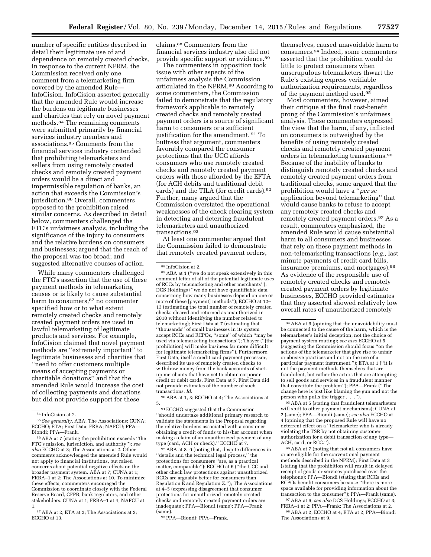number of specific entities described in detail their legitimate use of and dependence on remotely created checks, in response to the current NPRM, the Commission received only one comment from a telemarketing firm covered by the amended Rule— InfoCision. InfoCision asserted generally that the amended Rule would increase the burdens on legitimate businesses and charities that rely on novel payment methods.84 The remaining comments were submitted primarily by financial services industry members and associations.85 Comments from the financial services industry contended that prohibiting telemarketers and sellers from using remotely created checks and remotely created payment orders would be a direct and impermissible regulation of banks, an action that exceeds the Commission's jurisdiction.86 Overall, commenters opposed to the prohibition raised similar concerns. As described in detail below, commenters challenged the FTC's unfairness analysis, including the significance of the injury to consumers and the relative burdens on consumers and businesses; argued that the reach of the proposal was too broad; and suggested alternative courses of action.

While many commenters challenged the FTC's assertion that the use of these payment methods in telemarketing causes or is likely to cause substantial harm to consumers,<sup>87</sup> no commenter specified how or to what extent remotely created checks and remotely created payment orders are used in lawful telemarketing of legitimate products and services. For example, InfoCision claimed that novel payment methods are ''extremely important'' to legitimate businesses and charities that ''need to offer customers multiple means of accepting payments or charitable donations'' and that the amended Rule would increase the cost of collecting payments and donations but did not provide support for these

87ABA at 2; ETA at 2; The Associations at 2; ECCHO at 13.

claims.88 Commenters from the financial services industry also did not provide specific support or evidence.89

The commenters in opposition took issue with other aspects of the unfairness analysis the Commission articulated in the NPRM.90 According to some commenters, the Commission failed to demonstrate that the regulatory framework applicable to remotely created checks and remotely created payment orders is a source of significant harm to consumers or a sufficient justification for the amendment. 91 To buttress that argument, commenters favorably compared the consumer protections that the UCC affords consumers who use remotely created checks and remotely created payment orders with those afforded by the EFTA (for ACH debits and traditional debit cards) and the TILA (for credit cards).92 Further, many argued that the Commission overstated the operational weaknesses of the check clearing system in detecting and deterring fraudulent telemarketers and unauthorized transactions.93

At least one commenter argued that the Commission failed to demonstrate that remotely created payment orders,

89ABA at 1 (''we do not speak extensively in this comment letter of all of the potential legitimate uses of RCCs by telemarketing and other merchants''); DCS Holdings (''we do not have quantifiable data concerning how many businesses depend on one or more of these [payment] methods''); ECCHO at 12– 13 (estimating the total number of remotely created checks cleared and returned as unauthorized in 2010 without identifying the number related to telemarketing); First Data at 7 (estimating that ''thousands'' of small businesses in its system accept RCCs and RCPOs, ''some'' of which ''may be used via telemarketing transactions''); Thayer (''[the prohibition] will make business far more difficult for legitimate telemarketing firms''). Furthermore, First Data, itself a credit card payment processor, described its use of remotely created checks to withdraw money from the bank accounts of startup merchants that have yet to obtain corporate credit or debit cards. First Data at 7. First Data did not provide estimates of the number of such transactions. *Id.* 

90ABA at 1, 3; ECCHO at 4; The Associations at 5.

91ECCHO suggested that the Commission ''should undertake additional primary research to validate the statements in the Proposal regarding the relative burdens associated with a consumer obtaining a credit of funds to his/her account when making a claim of an unauthorized payment of any type (card, ACH or check).'' ECCHO at 7.

92ABA at 8–9 (noting that, despite differences in ''details and the technical legal process,'' the protections for consumers ''are, as a practical matter, comparable''); ECCHO at 6 (''the UCC and other check law protections against unauthorized RCCs are arguably better for consumers than Regulation E and Regulation Z.''); The Associations at 4–5 (expressing disagreement that consumer protections for unauthorized remotely created checks and remotely created payment orders are inadequate); PPA—Biondi (same); PPA—Frank (same).

93PPA—Biondi; PPA—Frank.

themselves, caused unavoidable harm to consumers.94 Indeed, some commenters asserted that the prohibition would do little to protect consumers when unscrupulous telemarketers thwart the Rule's existing express verifiable authorization requirements, regardless of the payment method used.95

Most commenters, however, aimed their critique at the final cost-benefit prong of the Commission's unfairness analysis. These commenters expressed the view that the harm, if any, inflicted on consumers is outweighed by the benefits of using remotely created checks and remotely created payment orders in telemarketing transactions.96 Because of the inability of banks to distinguish remotely created checks and remotely created payment orders from traditional checks, some argued that the prohibition would have a ''*per se*  application beyond telemarketing'' that would cause banks to refuse to accept any remotely created checks and remotely created payment orders.97 As a result, commenters emphasized, the amended Rule would cause substantial harm to all consumers and businesses that rely on these payment methods in non-telemarketing transactions (*e.g.,* last minute payments of credit card bills, insurance premiums, and mortgages).98 As evidence of the responsible use of remotely created checks and remotely created payment orders by legitimate businesses, ECCHO provided estimates that they asserted showed relatively low overall rates of unauthorized remotely

95ABA at 5 (stating that fraudulent telemarketers will shift to other payment mechanisms); CUNA at 2 (same); PPA—Biondi (same); *see also* ECCHO at 4 (opining that the proposed Rule will have no deterrent effect on a ''telemarketer who is already violating the TSR by not obtaining customer authorization for a debit transaction of any type— ACH, card, or RCC.'').

96ABA at 7 (noting that not all consumers have or are eligible for the conventional payment methods described in the NPRM); First Data at 3 (stating that the prohibition will result in delayed receipt of goods or services purchased over the telephone); PPA—Biondi (stating that RCCs and RCPOs benefit consumers because ''there is more space available for providing information about the transaction to the consumer''); PPA—Frank (same).

97ABA at 6; *see also* DCS Holdings; ECCHO at 3; FRBA–1 at 2; PPA—Frank; The Associations at 2. 98ABA at 2; ECCHO at 4; ETA at 2; PPA—Biondi The Associations at 9.

<sup>84</sup> InfoCision at 2.

<sup>85</sup>*See generally,* ABA; The Associations; CUNA; ECCHO; ETA; First Data; FRBA; NAFCU; PPA— Biondi; PPA—Frank.

<sup>86</sup>ABA at 7 (stating the prohibition exceeds ''the FTC's mission, jurisdiction, and authority''); *see also* ECCHO at 3; The Associations at 2. Other comments acknowledged the amended Rule would not apply to financial institutions, but raised concerns about potential negative effects on the broader payment system. ABA at 7; CUNA at 1; FRBA–1 at 2; The Associations at 10. To minimize these effects, commenters encouraged the Commission to coordinate closely with the Federal Reserve Board, CFPB, bank regulators, and other stakeholders. CUNA at 1; FRBA–1 at 4; NAFCU at 1.

<sup>88</sup> InfoCision at 2.

<sup>94</sup>ABA at 6 (opining that the unavoidability must be connected to the cause of the harm, which is the telemarketer's initial deception, not the choice of payment system routing); *see also* ECCHO at 5 (suggesting the Commission should focus ''on the actions of the telemarketer that give rise to unfair or abusive practices and not on the use of a particular payment instrument.''); ETA at 1 (''it is not the payment methods themselves that are fraudulent, but rather the actors that are attempting to sell goods and services in a fraudulent manner that constitute the problem''); PPA—Frank (''The change here is just like blaming the gun and not the person who pulls the trigger . . .'').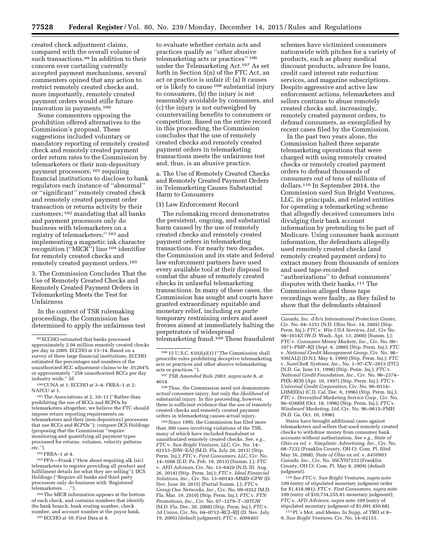created check adjustment claims, compared with the overall volume of such transactions.<sup>99</sup> In addition to their concern over curtailing currently accepted payment mechanisms, several commenters opined that any action to restrict remotely created checks and, more importantly, remotely created payment orders would stifle future innovation in payments.100

Some commenters opposing the prohibition offered alternatives to the Commission's proposal. These suggestions included voluntary or mandatory reporting of remotely created check and remotely created payment order return rates to the Commission by telemarketers or their non-depository payment processors; 101 requiring financial institutions to disclose to bank regulators each instance of ''abnormal'' or ''significant'' remotely created check and remotely created payment order transaction or returns activity by their customers; 102 mandating that all banks and payment processors only do business with telemarketers on a registry of telemarketers;'' 103 and implementing a magnetic ink character recognition (''MICR'') line 104 identifier for remotely created checks and remotely created payment orders.105

3. The Commission Concludes That the Use of Remotely Created Checks and Remotely Created Payment Orders in Telemarketing Meets the Test for Unfairness

In the context of TSR rulemaking proceedings, the Commission has determined to apply the unfairness test

101The Associations at 2, 10–11 (''Rather than prohibiting the use of RCCs and RCPOs by telemarketers altogether, we believe the FTC should impose return reporting requirements on telemarketers and their [non-depository] processors that use RCCs and RCPOs''); *compare* DCS Holdings (proposing that the Commission ''require monitoring and quantifying all payment types processed for returns, volumes, velocity patterns  $etc.'$ ).

102FRBA–1 at 4.

103PPA—Frank (''How about requiring alk (sic) telemarketers to register providing all product and fulfillment details for what they are selling''); DCS Holdings (''Require all banks and third party processors only do business with 'Registered' telemarketers . . .'').

104The MICR information appears at the bottom of each check, and contains numbers that identify the bank branch, bank routing number, check number, and account number at the payor bank.

105ECCHO at 10; First Data at 8.

to evaluate whether certain acts and practices qualify as ''other abusive telemarketing acts or practices'' 106 under the Telemarketing Act.107 As set forth in Section 5(n) of the FTC Act, an act or practice is unfair if: (a) It causes or is likely to cause 108 substantial injury to consumers, (b) the injury is not reasonably avoidable by consumers, and (c) the injury is not outweighed by countervailing benefits to consumers or competition. Based on the entire record in this proceeding, the Commission concludes that the use of remotely created checks and remotely created payment orders in telemarketing transactions meets the unfairness test and, thus, is an abusive practice.

a. The Use of Remotely Created Checks and Remotely Created Payment Orders in Telemarketing Causes Substantial Harm to Consumers

#### (1) Law Enforcement Record

The rulemaking record demonstrates the persistent, ongoing, and substantial harm caused by the use of remotely created checks and remotely created payment orders in telemarketing transactions. For nearly two decades, the Commission and its state and federal law enforcement partners have used every available tool at their disposal to combat the abuse of remotely created checks in unlawful telemarketing transactions. In many of these cases, the Commission has sought and courts have granted extraordinary equitable and monetary relief, including *ex parte*  temporary restraining orders and asset freezes aimed at immediately halting the perpetrators of widespread telemarketing fraud.109 These fraudulent

108Thus, the Commission need not demonstrate *actual* consumer injury, but only the *likelihood* of substantial injury. In this proceeding, however, there is sufficient evidence that the use of remotely created checks and remotely created payment orders in telemarketing causes actual injury.

109Since 1995, the Commission has filed more than 300 cases involving violations of the TSR, many of which have included fraudulent or unauthorized remotely created checks. *See, e.g., FTC* v. *Sun Bright Ventures, LLC,* Civ. No. 14– 02153–JDW–EAJ (M.D. Fla. July 20, 2015) (Stip. Perm. Inj.); *FTC* v. *First Consumers, LLC,* Civ. No. 14–1608 (E.D. Pa. Feb. 19, 2015) (Summ. J.); *FTC*  v. *AFD Advisors,* Civ. No. 13–6420 (N.D. Ill. Aug. 26, 2014) (Stip. Perm. Inj.); *FTC* v. *Ideal Financial Solutions, Inc.,* Civ. No. 13–00143–MMD–GFW (D. Nev. June 30, 2015) (Partial Summ. J.); *FTC* v. *Group One Networks, Inc.,* Civ. No. 09–0352 (M.D. Fla. Mar. 19, 2010) (Stip. Perm. Inj.); *FTC* v. *FTN Promotions, Inc.,* Civ. No. 07–1279–T–30TGW (M.D. Fla. Dec. 30, 2008) (Stip. Perm. Inj.); *FTC* v. *3d Union,* Civ. No. 04–0712–RCJ–RJJ (D. Nev. July 19, 2005) (default judgment); *FTC* v. *4086465* 

schemes have victimized consumers nationwide with pitches for a variety of products, such as phony medical discount products, advance fee loans, credit card interest rate reduction services, and magazine subscriptions. Despite aggressive and active law enforcement actions, telemarketers and sellers continue to abuse remotely created checks and, increasingly, remotely created payment orders, to defraud consumers, as exemplified by recent cases filed by the Commission.

In the past two years alone, the Commission halted three separate telemarketing operations that were charged with using remotely created checks or remotely created payment orders to defraud thousands of consumers out of tens of millions of dollars.110 In September 2014, the Commission sued Sun Bright Ventures, LLC, its principals, and related entities for operating a telemarketing scheme that allegedly deceived consumers into divulging their bank account information by pretending to be part of Medicare. Using consumer bank account information, the defendants allegedly used remotely created checks (and remotely created payment orders) to extract money from thousands of seniors and used tape-recorded ''authorizations'' to defeat consumers' disputes with their banks.111 The Commission alleged these tape recordings were faulty, as they failed to show that the defendants obtained

States have brought additional cases against telemarketers and sellers that used remotely created checks to withdraw money from consumer bank accounts without authorization. *See e.g., State of Ohio ex rel.* v. *Simplistic Advertising, Inc.,* Civ. No. 08–7232 (Franklin County, OH Ct. Com. Pl. filed May 16, 2008); *State of Ohio ex rel.* v. *6450903 Canada, Inc.,* Civ. No. 05CVH7233 (Franklin County, OH Ct. Com. Pl. May 8, 2009) (default judgment).

110*See FTC* v. *Sun Bright Ventures, supra* note 109 (entry of stipulated monetary judgment order for \$1,418,981); *FTC* v. *First Consumers, supra* note 109 (entry of \$10,734,255.81 monetary judgment); *FTC* v. *AFD Advisors, supra* note 109 (entry of stipulated monetary judgment of \$1,091,450.68).

111Pl.'s Mot. and Memo. In Supp. of TRO at 8– 9, *Sun Bright Ventures,* Civ. No. 14–02153.

<sup>99</sup>ECCHO estimated that banks processed approximately 2.04 million remotely created checks per day in 2009. ECCHO at 13–14. Based on a survey of three large financial institutions, ECCHO estimated the percentages and numbers of the unauthorized RCC adjustment claims to be .01264% or approximately ''258 unauthorized RCCs per day industry wide.'' *Id.* 

<sup>100</sup>CUNA at 1; ECCHO at 3–4; FRBA–1 at 2; NAFCU at 1.

<sup>106</sup> 15 U.S.C. 6102(a)(1) (''The Commission shall prescribe rules prohibiting deceptive telemarketing acts or practices and other abusive telemarketing acts or practices.'').

<sup>107</sup>*TSR Amended Rule 2003, supra* note 8, at 4614.

*Canada, Inc. d/b/a International Protection Center,*  Civ. No. 04–1351 (N.D. Ohio Nov. 14, 2005) (Stip. Perm. Inj.); *FTC* v. *Win USA Services, Ltd.*, Civ No. 98–1614Z (W.D. Wash. Apr. 13, 2000) (Summ. J.); *FTC* v. *Consumer Money Markets, Inc.,* Civ. No. 00– 1071–PMP–RJJ (Sept. 6, 2000) (Stip. Perm. Inj.); *FTC*  v. *National Credit Management Group,* Civ. No. 98– 936(ALJ) (D.N.J. May 4, 1999) (Stip. Perm. Inj.); *FTC*  v. *SureCheK Systems, Inc.,* No. 1–97–CV–2015 (JTC) (N.D. Ga. June 11, 1998) (Stip. Perm. Inj.); *FTC* v. *National Credit Foundation, Inc.,* Civ. No. 96–2374– PHX–ROS (Apr. 10, 1997) (Stip. Perm. Inj.); *FTC* v. *Universal Credit Corporation,* Civ. No. 96–0114– LHM(EEx) (C.D. Cal. Dec. 6, 1996) (Stip. Perm. Inj.); *FTC* v. *Diversified Marketing Service Corp.,* Civ. No. 96–0388M (Oct. 18, 1996) (Stip. Perm. Inj.); *FTC* v. *Windward Marketing, Ltd,* Civ. No. 96–0615–FMH (N.D. Ga. Oct. 10, 1996).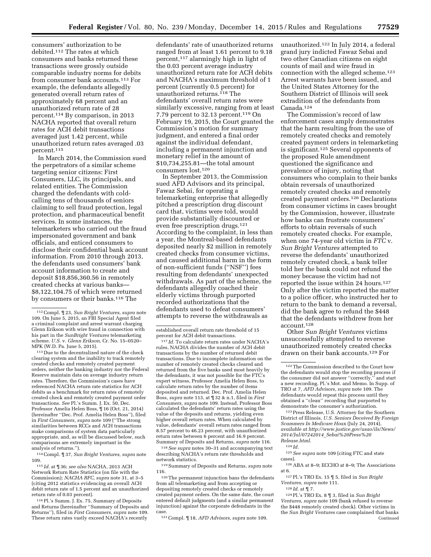consumers' authorization to be debited.112 The rates at which consumers and banks returned these transactions were grossly outside comparable industry norms for debits from consumer bank accounts.113 For example, the defendants allegedly generated overall return rates of approximately 68 percent and an unauthorized return rate of 28 percent.114 By comparison, in 2013 NACHA reported that overall return rates for ACH debit transactions averaged just 1.42 percent, while unauthorized return rates averaged .03 percent.115

In March 2014, the Commission sued the perpetrators of a similar scheme targeting senior citizens: First Consumers, LLC, its principals, and related entities. The Commission charged the defendants with coldcalling tens of thousands of seniors claiming to sell fraud protection, legal protection, and pharmaceutical benefit services. In some instances, the telemarketers who carried out the fraud impersonated government and bank officials, and enticed consumers to disclose their confidential bank account information. From 2010 through 2013, the defendants used consumers' bank account information to create and deposit \$18,856,360.56 in remotely created checks at various banks— \$8,122,104.75 of which were returned by consumers or their banks.116 The

113 Due to the decentralized nature of the check clearing system and the inability to track remotely created checks and remotely created payment orders, neither the banking industry nor the Federal Reserve maintain data on average industry return rates. Therefore, the Commission's cases have referenced NACHA return rate statistics for ACH debits as a benchmark for return rates of remotely created check and remotely created payment order transactions. *See* Pl.'s Summ. J. Ex. 50, Dec. Professor Amelia Helen Boss, ¶ 16 (Oct. 21, 2014) (hereinafter ''Dec. Prof. Amelia Helen Boss''), filed in *First Consumers, supra* note 109 (''The strong similarities between RCCs and ACH transactions make comparisons of system data particularly appropriate, and, as will be discussed below, such comparisons are extremely important in the analysis of returns.'').

114Compl. ¶ 37, *Sun Bright Ventures, supra* note 109.

115 *Id.* at ¶ 36; *see also* NACHA, 2013 ACH Network Return Rate Statistics (on file with the Commission); *NACHA RFC, supra* note 31, at 3–5 (citing 2012 statistics evidencing an overall ACH debit return rate of 1.5 percent and an unauthorized return rate of 0.03 percent).

116Pl.'s Summ. J. Ex. 75, Summary of Deposits and Returns (hereinafter ''Summary of Deposits and Returns''), filed in *First Consumers, supra* note 109. These return rates vastly exceed NACHA's recently

defendants' rate of unauthorized returns ranged from at least 1.61 percent to 9.18 percent,117 alarmingly high in light of the 0.03 percent average industry unauthorized return rate for ACH debits and NACHA's maximum threshold of 1 percent (currently 0.5 percent) for unauthorized returns.118 The defendants' overall return rates were similarly excessive, ranging from at least 7.79 percent to 32.13 percent.<sup>119</sup> On February 19, 2015, the Court granted the Commission's motion for summary judgment, and entered a final order against the individual defendant, including a permanent injunction and monetary relief in the amount of \$10,734,255.81—the total amount consumers lost.120

In September 2013, the Commission sued AFD Advisors and its principal, Fawaz Sebai, for operating a telemarketing enterprise that allegedly pitched a prescription drug discount card that, victims were told, would provide substantially discounted or even free prescription drugs.121 According to the complaint, in less than a year, the Montreal-based defendants deposited nearly \$2 million in remotely created checks from consumer victims, and caused additional harm in the form of non-sufficient funds (''NSF'') fees resulting from defendants' unexpected withdrawals. As part of the scheme, the defendants allegedly coached their elderly victims through purported recorded authorizations that the defendants used to defeat consumers' attempts to reverse the withdrawals as

117 *Id.* To calculate return rates under NACHA's rules, NACHA divides the number of ACH debit transactions by the number of returned debit transactions. Due to incomplete information on the number of remotely created checks cleared and returned from the five banks used most heavily by the defendants, it was not possible for the FTC's expert witness, Professor Amelia Helen Boss, to calculate return rates by the number of items deposited and returned. Dec. Prof. Amelia Helen Boss, *supra* note 113, at ¶ 32 & n.1, filed in *First Consumers, supra* note 109. Instead, Professor Boss calculated the defendants' return rates using the value of the deposits and returns, yielding even higher overall return rates. When calculated by value, defendants' overall return rates ranged from 8.57 percent to 46.23 percent, with unauthorized return rates between 6 percent and 16.9 percent. Summary of Deposits and Returns, *supra* note 116.

118*See supra* notes 30–31 and accompanying text describing NACHA's return rate thresholds and network statistics.

119Summary of Deposits and Returns, *supra* note 116.

120The permanent injunction bans the defendants from all telemarketing and from accepting or depositing remotely created checks or remotely created payment orders. On the same date, the court entered default judgments (and a similar permanent injunction) against the corporate defendants in the case.

121Compl. ¶ 18, *AFD Advisors, supra* note 109.

unauthorized.122 In July 2014, a federal grand jury indicted Fawaz Sebai and two other Canadian citizens on eight counts of mail and wire fraud in connection with the alleged scheme.123 Arrest warrants have been issued, and the United States Attorney for the Southern District of Illinois will seek extradition of the defendants from Canada.124

The Commission's record of law enforcement cases amply demonstrates that the harm resulting from the use of remotely created checks and remotely created payment orders in telemarketing is significant.125 Several opponents of the proposed Rule amendment questioned the significance and prevalence of injury, noting that consumers who complain to their banks obtain reversals of unauthorized remotely created checks and remotely created payment orders.126 Declarations from consumer victims in cases brought by the Commission, however, illustrate how banks can frustrate consumers' efforts to obtain reversals of such remotely created checks. For example, when one 74-year old victim in *FTC* v. *Sun Bright Ventures* attempted to reverse the defendants' unauthorized remotely created check, a bank teller told her the bank could not refund the money because the victim had not reported the issue within 24 hours.127 Only after the victim reported the matter to a police officer, who instructed her to return to the bank to demand a reversal, did the bank agree to refund the \$448 that the defendants withdrew from her account.128

Other *Sun Bright Ventures* victims unsuccessfully attempted to reverse unauthorized remotely created checks drawn on their bank accounts.129 For

123Press Release, U.S. Attorney for the Southern District of Illinois, *U.S. Seniors Deceived By Foreign Scammers In Medicare Hoax* (July 24, 2014), *available at [http://www.justice.gov/usao/ils/News/](http://www.justice.gov/usao/ils/News/2014/Jul/07242014_Sebai%20Press%20Release.html) 2014/Jul/07242014*\_*[Sebai%20Press%20](http://www.justice.gov/usao/ils/News/2014/Jul/07242014_Sebai%20Press%20Release.html) [Release.html](http://www.justice.gov/usao/ils/News/2014/Jul/07242014_Sebai%20Press%20Release.html)*.

125*See supra* note 109 (citing FTC and state cases).

126ABA at 8–9; ECCHO at 8–9; The Associations at 6.

- 127Pl.'s TRO Ex. 15 ¶ 5, filed in *Sun Bright Ventures, supra* note 111.
- 

129Pl.'s TRO Ex. 8 ¶ 3, filed in *Sun Bright Ventures, supra* note 109 (bank refused to reverse the \$448 remotely created check). Other victims in the *Sun Bright Ventures* case complained that banks Continued

<sup>112</sup>Compl. ¶ 23, *Sun Bright Ventures, supra* note 109. On June 5, 2015, an FBI Special Agent filed a criminal complaint and arrest warrant charging Glenn Erikson with wire fraud in connection with his part in the *SunBright Ventures* telemarketing scheme. *U.S.* v. *Glenn Erikson,* Cr. No. 15–0520– MPK (W.D. Pa. June 5, 2015).

established overall return rate threshold of 15 percent for ACH debit transactions.

 $^{\rm 122}\rm{The~Commission~described~to~the~Country}$ the defendants would stop the recording process if the consumer did not answer ''correctly,'' and start a new recording. Pl.'s Mot. and Memo. In Supp. of TRO at 7, *AFD Advisors, supra* note 109. The defendants would repeat this process until they obtained a ''clean'' recording that purported to demonstrate the consumer's authorization.

 $124$  *Id.* 

 $^{128}Id.$  at  $\P$  7.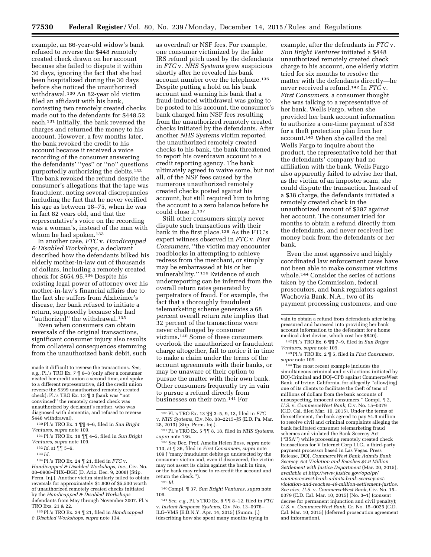example, an 86-year-old widow's bank refused to reverse the \$448 remotely created check drawn on her account because she failed to dispute it within 30 days, ignoring the fact that she had been hospitalized during the 30 days before she noticed the unauthorized withdrawal.130 An 82-year old victim filed an affidavit with his bank, contesting two remotely created checks made out to the defendants for \$448.52 each.131 Initially, the bank reversed the charges and returned the money to his account. However, a few months later, the bank revoked the credit to his account because it received a voice recording of the consumer answering the defendants' ''yes'' or ''no'' questions purportedly authorizing the debits.132 The bank revoked the refund despite the consumer's allegations that the tape was fraudulent, noting several discrepancies including the fact that he never verified his age as between 18–75, when he was in fact 82 years old, and that the representative's voice on the recording was a woman's, instead of the man with whom he had spoken.<sup>133</sup>

In another case, *FTC* v. *Handicapped & Disabled Workshops,* a declarant described how the defendants bilked his elderly mother-in-law out of thousands of dollars, including a remotely created check for \$654.95.134 Despite his existing legal power of attorney over his mother-in-law's financial affairs due to the fact she suffers from Alzheimer's disease, her bank refused to initiate a return, supposedly because she had "authorized" the withdrawal.<sup>135</sup>

Even when consumers can obtain reversals of the original transactions, significant consumer injury also results from collateral consequences stemming from the unauthorized bank debit, such

*Handicapped & Disabled Workshops, Inc.,* Civ. No. 08–0908–PHX–DGC (D. Ariz. Dec. 9, 2008) (Stip. Perm. Inj.). Another victim similarly failed to obtain reversals for approximately \$1,800 of \$5,500 worth of unauthorized remotely created checks initiated by the *Handicapped & Disabled Workshops*  defendants from May through November 2007. Pl.'s TRO Exs. 21 & 22.

135Pl.'s TRO Ex. 24 ¶ 21, filed in *Handicapped & Disabled Workshops, supra* note 134.

as overdraft or NSF fees. For example, one consumer victimized by the fake IRS refund pitch used by the defendants in *FTC* v. *NHS Systems* grew suspicious shortly after he revealed his bank account number over the telephone.<sup>136</sup> Despite putting a hold on his bank account and warning his bank that a fraud-induced withdrawal was going to be posted to his account, the consumer's bank charged him NSF fees resulting from the unauthorized remotely created checks initiated by the defendants. After another *NHS Systems* victim reported the unauthorized remotely created checks to his bank, the bank threatened to report his overdrawn account to a credit reporting agency. The bank ultimately agreed to waive some, but not all, of the NSF fees caused by the numerous unauthorized remotely created checks posted against his account, but still required him to bring the account to a zero balance before he could close it.137

Still other consumers simply never dispute such transactions with their bank in the first place.<sup>138</sup> As the FTC's expert witness observed in *FTC* v. *First Consumers,* ''the victim may encounter roadblocks in attempting to achieve redress from the merchant, or simply may be embarrassed at his or her vulnerability.'' 139 Evidence of such underreporting can be inferred from the overall return rates generated by perpetrators of fraud. For example, the fact that a thoroughly fraudulent telemarketing scheme generates a 68 percent overall return rate implies that 32 percent of the transactions were never challenged by consumer victims.140 Some of these consumers overlook the unauthorized or fraudulent charge altogether, fail to notice it in time to make a claim under the terms of the account agreements with their banks, or may be unaware of their option to pursue the matter with their own bank. Other consumers frequently try in vain to pursue a refund directly from businesses on their own.141 For

140Compl. ¶ 37, *Sun Bright Ventures, supra* note 109.

141*See, e.g.,* Pl.'s TRO Ex. 8 ¶¶ 8–12, filed in *FTC*  v. *Instant Response Systems,* Civ. No. 13–0976– ILG–VMS (E.D.N.Y. Apr. 14, 2015) (Summ. J.) (describing how she spent many months trying in

example, after the defendants in *FTC* v. *Sun Bright Ventures* initiated a \$448 unauthorized remotely created check charge to his account, one elderly victim tried for six months to resolve the matter with the defendants directly—he never received a refund.142 In *FTC* v. *First Consumers,* a consumer thought she was talking to a representative of her bank, Wells Fargo, when she provided her bank account information to authorize a one-time payment of \$38 for a theft protection plan from her account.143 When she called the real Wells Fargo to inquire about the product, the representative told her that the defendants' company had no affiliation with the bank. Wells Fargo also apparently failed to advise her that, as the victim of an imposter scam, she could dispute the transaction. Instead of a \$38 charge, the defendants initiated a remotely created check in the unauthorized amount of \$387 against her account. The consumer tried for months to obtain a refund directly from the defendants, and never received her money back from the defendants or her bank.

Even the most aggressive and highly coordinated law enforcement cases have not been able to make consumer victims whole.144 Consider the series of actions taken by the Commission, federal prosecutors, and bank regulators against Wachovia Bank, N.A., two of its payment processing customers, and one

143Pl.'s TRO Ex. 2 ¶ 5, filed in *First Consumers, supra* note 109.

144The most recent example includes the simultaneous criminal and civil actions initiated by DOJ-Criminal and DOJ–CPB against CommerceWest Bank, of Irvine, California, for allegedly ''allow[ing] one of its clients to facilitate the theft of tens of millions of dollars from the bank accounts of unsuspecting, innocent consumers.'' Compl. ¶ 2, *U.S.* v. *CommerceWest Bank,* Civ. No. 15–0379 (C.D. Cal. filed Mar. 10, 2015). Under the terms of the settlement, the bank agreed to pay \$4.9 million to resolve civil and criminal complaints alleging the bank facilitated consumer telemarketing fraud schemes and violated the Bank Secrecy Act (''BSA'') while processing remotely created check transactions for V Internet Corp LLC., a third-party payment processor based in Las Vegas. Press Release, DOJ, *CommerceWest Bank Admits Bank Secrecy Act Violation and Reaches \$4.9 Million Settlement with Justice Department* (Mar. 20, 2015), *available at [http://www.justice.gov/opa/pr/](http://www.justice.gov/opa/pr/commercewest-bank-admits-bank-secrecy-act-violation-and-reaches-49-million-settlement-justice) [commercewest-bank-admits-bank-secrecy-act](http://www.justice.gov/opa/pr/commercewest-bank-admits-bank-secrecy-act-violation-and-reaches-49-million-settlement-justice)[violation-and-reaches-49-million-settlement-justice](http://www.justice.gov/opa/pr/commercewest-bank-admits-bank-secrecy-act-violation-and-reaches-49-million-settlement-justice)*. *See also, U.S.* v. *CommerceWest Bank,* Civ. No. 15– 0379 (C.D. Cal. Mar. 10, 2015) (No. 3–1) (consent decree for permanent injunction and civil penalty); *U.S.* v. *CommerceWest Bank,* Cr. No. 15–0025 (C.D. Cal. Mar. 10, 2015) (deferred prosecution agreement and information).

made it difficult to reverse the transactions. *See, e.g.,* Pl.'s TRO Ex. 7 ¶ 6–8 (only after a consumer visited her credit union a second time, and spoke to a different representative, did the credit union reverse the \$399 unauthorized remotely created check); Pl.'s TRO Ex. 13 ¶ 3 (bank was ''not convinced'' the remotely created check was unauthorized by declarant's mother, who was diagnosed with dementia, and refused to reverse \$448 withdrawal).

<sup>130</sup>Pl.'s TRO Ex. 1 ¶¶ 4–6, filed in *Sun Bright Ventures, supra* note 109.

<sup>131</sup>Pl.'s TRO Ex. 18 ¶¶ 4–5, filed in *Sun Bright Ventures, supra* note 109.

 $^{132}Id.$  at  $\P\P$  5–6.

<sup>133</sup> *Id.* 

<sup>134</sup>Pl.'s TRO Ex. 24 ¶ 21, filed in *FTC* v.

<sup>136</sup>Pl.'s TRO Ex. 13 ¶¶ 3–5, 9, 13, filed in *FTC*  v. *NHS Systems,* Civ. No. 08–2215–JS (E.D. Pa. Mar. 28, 2013) (Stip. Perm. Inj.).

<sup>137</sup>Pl.'s TRO Ex. 5 ¶¶ 8, 18, filed in *NHS Systems, supra* note 136.

<sup>138</sup>*See* Dec. Prof. Amelia Helen Boss, *supra* note 113, at ¶ 36, filed in *First Consumers, supra* note 109 (''many fraudulent debits go undetected by the consumer victim and, even if discovered, the victim may not assert its claim against the bank in time, or the bank may refuse to re-credit the account and return the check.''). 139 *Id.* 

vain to obtain a refund from defendants after being pressured and harassed into providing her bank account information to the defendant for a home medical alert device, which cost her \$840).

<sup>142</sup>Pl.'s TRO Ex. 6 ¶¶ 7–9, filed in *Sun Bright Ventures, supra* note 109.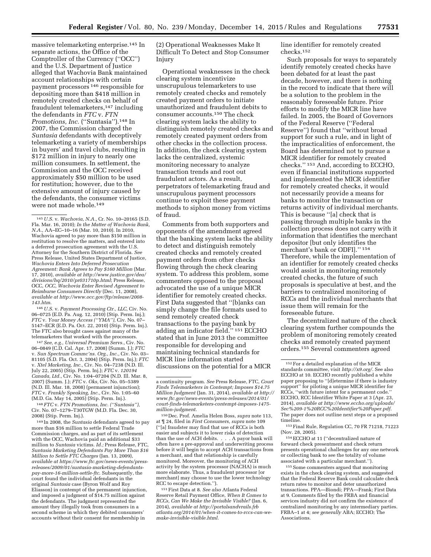massive telemarketing enterprise.145 In separate actions, the Office of the Comptroller of the Currency (''OCC'') and the U.S. Department of Justice alleged that Wachovia Bank maintained account relationships with certain payment processors 146 responsible for depositing more than \$418 million in remotely created checks on behalf of fraudulent telemarketers,147 including the defendants in *FTC* v. *FTN Promotions, Inc.* (''Suntasia'').148 In 2007, the Commission charged the *Suntasia* defendants with deceptively telemarketing a variety of memberships in buyers' and travel clubs, resulting in \$172 million in injury to nearly one million consumers. In settlement, the Commission and the OCC received approximately \$50 million to be used for restitution; however, due to the extensive amount of injury caused by the defendants, the consumer victims were not made whole.149

146*U.S.* v. *Payment Processing Ctr., LLC,* Civ. No. 06–0725 (E.D. Pa. Aug. 12, 2010) (Stip. Perm. Inj.); *FTC* v. *Your Money Access (''YMA''),* Civ. No. 07– 5147–ECR (E.D. Pa. Oct. 22, 2010) (Stip. Perm. Inj.). The FTC also brought cases against many of the telemarketers that worked with the processors.

147*See, e.g., Universal Premium Servs.,* Civ. No. 06–0849 (C.D. Cal. Apr. 17, 2008) (Summ. J.); *FTC*  v. *Sun Spectrum Commc'ns. Org., Inc.,* Civ. No. 03– 81105 (S.D. Fla. Oct. 3, 2004) (Stip. Perm. Inj.); *FTC*  v. *Xtel Marketing, Inc.,* Civ. No. 04–7238 (N.D. Ill. July 22, 2005) (Stip. Perm. Inj.); *FTC* v. *120194 Canada, Ltd.,* Civ. No. 1:04–07204 (N.D. Ill. Mar. 8, 2007) (Summ. J.); *FTC* v. *Oks,* Civ. No. 05–5389 (N.D. Ill. Mar. 18, 2008) (permanent injunction); *FTC* v. *Frankly Speaking, Inc.,* Civ. No. 1:05–60 (M.D. Ga. May 14, 2005) (Stip. Perm. Inj.).

148 *FTC* v. *FTN Promotions, Inc. (''Suntasia''),*  Civ. No. 07–1279–T30TGW (M.D. Fla. Dec. 30, 2008) (Stip. Perm. Inj.).

149 In 2008, the *Suntasia* defendants agreed to pay more than \$16 million to settle Federal Trade Commission charges, and as part of its settlement with the OCC, Wachovia paid an additional \$33 million to *Suntasia* victims. *Id.;* Press Release, FTC, *Suntasia Marketing Defendants Pay More Than \$16 Million to Settle FTC Charges* (Jan. 13, 2009), *available at [https://www.ftc.gov/news-events/press](https://www.ftc.gov/news-events/press-releases/2009/01/suntasia-marketing-defendants-pay-more-16-million-settle-ftc)[releases/2009/01/suntasia-marketing-defendants](https://www.ftc.gov/news-events/press-releases/2009/01/suntasia-marketing-defendants-pay-more-16-million-settle-ftc)[pay-more-16-million-settle-ftc](https://www.ftc.gov/news-events/press-releases/2009/01/suntasia-marketing-defendants-pay-more-16-million-settle-ftc)*. Subsequently, the court found the individual defendants in the original *Suntasia* case (Byron Wolf and Roy Eliasson) in contempt of the permanent injunction, and imposed a judgment of \$14.75 million against the defendants. The judgment represented the amount they illegally took from consumers in a second scheme in which they debited consumers' accounts without their consent for membership in

(2) Operational Weaknesses Make It Difficult To Detect and Stop Consumer Injury

Operational weaknesses in the check clearing system incentivize unscrupulous telemarketers to use remotely created checks and remotely created payment orders to initiate unauthorized and fraudulent debits to consumer accounts.150 The check clearing system lacks the ability to distinguish remotely created checks and remotely created payment orders from other checks in the collection process. In addition, the check clearing system lacks the centralized, systemic monitoring necessary to analyze transaction trends and root out fraudulent actors. As a result, perpetrators of telemarketing fraud and unscrupulous payment processors continue to exploit these payment methods to siphon money from victims of fraud.

Comments from both supporters and opponents of the amendment agreed that the banking system lacks the ability to detect and distinguish remotely created checks and remotely created payment orders from other checks flowing through the check clearing system. To address this problem, some commenters opposed to the proposal advocated the use of a unique MICR identifier for remotely created checks. First Data suggested that ''[b]anks can simply change the file formats used to send remotely created check transactions to the paying bank by adding an indicator field.'' 151 ECCHO stated that in June 2013 the committee responsible for developing and maintaining technical standards for MICR line information started discussions on the potential for a MICR

150 Dec. Prof. Amelia Helen Boss, *supra* note 113, at ¶ 24, filed in *First Consumers, supra* note 109 (''[a] fraudster may find that use of RCCs is both easier and subjects it to lower risks of detection than the use of ACH debits. . . . A payor bank will often have a pre-approval and underwriting process before it will begin to accept ACH transactions from a merchant, and that relationship is carefully monitored. Moreover, the monitoring of ACH activity by the system processor (NACHA) is much more elaborate. Thus, a fraudulent processor [or merchantl may choose to use the lower technology RCC to escape detection.'').

151First Data at 8. *See also* Atlanta Federal Reserve Retail Payment Office, *When It Comes to RCCs, Can We Make the Invisible Visible?* (Jan. 6, 2014), *available at [http://portalsandvrails.frb](http://portalsandvrails.frbatlanta.org/2014/01/when-it-comes-to-rccs-can-we-make-invisible-visible.html) [atlanta.org/2014/01/when-it-comes-to-rccs-can-we](http://portalsandvrails.frbatlanta.org/2014/01/when-it-comes-to-rccs-can-we-make-invisible-visible.html)[make-invisible-visible.html](http://portalsandvrails.frbatlanta.org/2014/01/when-it-comes-to-rccs-can-we-make-invisible-visible.html)*.

line identifier for remotely created checks.152

Such proposals for ways to separately identify remotely created checks have been debated for at least the past decade, however, and there is nothing in the record to indicate that there will be a solution to the problem in the reasonably foreseeable future. Prior efforts to modify the MICR line have failed. In 2005, the Board of Governors of the Federal Reserve (''Federal Reserve'') found that ''without broad support for such a rule, and in light of the impracticalities of enforcement, the Board has determined not to pursue a MICR identifier for remotely created checks.'' 153 And, according to ECCHO, even if financial institutions supported and implemented the MICR identifier for remotely created checks, it would not necessarily provide a means for banks to monitor the transaction or returns activity of individual merchants. This is because ''[a] check that is passing through multiple banks in the collection process does not carry with it information that identifies the merchant depositor [but only identifies the merchant's bank or ODFI].'' 154 Therefore, while the implementation of an identifier for remotely created checks would assist in monitoring remotely created checks, the future of such proposals is speculative at best, and the barriers to centralized monitoring of RCCs and the individual merchants that issue them will remain for the foreseeable future.

The decentralized nature of the check clearing system further compounds the problem of monitoring remotely created checks and remotely created payment orders.155 Several commenters agreed

154ECCHO at 11 (''decentralized nature of forward check presentment and check return presents operational challenges for any one network or collecting bank to see the totality of volume associated with a particular merchant.'').

155Some commenters argued that monitoring exists in the check clearing system, and suggested that the Federal Reserve Bank could calculate check return rates to monitor and deter unauthorized transactions. PPA—Biondi; PPA—Frank; First Data at 9. Comments filed by the FRBA and financial services industry did not confirm the existence of centralized monitoring by any intermediary parties. FRBA–1 at 4; *see generally* ABA; ECCHO; The Associations.

<sup>145</sup>*U.S.* v. *Wachovia, N.A.,* Cr. No. 10–20165 (S.D. Fla. Mar. 16, 2010); *In the Matter of Wachovia Bank, N.A.,* AA–EC–10–16 (Mar. 10, 2010). In 2010, Wachovia agreed to pay more than \$150 million in restitution to resolve the matters, and entered into a deferred prosecution agreement with the U.S. Attorney for the Southern District of Florida. *See*  Press Release, United States Department of Justice, *Wachovia Enters Into Deferred Prosecution Agreement: Bank Agrees to Pay \$160 Million* (Mar. 17, 2010), *available at [http://www.justice.gov/dea/](http://www.justice.gov/dea/divisions/hq/2010/pr031710p.html) [divisions/hq/2010/pr031710p.html](http://www.justice.gov/dea/divisions/hq/2010/pr031710p.html)*; Press Release, OCC, *OCC, Wachovia Enter Revised Agreement to Reimburse Consumers Directly* (Dec. 11, 2008), *available at [http://www.occ.gov/ftp/release/2008-](http://www.occ.gov/ftp/release/2008-143.htm) [143.htm](http://www.occ.gov/ftp/release/2008-143.htm)*.

a continuity program. *See* Press Release, FTC, *Court Finds Telemarketers in Contempt; Imposes \$14.75 Million Judgment* (Jan. 31, 2014), *available at [http://](http://www.ftc.gov/news-events/press-releases/2014/01/court-finds-telemarketers-contempt-imposes-1475-million-judgment)  [www.ftc.gov/news-events/press-releases/2014/01/](http://www.ftc.gov/news-events/press-releases/2014/01/court-finds-telemarketers-contempt-imposes-1475-million-judgment) [court-finds-telemarketers-contempt-imposes-1475](http://www.ftc.gov/news-events/press-releases/2014/01/court-finds-telemarketers-contempt-imposes-1475-million-judgment) [million-judgment](http://www.ftc.gov/news-events/press-releases/2014/01/court-finds-telemarketers-contempt-imposes-1475-million-judgment)*.

<sup>152</sup>For a detailed explanation of the MICR standards committee, visit *[http://x9.org/.](http://x9.org/)* See also ECCHO at 10. ECCHO recently published a white paper proposing to ''[d]etermine if there is industry support'' for piloting a unique MICR identifier for RCCs, ''with future intent for a permanent code.'' ECCHO, RCC Identifier White Paper at 3 (Apr. 23, 2014), *available at [http://www.eccho.org/uploads/](http://www.eccho.org/uploads/Sec%209-1%20RCC%20Identifier%20Paper.pdf) [Sec%209-1%20RCC%20Identifier%20Paper.pdf](http://www.eccho.org/uploads/Sec%209-1%20RCC%20Identifier%20Paper.pdf)*. The paper does not outline next steps or a proposed timeline.

<sup>153</sup>Final Rule, Regulation CC, 70 FR 71218, 71223 (Nov. 28, 2005).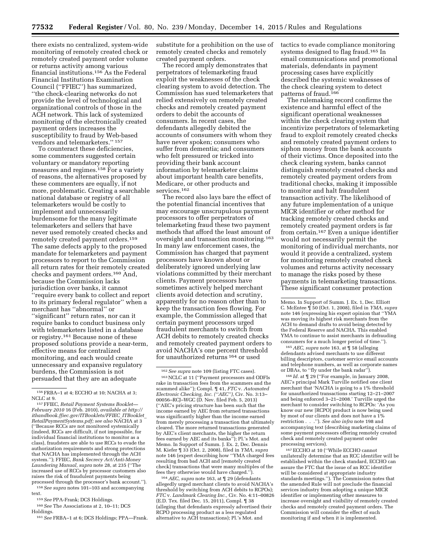there exists no centralized, system-wide monitoring of remotely created check or remotely created payment order volume or returns activity among various financial institutions.156 As the Federal Financial Institutions Examination Council (''FFIEC'') has summarized, ''the check-clearing networks do not provide the level of technological and organizational controls of those in the ACH network. This lack of systemized monitoring of the electronically created payment orders increases the susceptibility to fraud by Web-based vendors and telemarketers.'' 157

To counteract these deficiencies, some commenters suggested certain voluntary or mandatory reporting measures and regimes.<sup>158</sup> For a variety of reasons, the alternatives proposed by these commenters are equally, if not more, problematic. Creating a searchable national database or registry of all telemarketers would be costly to implement and unnecessarily burdensome for the many legitimate telemarketers and sellers that have never used remotely created checks and remotely created payment orders.159 The same defects apply to the proposed mandate for telemarketers and payment processors to report to the Commission all return rates for their remotely created checks and payment orders.160 And, because the Commission lacks jurisdiction over banks, it cannot ''require every bank to collect and report to its primary federal regulator'' when a merchant has ''abnormal'' or ''significant'' return rates, nor can it require banks to conduct business only with telemarketers listed in a database or registry.161 Because none of these proposed solutions provide a near-term, effective means for centralized monitoring, and each would create unnecessary and expansive regulatory burdens, the Commission is not persuaded that they are an adequate

158*See supra* notes 101–103 and accompanying text.

159*See* PPA-Frank; DCS Holdings.

160*See* The Associations at 2, 10–11; DCS Holdings.

161*See* FRBA–1 at 6; DCS Holdings; PPA—Frank.

substitute for a prohibition on the use of remotely created checks and remotely created payment orders.

The record amply demonstrates that perpetrators of telemarketing fraud exploit the weaknesses of the check clearing system to avoid detection. The Commission has sued telemarketers that relied extensively on remotely created checks and remotely created payment orders to debit the accounts of consumers. In recent cases, the defendants allegedly debited the accounts of consumers with whom they have never spoken; consumers who suffer from dementia; and consumers who felt pressured or tricked into providing their bank account information by telemarketer claims about important health care benefits, Medicare, or other products and services.162

The record also lays bare the effect of the potential financial incentives that may encourage unscrupulous payment processors to offer perpetrators of telemarketing fraud these two payment methods that afford the least amount of oversight and transaction monitoring.163 In many law enforcement cases, the Commission has charged that payment processors have known about or deliberately ignored underlying law violations committed by their merchant clients. Payment processors have sometimes actively helped merchant clients avoid detection and scrutiny, apparently for no reason other than to keep the transaction fees flowing. For example, the Commission alleged that certain payment processors urged fraudulent merchants to switch from ACH debits to remotely created checks and remotely created payment orders to avoid NACHA's one percent threshold for unauthorized returns 164 or used

162*See supra* note 109 (listing FTC cases). 163NCLC at 11 (''Payment processors and ODFIs rake in transaction fees from the scammers and the scammed alike''); Compl. ¶ 41, *FTC* v. *Automated Electronic Checking, Inc. (''AEC''),* Civ. No. 3:13– 00056–RCJ–WGC (D. Nev. filed Feb. 5, 2013) (''AEC's pricing structure has been such that the income earned by AEC from returned transactions was significantly higher than the income earned from merely processing a transaction that ultimately cleared. The more returned transactions generated by AEC's client merchants, the higher the return fees earned by AEC and its banks''); Pl.'s Mot. and Memo. In Support of Summ. J. Ex. 2, Dec. Dennis M. Kiefer ¶ 33 (Oct. 2, 2008), filed in *YMA, supra*  note 146 (expert describing how ''YMA charged fees resulting from bad ACH and [remotely created check] transactions that were many multiples of the fees they otherwise would have charged.'').

164*AEC, supra* note 163, at ¶ 29 (defendants allegedly urged merchant clients to avoid NACHA's threshold by switching from ACH debits to RCPOs); *FTC* v. *Landmark Clearing Inc.,* Civ. No. 4:11–00826 (E.D. Tex. filed Dec. 15, 2011), Compl. ¶ 38 (alleging that defendants expressly advertised their RCPO processing product as a less regulated alternative to ACH transactions); Pl.'s Mot. and

tactics to evade compliance monitoring systems designed to flag fraud.165 In email communications and promotional materials, defendants in payment processing cases have explicitly described the systemic weaknesses of the check clearing system to detect patterns of fraud.166

The rulemaking record confirms the existence and harmful effect of the significant operational weaknesses within the check clearing system that incentivize perpetrators of telemarketing fraud to exploit remotely created checks and remotely created payment orders to siphon money from the bank accounts of their victims. Once deposited into the check clearing system, banks cannot distinguish remotely created checks and remotely created payment orders from traditional checks, making it impossible to monitor and halt fraudulent transaction activity. The likelihood of any future implementation of a unique MICR identifier or other method for tracking remotely created checks and remotely created payment orders is far from certain.167 Even a unique identifier would not necessarily permit the monitoring of individual merchants, nor would it provide a centralized, system for monitoring remotely created check volumes and returns activity necessary to manage the risks posed by these payments in telemarketing transactions. These significant consumer protection

165*AEC, supra* note 163, at ¶ 58 (alleging defendants advised merchants to use different billing descriptors, customer service email accounts and telephone numbers, as well as corporate names or DBAs, to ''fly under the bank radar'').

166 *Id.* at ¶ 29 (''For example, in January 2008, AEC's principal Mark Turville notified one client merchant that 'NACHA is going to a 1% threshold for unauthorized transactions starting 12–21–2007 and being enforced 3–21–2008.' Turville urged the merchant to consider switching to RCPOs: 'As you know our new [RCPO] product is now being used by most of our clients and does not have a 1% restriction . . .''). *See also infra* note 198 and accompanying text (describing marketing claims of some payment processors offering remotely created check and remotely created payment order processing services).

167ECCHO at 10 (''While ECCHO cannot unilaterally determine that an RCC identifier will be established within the check standard, ECCHO can assure the FTC that the issue of an RCC identifier will be considered at appropriate industry standards meetings.''). The Commission notes that the amended Rule will not preclude the financial services industry from adopting a unique MICR identifier or implementing other measures to increase oversight and visibility of remotely created checks and remotely created payment orders. The Commission will consider the effect of such monitoring if and when it is implemented.

<sup>&</sup>lt;sup>156</sup> FRBA–1 at 4; ECCHO at 10; NACHA at 3; NCLC at 9.

<sup>157</sup> FFIEC, *Retail Payment Systems Booklet*— *February 2010* 16 (Feb. 2010), *available at [http://](http://ithandbook.ffiec.gov/ITBooklets/FFIEC_ITBooklet_RetailPaymentSystems.pdf)  [ithandbook.ffiec.gov/ITBooklets/FFIEC](http://ithandbook.ffiec.gov/ITBooklets/FFIEC_ITBooklet_RetailPaymentSystems.pdf)*\_*ITBooklet*\_ *[RetailPaymentSystems.pdf;](http://ithandbook.ffiec.gov/ITBooklets/FFIEC_ITBooklet_RetailPaymentSystems.pdf) see also* NACHA at 3 (''Because RCCs are not monitored systemically (indeed, RCCs are difficult, if not impossible, for individual financial institutions to monitor as a class), fraudsters are able to use RCCs to evade the authorization requirements and strong protections that NACHA has implemented through the ACH system.''); FFIEC, *Bank Secrecy Act/Anti-Money Laundering Manual, supra* note 28, at 235 (''The increased use of RCCs by processor customers also raises the risk of fraudulent payments being processed through the processor's bank account.'').

Memo. In Support of Summ. J. Ex. 1, Dec. Elliott C. McEntee ¶ 50 (Oct. 1, 2008), filed in *YMA, supra*  note 146 (expressing his expert opinion that ''YMA was moving its highest risk merchants from the ACH to demand drafts to avoid being detected by the Federal Reserve and NACHA. This enabled YMA to continue to assist merchants in defrauding consumers for a much longer period of time.'').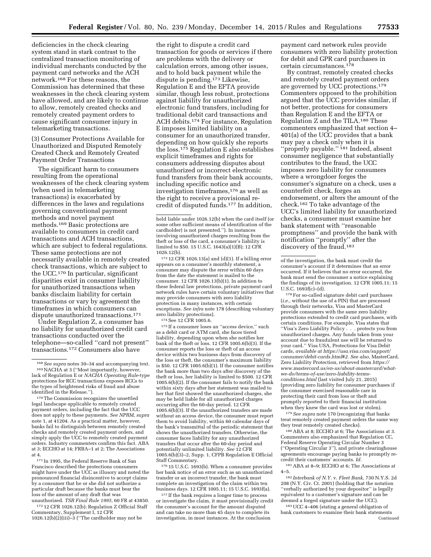deficiencies in the check clearing system stand in stark contrast to the centralized transaction monitoring of individual merchants conducted by the payment card networks and the ACH network.168 For these reasons, the Commission has determined that these weaknesses in the check clearing system have allowed, and are likely to continue to allow, remotely created checks and remotely created payment orders to cause significant consumer injury in telemarketing transactions.

(3) Consumer Protections Available for Unauthorized and Disputed Remotely Created Check and Remotely Created Payment Order Transactions

The significant harm to consumers resulting from the operational weaknesses of the check clearing system (when used in telemarketing transactions) is exacerbated by differences in the laws and regulations governing conventional payment methods and novel payment methods.169 Basic protections are available to consumers in credit card transactions and ACH transactions, which are subject to federal regulations. These same protections are not necessarily available in remotely created check transactions, which are subject to the UCC.170 In particular, significant disparities exist in consumer liability for unauthorized transactions when banks disclaim liability for certain transactions or vary by agreement the timeframes in which consumers can dispute unauthorized transactions.171

Under Regulation Z, a consumer has no liability for unauthorized credit card transactions conducted over the telephone—so-called ''card not present'' transactions.172 Consumers also have

170The Commission recognizes the unsettled legal landscape applicable to remotely created payment orders, including the fact that the UCC does not apply to these payments. *See NPRM, supra*  note 1, at 41204. As a practical matter, however, banks fail to distinguish between remotely created checks and remotely created payment orders, and simply apply the UCC to remotely created payment orders. Industry commenters confirm this fact. ABA at 3; ECCHO at 14; FRBA–1 at 2; The Associations at 4.

171 In 1995, the Federal Reserve Bank of San Francisco described the protections consumers might have under the UCC as illusory and noted the pronounced financial disincentive to accept claims by a consumer that he or she did not authorize a particular draft because the banks must bear the loss of the amount of any draft that was unauthorized. *TSR Final Rule 1995,* 60 FR at 43850.

172 12 CFR 1026.12(b); Regulation Z Official Staff Commentary, Supplement I, 12 CFR 1026.12(b) $(2)(iii)-3$  ("The cardholder may not be

the right to dispute a credit card transaction for goods or services if there are problems with the delivery or calculation errors, among other issues, and to hold back payment while the dispute is pending.173 Likewise, Regulation E and the EFTA provide similar, though less robust, protections against liability for unauthorized electronic fund transfers, including for traditional debit card transactions and ACH debits.174 For instance, Regulation E imposes limited liability on a consumer for an unauthorized transfer, depending on how quickly she reports the loss.175 Regulation E also establishes explicit timeframes and rights for consumers addressing disputes about unauthorized or incorrect electronic fund transfers from their bank accounts, including specific notice and investigation timeframes,176 as well as the right to receive a provisional recredit of disputed funds.177 In addition,

173 12 CFR 1026.13(a) and (d)(1). If a billing error appears on a consumer's monthly statement, a consumer may dispute the error within 60 days from the date the statement is mailed to the consumer. 12 CFR 1026.13(b)(1). In addition to these federal law protections, private payment card network rules have certain voluntary initiatives that may provide consumers with zero liability protection in many instances, with certain exceptions. *See infra* note 178 (describing voluntary zero liability protections).

174See 12 CFR 1005.6.

175 If a consumer loses an ''access device,'' such as a debit card or ATM card, she faces tiered liability, depending upon when she notifies her bank of the theft or loss. 12 CFR 1005.6(b)(3). If the consumer reports the loss or theft of an access device within two business days from discovery of the loss or theft, the consumer's maximum liability is \$50. 12 CFR 1005.6(b)(1). If the consumer notifies the bank more than two days after discovery of the theft or loss, her liability is limited to \$500. 12 CFR 1005.6(b)(2). If the consumer fails to notify the bank within sixty days after her statement was mailed to her that first showed the unauthorized charges, she may be held liable for all unauthorized charges occurring after the 60-day period. 12 CFR  $1005.6(b)(3)$ . If the unauthorized transfers are made without an access device, the consumer must report them to avoid liability, within 60 calendar days of the bank's transmittal of the periodic statement that shows the unauthorized transfers. Otherwise, the consumer faces liability for any unauthorized transfers that occur after the 60-day period and potentially unlimited liability. *See* 12 CFR  $1005.6(b)(3)-2$ , Supp. 1, CFPB Regulation E Official Staff Commentary.

176 15 U.S.C. 1693(b). When a consumer provides her bank notice of an error such as an unauthorized transfer or an incorrect transfer, the bank must complete an investigation of the claim within ten business days. 12 CFR 1005.11; 15 U.S.C. 1693f(a).

177 If the bank requires a longer time to process or investigate the claim, it must provisionally credit the consumer's account for the amount disputed and can take no more than 45 days to complete its investigation, in most instances. At the conclusion

payment card network rules provide consumers with zero liability protection for debit and GPR card purchases in certain circumstances.178

By contrast, remotely created checks and remotely created payment orders are governed by UCC protections.179 Commenters opposed to the prohibition argued that the UCC provides similar, if not better, protections for consumers than Regulation E and the EFTA or Regulation Z and the TILA.180 These commenters emphasized that section 4– 401(a) of the UCC provides that a bank may pay a check only when it is ''properly payable.'' 181 Indeed, absent consumer negligence that substantially contributes to the fraud, the UCC imposes zero liability for consumers where a wrongdoer forges the consumer's signature on a check, uses a counterfeit check, forges an endorsement, or alters the amount of the check.182 To take advantage of the UCC's limited liability for unauthorized checks, a consumer must examine her bank statement with ''reasonable promptness'' and provide the bank with notification ''promptly'' after the discovery of the fraud.<sup>183</sup>

178For so-called signature debit card purchases (*i.e.,* without the use of a PIN) that are processed through their networks, Visa and MasterCard provide consumers with the same zero liability protections extended to credit card purchases, with certain conditions. For example, Visa states that ''Visa's Zero Liability Policy . . . protects you from unauthorized charges. Any funds taken from your account due to fraudulent use will be returned to your card.'' Visa USA, Protections for Visa Debit cards, *available at [https://usa.visa.com/support/](https://usa.visa.com/support/consumer/debit-cards.html#2) [consumer/debit-cards.html#2](https://usa.visa.com/support/consumer/debit-cards.html#2)*. *See also,* MasterCard, Zero Liability Protection, retrieved from *[https://](https://www.mastercard.us/en-us/about-mastercard/what-we-do/terms-of-use/zero-liability-terms-conditions.html) [www.mastercard.us/en-us/about-mastercard/what](https://www.mastercard.us/en-us/about-mastercard/what-we-do/terms-of-use/zero-liability-terms-conditions.html)we-do/terms-of-use/zero-liability-terms[conditions.html](https://www.mastercard.us/en-us/about-mastercard/what-we-do/terms-of-use/zero-liability-terms-conditions.html)* (last visited July 21, 2015) (providing zero liability for consumer purchases if the consumer exercised reasonable care in protecting their card from loss or theft and promptly reported to their financial institution when they knew the card was lost or stolen).

179*See supra* note 170 (recognizing that banks treat remotely created payment orders the same way they treat remotely created checks).

180ABA at 8; ECCHO at 6; The Associations at 3. Commenters also emphasized that Regulation CC, Federal Reserve Operating Circular Number 3 (''Operating Circular 3''), and private clearinghouse agreements encourage paying banks to promptly recredit their customers' accounts. *Id.* 

181ABA at 8–9; ECCHO at 6; The Associations at 4–5.

182 *Interbank of N.Y.* v. *Fleet Bank,* 730 N.Y.S. 2d 208 (N.Y. Civ. Ct. 2001) (holding that the notation ''verbally authorized by your depositor'' is legally equivalent to a customer's signature and can be deemed a forged signature under the UCC).

183UCC 4–406 (stating a general obligation of bank customers to examine their bank statements Continued

<sup>168</sup>*See supra* notes 30–34 and accompanying text. 169NACHA at 3 (''Most importantly, however, lack of Regulation E or *NACHA Operating Rule*-type protections for RCC transactions exposes RCCs to the types of heightened risks of fraud and abuse identified in the Release.'').

held liable under 1026.12(b) when the card itself (or some other sufficient means of identification of the cardholder) is not presented.''). In instances involving unauthorized charges resulting from the theft or loss of the card, a consumer's liability is limited to \$50. 15 U.S.C. 1643(a)(1)(B); 12 CFR 1026.12(b).

of the investigation, the bank must credit the consumer's account if it determines that an error occurred. If it believes that no error occurred, the bank must send the consumer a notice explaining the findings of its investigation. 12 CFR 1005.11; 15 U.S.C. 1693f(c)–(d).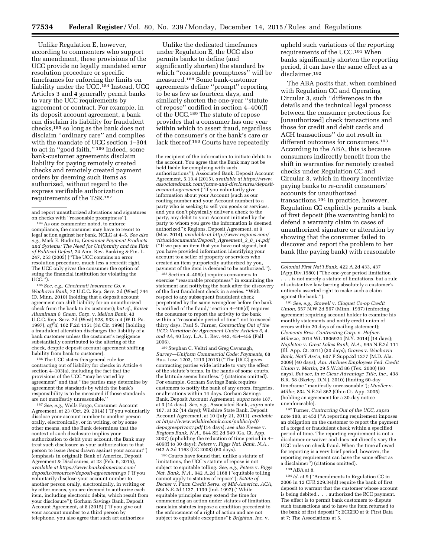Unlike Regulation E, however, according to commenters who support the amendment, these provisions of the UCC provide no legally mandated error resolution procedure or specific timeframes for enforcing the limits on liability under the UCC.<sup>184</sup> Instead, UCC Articles 3 and 4 generally permit banks to vary the UCC requirements by agreement or contract. For example, in its deposit account agreement, a bank can disclaim its liability for fraudulent checks,185 so long as the bank does not disclaim ''ordinary care'' and complies with the mandate of UCC section 1–304 to act in ''good faith.'' 186 Indeed, some bank-customer agreements disclaim liability for paying remotely created checks and remotely created payment orders by deeming such items as authorized, without regard to the express verifiable authorization requirements of the TSR.187

and report unauthorized alterations and signatures on checks with ''reasonable promptness'').

184As one commenter noted, to enforce compliance, the consumer may have to resort to legal action against her bank. NCLC at 4–5. *See also e.g.,* Mark E. Budnitz, *Consumer Payment Products and Systems: The Need for Uniformity and the Risk of Political Defeat,* 24 Ann. Rev. Banking & Fin. L. 247, 253 (2005) (''The UCC contains no error resolution procedure, much less a recredit right. The UCC only gives the consumer the option of suing the financial institution for violating the UCC.'').

185*See, e.g., Cincinnati Insurance Co.* v. *Wachovia Bank,* 72 U.C.C. Rep. Serv. 2d (West) 744 (D. Minn. 2010) (holding that a deposit account agreement can shift liability for an unauthorized check from the bank to its customer); *but cf., Kaiser Aluminum & Chem. Corp.* v. *Mellon Bank,* 43 U.C.C. Rep. Serv. 2d (West) 928, 933 n.4 (W.D. Pa. 1997), *aff'd,* 162 F.2d 1151 (3d Cir. 1998) (holding a fraudulent alteration discharges the liability of a bank customer unless the customer's negligence substantially contributed to the altering of the check, despite deposit account agreement shifting liability from bank to customer).

186The UCC states this general rule for contracting out of liability for checks in Article 4 section 4–103(a), including the fact that the provisions of the UCC ''may be varied by agreement'' and that ''the parties may determine by agreement the standards by which the bank's responsibility is to be measured if those standards are not manifestly unreasonable.''

187*See, e.g.,* Wells Fargo, Consumer Account Agreement, at 23 (Oct. 29, 2014) (''If you voluntarily disclose your account number to another person orally, electronically, or in writing, or by some other means, and the Bank determines that the context of such disclosure implies your authorization to debit your account, the Bank may treat such disclosure as your authorization to that person to issue *items* drawn against your account'') (emphasis in original); Bank of America, Deposit Agreement & Disclosures, at 23 (Feb. 6, 2015), *available at [https://www.bankofamerica.com/](https://www.bankofamerica.com/deposits/resources/deposit-agreements.go) [deposits/resources/deposit-agreements.go](https://www.bankofamerica.com/deposits/resources/deposit-agreements.go)* (''If you voluntarily disclose your account number to another person orally, electronically, in writing or by other means, you are deemed to authorize each item, including electronic debits, which result from your disclosure''); Gorham Savings Bank, Deposit Account Agreement, at 8 (2015) (''If you give out your account number to a third person by telephone, you also agree that such act authorizes

Unlike the dedicated timeframes under Regulation E, the UCC also permits banks to define (and significantly shorten) the standard by which "reasonable promptness" will be measured.188 Some bank-customer agreements define ''prompt'' reporting to be as few as fourteen days, and similarly shorten the one-year ''statute of repose'' codified in section 4–406(f) of the UCC.189 The statute of repose provides that a consumer has one year within which to assert fraud, regardless of the consumer's or the bank's care or lack thereof.190 Courts have repeatedly

188Section 4–406(c) requires consumers to exercise ''reasonable promptness'' in examining the statement and notifying the bank after the discovery of the first fraudulent check in a series. ''With respect to any subsequent fraudulent check perpetrated by the same wrongdoer before the bank is notified of the fraud,'' section 4–406(d) requires the consumer to report the activity to the bank within a ''reasonable period of time'' not to exceed thirty days. Paul S. Turner, *Contracting Out of the UCC: Variation by Agreement Under Articles 3, 4, and 4A,* 40 Loy. L.A. L. Rev. 443, 454–455 (Fall 2006).

189Stephan C. Veltri and Greg Cavanagh, *Survey—Uniform Commercial Code: Payments,* 68 Bus. Law. 1203, 1213 (2013) (''The [UCC] gives contracting parties wide latitude to vary the effect of the statute's terms. In the hands of some courts, the latitude seems limitless.'') (citations omitted). For example, Gorham Savings Bank requires customers to notify the bank of any errors, forgeries, or alterations within 14 days. Gorham Savings Bank, Deposit Account Agreement, *supra* note 187, at 3 (14 days). *See, e.g.,* Associated Bank, *supra* note 187, at 32 (14 days); Wilshire State Bank, Deposit Account Agreement, at 10 (July 21, 2011), *available at [https://www.wilshirebank.com/public/pdf/](https://www.wilshirebank.com/public/pdf/depagreeprivacy.pdf) [depagreeprivacy.pdf](https://www.wilshirebank.com/public/pdf/depagreeprivacy.pdf)* (14 days); *see also Freese* v. *Regions Bank, N.A.,* 644 SE.2d 549 (Ga. Ct. App. 2007) (upholding the reduction of time period in 4– 406(f) to 30 days); *Peters* v. *Riggs Nat. Bank, N.A.,*  942 A.2d 1163 (DC 2008) (60 days).

190Courts have found that, unlike a statute of limitations, the UCC's statute of repose is not subject to equitable tolling. *See, e.g., Peters* v. *Riggs Nat. Bank, N.A.,* 942 A.2d 1168 (''equitable tolling cannot apply to statutes of repose''); *Estate of Decker* v. *Farm Credit Servs. of Mid-America, ACA,*  684 N.E.2d 1137, 1139 (Ind. 1997) (''While equitable principles may extend the time for commencing an action under statutes of limitation, nonclaim statutes impose a condition precedent to the enforcement of a right of action and are not subject to equitable exceptions''); *Brighton, Inc.* v.

upheld such variations of the reporting requirements of the UCC.191 When banks significantly shorten the reporting period, it can have the same effect as a disclaimer.192

The ABA posits that, when combined with Regulation CC and Operating Circular 3, such ''differences in the details and the technical legal process between the consumer protections for [unauthorized] check transactions and those for credit and debit cards and ACH transactions'' do not result in different outcomes for consumers.  $^{\rm 193}$ According to the ABA, this is because consumers indirectly benefit from the shift in warranties for remotely created checks under Regulation CC and Circular 3, which in theory incentivize paying banks to re-credit consumers' accounts for unauthorized transactions.194 In practice, however, Regulation CC explicitly permits a bank of first deposit (the warranting bank) to defend a warranty claim in cases of unauthorized signature or alteration by showing that the consumer failed to discover and report the problem to her bank (the paying bank) with reasonable

191*See, e.g., Stowell* v. *Cloquet Co-op Credit Union,* 557 N.W.2d 567 (Minn. 1997) (enforcing agreement requiring account holder to examine his monthly statements and notify credit union of errors within 20 days of mailing statement); *Clemente Bros. Contracting Corp.* v. *Hafner-Milazzo,* 2014 WL 1806924 (N.Y. 2014) (14 days); *Napleton* v. *Great Lakes Bank, N.A.,* 945 N.E.2d 111 (Ill. App. Ct. 2011) (30 days); *Graves* v. *Wachovia Bank, Nat'l Ass'n,* 607 F.Supp.2d 1277 (M.D. Ala. 2009) (40 days); *Am. Airlines Employees Fed. Credit Union* v. *Martin,* 29 S.W.3d 86 (Tex. 2000) (60 days). *But see, In re Clear Advantage Title, Inc.,* 438 B.R. 58 (Bkrtcy. D.N.J. 2010) (finding 60-day timeframe ''manifestly unreasonable''); *Mueller* v. *Miller,* 834 N.E.2d 862 (Ohio Ct. App. 2005) (holding an agreement for a 30-day notice unenforceable).

192Turner, *Contracting Out of the UCC, supra*  note 188, at 453 (''A reporting requirement imposes an obligation on the customer to report the payment of a forged or fraudulent check within a specified period of time. The reporting requirement is not a disclaimer or waiver and does not directly vary the UCC rules on check fraud. When the time allowed for reporting is a very brief period, however, the reporting requirement can have the same effect as a disclaimer'') (citations omitted).

194 *Id.* at 9 (''Amendments to Regulation CC in 2006 in 12 CFR 229.34(d) require the bank of first deposit to warrant that the customer whose account is being debited . . . authorized the RCC payment. The effect is to permit bank customers to dispute such transactions and to have the item returned to the bank of first deposit''); ECCHO at 9; First Data at 7; The Associations at 5.

the recipient of the information to initiate debits to the account. You agree that the Bank may not be held liable for complying with such authorizations''); Associated Bank, Deposit Account Agreement, 5.13.4 (2015), *available at [https://www.](https://www.associatedbank.com/forms-and-disclosures/deposit-account-agreement) [associatedbank.com/forms-and-disclosures/deposit](https://www.associatedbank.com/forms-and-disclosures/deposit-account-agreement)[account-agreement](https://www.associatedbank.com/forms-and-disclosures/deposit-account-agreement)* (''If you voluntarily give information about your Account (such as our routing number and your Account number) to a party who is seeking to sell you goods or services, and you don't physically deliver a check to the party, any debit to your Account initiated by the party to whom you gave the information is deemed authorized''); Regions, Deposit Agreement, at 9 (Mar. 2014), *available at [http://www.regions.com/](http://www.regions.com/virtualdocuments/Deposit_Agreement_3_6_14.pdf) [virtualdocuments/Deposit](http://www.regions.com/virtualdocuments/Deposit_Agreement_3_6_14.pdf)*\_*Agreement*\_*3*\_*6*\_*14.pdf*  (''If we pay an item that you have not signed, but you have provided information identifying your account to a seller of property or services who created an item purportedly authorized by you, payment of the item is deemed to be authorized.'').

*Colonial First Nat'l Bank,* 422 A.2d 433, 437 (App.Div.1980) (''The one-year period limitation . is not merely a statute of limitations, but a rule of substantive law barring absolutely a customer's untimely asserted right to make such a claim against the bank.'').

<sup>193</sup>ABA at 8.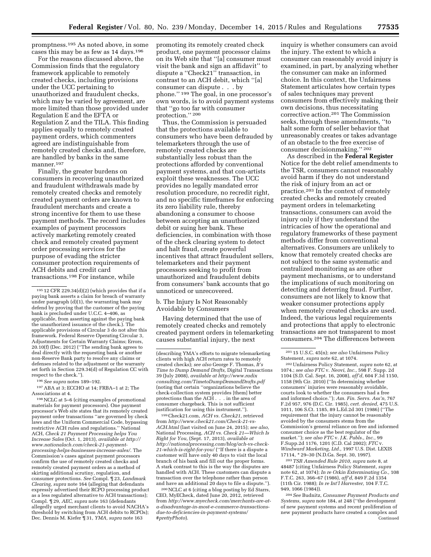promptness.195 As noted above, in some cases this may be as few as 14 days.196

For the reasons discussed above, the Commission finds that the regulatory framework applicable to remotely created checks, including provisions under the UCC pertaining to unauthorized and fraudulent checks, which may be varied by agreement, are more limited than those provided under Regulation E and the EFTA or Regulation Z and the TILA. This finding applies equally to remotely created payment orders, which commenters agreed are indistinguishable from remotely created checks and, therefore, are handled by banks in the same manner.<sup>197</sup>

Finally, the greater burdens on consumers in recovering unauthorized and fraudulent withdrawals made by remotely created checks and remotely created payment orders are known to fraudulent merchants and create a strong incentive for them to use these payment methods. The record includes examples of payment processors actively marketing remotely created check and remotely created payment order processing services for the purpose of evading the stricter consumer protection requirements of ACH debits and credit card transactions.198 For instance, while

196*See supra* notes 189–192.

197ABA at 3; ECCHO at 14; FRBA–1 at 2; The Associations at 4.

198NCLC at 5–6 (citing examples of promotional materials for payment processors). One payment processor's Web site states that its remotely created payment order transactions ''are governed by check laws and the Uniform Commercial Code, bypassing restrictive ACH rules and regulations.'' National ACH, *Check 21 Payment Processing helps You Increase Sales* (Oct. 1, 2013), *available at [http://](http://www.nationalach.com/check-21-payment-processing-helps-businesses-increase-sales/) [www.nationalach.com/check-21-payment](http://www.nationalach.com/check-21-payment-processing-helps-businesses-increase-sales/)[processing-helps-businesses-increase-sales/](http://www.nationalach.com/check-21-payment-processing-helps-businesses-increase-sales/)*. The Commission's cases against payment processors confirm the use of remotely created checks and remotely created payment orders as a method of skirting additional scrutiny, regulation, and consumer protections. *See* Compl. ¶ 23, *Landmark Clearing, supra* note 164 (alleging that defendants expressly advertised their RCPO processing product as a less regulated alternative to ACH transactions); Compl. ¶ 29, *AEC, supra* note 163 (defendants allegedly urged merchant clients to avoid NACHA's threshold by switching from ACH debits to RCPOs); Dec. Dennis M. Kiefer ¶ 31, *YMA, supra* note 163

promoting its remotely created check product, one payment processor claims on its Web site that ''[a] consumer must visit the bank and sign an affidavit'' to dispute a ''Check21'' transaction, in contrast to an ACH debit, which ''[a] consumer can dispute . . . by phone.'' 199 The goal, in one processor's own words, is to avoid payment systems that ''go too far with consumer protection.'' 200

Thus, the Commission is persuaded that the protections available to consumers who have been defrauded by telemarketers through the use of remotely created checks are substantially less robust than the protections afforded by conventional payment systems, and that con-artists exploit these weaknesses. The UCC provides no legally mandated error resolution procedure, no recredit right, and no specific timeframes for enforcing its zero liability rule, thereby abandoning a consumer to choose between accepting an unauthorized debit or suing her bank. These deficiencies, in combination with those of the check clearing system to detect and halt fraud, create powerful incentives that attract fraudulent sellers, telemarketers and their payment processors seeking to profit from unauthorized and fraudulent debits from consumers' bank accounts that go unnoticed or unrecovered.

#### b. The Injury Is Not Reasonably Avoidable by Consumers

Having determined that the use of remotely created checks and remotely created payment orders in telemarketing causes substantial injury, the next

199Check21.com, *ACH vs. Check21,* retrieved from *[http://www.check21.com/Check-21-vs-](http://www.check21.com/Check-21-vs-ACH.html)[ACH.html](http://www.check21.com/Check-21-vs-ACH.html)* (last visited on June 24, 2015); *see also,*  National Processing, *ACH vs. Check 21—Which Is Right for You,* (Sept. 17, 2013), *available at [http://nationalprocessing.com/blog/ach-vs-check-](http://nationalprocessing.com/blog/ach-vs-check-21-which-is-right-for-you/)[21-which-is-right-for-you/](http://nationalprocessing.com/blog/ach-vs-check-21-which-is-right-for-you/)* (''If there is a dispute a customer will have only 40 days to visit the local branch of his bank and fill out the proper forms. A stark contrast to this is the way the disputes are handled with ACH. These customers can dispute a transaction over the telephone rather than person and have an additional 20 days to file a dispute.'').

200NCLC at 6 (citing a blog posting by Ed Starrs, CEO, MyECheck, dated June 20, 2012, retrieved from *[http://www.myecheck.com/merchants-are-at](http://www.myecheck.com/merchants-are-at-a-disadvantage-in-most-e-commerce-transactions-due-to-deficiencies-in-payment-systems/#prettyPhoto)[a-disadvantage-in-most-e-commerce-transactions](http://www.myecheck.com/merchants-are-at-a-disadvantage-in-most-e-commerce-transactions-due-to-deficiencies-in-payment-systems/#prettyPhoto)due-to-deficiencies-in-payment-systems/ #prettyPhoto*).

inquiry is whether consumers can avoid the injury. The extent to which a consumer can reasonably avoid injury is examined, in part, by analyzing whether the consumer can make an informed choice. In this context, the Unfairness Statement articulates how certain types of sales techniques may prevent consumers from effectively making their own decisions, thus necessitating corrective action.201 The Commission seeks, through these amendments, ''to halt some form of seller behavior that unreasonably creates or takes advantage of an obstacle to the free exercise of consumer decisionmaking.'' 202

As described in the **Federal Register**  Notice for the debt relief amendments to the TSR, consumers cannot reasonably avoid harm if they do not understand the risk of injury from an act or practice.203 In the context of remotely created checks and remotely created payment orders in telemarketing transactions, consumers can avoid the injury only if they understand the intricacies of how the operational and regulatory frameworks of these payment methods differ from conventional alternatives. Consumers are unlikely to know that remotely created checks are not subject to the same systematic and centralized monitoring as are other payment mechanisms, or to understand the implications of such monitoring on detecting and deterring fraud. Further, consumers are not likely to know that weaker consumer protections apply when remotely created checks are used. Indeed, the various legal requirements and protections that apply to electronic transactions are not transparent to most consumers.204 The differences between

202Unfairness Policy Statement, *supra* note 62, at 1074.; *see also FTC* v. *Neovi, Inc.,* 598 F. Supp. 2d 1104 (S.D. Cal. Sept. 16, 2008), *aff'd,* 604 F.3d 1150, 1158 (9th Cir. 2010) (''In determining whether consumers' injuries were reasonably avoidable, courts look to whether the consumers had a free and informed choice.''); *Am. Fin. Servs. Ass'n,* 767 F.2d 957, 976 (D.C. Cir. 1985), *cert. denied,* 475 U.S. 1011, 106 S.Ct. 1185, 89 L.Ed.2d 301 (1986) (''The requirement that the injury cannot be reasonably avoided by the consumers stems from the Commission's general reliance on free and informed consumer choice as the best regulator of the market.''); *see also FTC* v. *J.K. Publs., Inc.,* 99 F.Supp.2d 1176, 1201 (C.D. Cal 2002); *FTC* v. *Windward Marketing, Ltd.,* 1997 U.S. Dist. LEXIS 17114, \* 29–30 (N.D.Ga. Sept. 30, 1997).

203*TSR Amended Rule 2010, supra* note 8, at 48487 (citing Unfairness Policy Statement, *supra*  note 62, at 1074); *In re Orkin Exterminating Co.,* 108 F.T.C. 263, 366–67 (1986), *aff'd,* 849 F.2d 1354 (11th Cir. 1988); *In re Int'l Harvester,* 104 F.T.C. 949, 1066 (1984)).

204*See* Budnitz, *Consumer Payment Products and Systems, supra* note 184, at 248 (''the development of new payment systems and recent proliferation of new payment products have created a complex and **Continued** 

<sup>195</sup> 12 CFR 229.34(d)(2) (which provides that if a paying bank asserts a claim for breach of warranty under paragraph (d)(1), the warranting bank may defend by proving that the customer of the paying bank is precluded under U.C.C. 4–406, as applicable, from asserting against the paying bank the unauthorized issuance of the check.). The applicable provisions of Circular 3 do not alter this framework. Federal Reserve Operating Circular 3, Adjustments for Certain Warranty Claims; Errors, 20.10(f) (Dec. 2012) (''The sending bank agrees to deal directly with the requesting bank or another non-Reserve Bank party to resolve any claims or defenses related to the adjustment or the warranty set forth in Section 229.34(d) of Regulation CC with respect to the check.'').

<sup>(</sup>describing YMA's efforts to migrate telemarketing clients with high ACH return rates to remotely created checks); *see also* George F. Thomas, *It's Time to Dump Demand Drafts,* Digital Transactions 39 (July 2008), *available at [http://www.radix](http://www.radixconsulting.com/TimetoDumpDemandDrafts.pdf) [consulting.com/TimetoDumpDemandDrafts.pdf](http://www.radixconsulting.com/TimetoDumpDemandDrafts.pdf)*  (noting that certain ''organizations believe the check-collection system provides [them] better protections than the ACH . . . in the area of consumer chargeback. This is not sufficient justification for using this instrument.'').

<sup>201</sup> 15 U.S.C. 45(n); *see also* Unfairness Policy Statement, *supra* note 62, at 1074.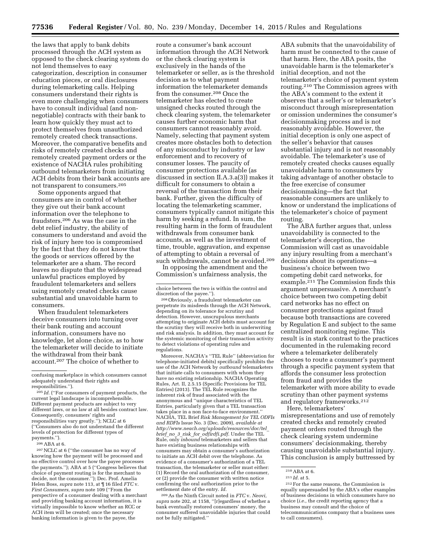the laws that apply to bank debits processed through the ACH system as opposed to the check clearing system do not lend themselves to easy categorization, description in consumer education pieces, or oral disclosures during telemarketing calls. Helping consumers understand their rights is even more challenging when consumers have to consult individual (and nonnegotiable) contracts with their bank to learn how quickly they must act to protect themselves from unauthorized remotely created check transactions. Moreover, the comparative benefits and risks of remotely created checks and remotely created payment orders or the existence of NACHA rules prohibiting outbound telemarketers from initiating ACH debits from their bank accounts are not transparent to consumers.205

Some opponents argued that consumers are in control of whether they give out their bank account information over the telephone to fraudsters.206 As was the case in the debt relief industry, the ability of consumers to understand and avoid the risk of injury here too is compromised by the fact that they do not know that the goods or services offered by the telemarketer are a sham. The record leaves no dispute that the widespread unlawful practices employed by fraudulent telemarketers and sellers using remotely created checks cause substantial and unavoidable harm to consumers.

When fraudulent telemarketers deceive consumers into turning over their bank routing and account information, consumers have no knowledge, let alone choice, as to how the telemarketer will decide to initiate the withdrawal from their bank account.207 The choice of whether to

205 *Id.* (''For consumers of payment products, the current legal landscape is incomprehensible. Different payment products are subject to very different laws, or no law at all besides contract law. Consequently, consumers' rights and responsibilities vary greatly.''); NCLC at 6 (''Consumers also do not understand the different levels of protection for different types of payments.'').

206ABA at 6.

207NCLC at 6 (''the consumer has no way of knowing how the payment will be processed and no effective control over how the payee processes the payments.''); ABA at 5 (''Congress believes that choice of payment routing is for the merchant to decide, not the consumer.''); Dec. Prof. Amelia Helen Boss, *supra* note 113, at ¶ 16 filed *FTC* v. *First Consumers, supra* note 109 (''From the perspective of a consumer dealing with a merchant and providing banking account information, it is virtually impossible to know whether an RCC or ACH item will be created; once the necessary banking information is given to the payee, the

route a consumer's bank account information through the ACH Network or the check clearing system is exclusively in the hands of the telemarketer or seller, as is the threshold decision as to what payment information the telemarketer demands from the consumer.208 Once the telemarketer has elected to create unsigned checks routed through the check clearing system, the telemarketer causes further economic harm that consumers cannot reasonably avoid. Namely, selecting that payment system creates more obstacles both to detection of any misconduct by industry or law enforcement and to recovery of consumer losses. The paucity of consumer protections available (as discussed in section II.A.3.a(3)) makes it difficult for consumers to obtain a reversal of the transaction from their bank. Further, given the difficulty of locating the telemarketing scammer, consumers typically cannot mitigate this harm by seeking a refund. In sum, the resulting harm in the form of fraudulent withdrawals from consumer bank accounts, as well as the investment of time, trouble, aggravation, and expense of attempting to obtain a reversal of such withdrawals, cannot be avoided.209

In opposing the amendment and the Commission's unfairness analysis, the

<sup>208</sup> Obviously, a fraudulent telemarketer can perpetrate its misdeeds through the ACH Network, depending on its tolerance for scrutiny and detection. However, unscrupulous merchants attempting to originate ACH debits must account for the scrutiny they will receive both in underwriting and risk analysis. In addition, they must account for the systemic monitoring of their transaction activity to detect violations of operating rules and regulations.

Moreover, NACHA's ''TEL Rule'' (abbreviation for telephone-initiated debits) specifically prohibits the use of the ACH Network by *outbound* telemarketers that initiate calls to consumers with whom they have no existing relationship. NACHA Operating Rules, Art. II, 2.5.15 (Specific Provisions for TEL Entries) (2013). The TEL Rule recognizes the inherent risk of fraud associated with the anonymous and ''unique characteristics of TEL Entries, particularly given that a TEL transaction takes place in a non face-to-face environment.'' NACHA, TEL Brief *Risk Management for TEL ODFIs and RDFIs* Issue No. 3 (Dec. 2009), *available at [http://www.neach.org/uploads/resources/doc/tel](http://www.neach.org/uploads/resources/doc/tel_brief_no_3_risk_for_odfirdfi.pdf)*\_ *brief*\_*no*\_*3*\_*risk*\_*for*\_*[odfirdfi.pdf](http://www.neach.org/uploads/resources/doc/tel_brief_no_3_risk_for_odfirdfi.pdf)*. Under the TEL Rule, only *inbound* telemarketers and sellers that have existing business relationships with consumers may obtain a consumer's authorization to initiate an ACH debit over the telephone. As evidence of a consumer's authorization of a TEL transaction, the telemarketer or seller must either: (1) Record the oral authorization of the consumer, or (2) provide the consumer with written notice confirming the oral authorization prior to the settlement date of the entry. *Id.* 

209As the Ninth Circuit noted in *FTC* v. *Neovi, supra* note 202, at 1158, ''[r]egardless of whether a bank eventually restored consumers' money, the consumer suffered unavoidable injuries that could not be fully mitigated.''

ABA submits that the unavoidability of harm must be connected to the cause of that harm. Here, the ABA posits, the unavoidable harm is the telemarketer's initial deception, and not the telemarketer's choice of payment system routing.210 The Commission agrees with the ABA's comment to the extent it observes that a seller's or telemarketer's misconduct through misrepresentation or omission undermines the consumer's decisionmaking process and is not reasonably avoidable. However, the initial deception is only one aspect of the seller's behavior that causes substantial injury and is not reasonably avoidable. The telemarketer's use of remotely created checks causes equally unavoidable harm to consumers by taking advantage of another obstacle to the free exercise of consumer decisionmaking—the fact that reasonable consumers are unlikely to know or understand the implications of the telemarketer's choice of payment routing.

The ABA further argues that, unless unavoidability is connected to the telemarketer's deception, the Commission will cast as unavoidable any injury resulting from a merchant's decisions about its operations—a business's choice between two competing debit card networks, for example.211 The Commission finds this argument unpersuasive. A merchant's choice between two competing debit card networks has no effect on consumer protections against fraud because both transactions are covered by Regulation E and subject to the same centralized monitoring regime. This result is in stark contrast to the practices documented in the rulemaking record where a telemarketer deliberately chooses to route a consumer's payment through a specific payment system that affords the consumer less protection from fraud and provides the telemarketer with more ability to evade scrutiny than other payment systems and regulatory frameworks.212

Here, telemarketers' misrepresentations and use of remotely created checks and remotely created payment orders routed through the check clearing system undermine consumers' decisionmaking, thereby causing unavoidable substantial injury. This conclusion is amply buttressed by

confusing marketplace in which consumers cannot adequately understand their rights and responsibilities.'').

choice between the two is within the control and<br>discretion of the payee.").

<sup>210</sup>ABA at 6.

<sup>211</sup> *Id.* at 5.

<sup>212</sup>For the same reasons, the Commission is equally unpersuaded by the ABA's other examples of business decisions in which consumers have no choice (*i.e.,* the credit reporting agency that a business may consult and the choice of telecommunications company that a business uses to call consumers).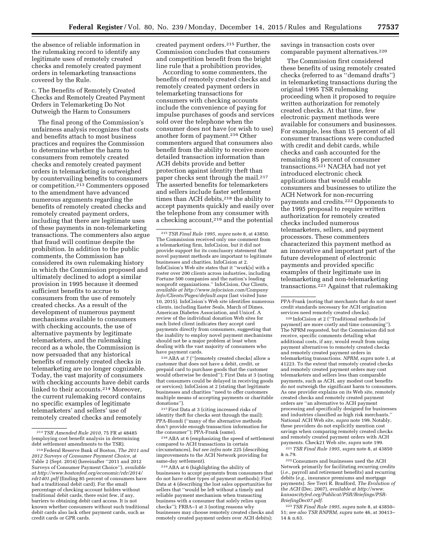the absence of reliable information in the rulemaking record to identify any legitimate uses of remotely created checks and remotely created payment orders in telemarketing transactions covered by the Rule.

c. The Benefits of Remotely Created Checks and Remotely Created Payment Orders in Telemarketing Do Not Outweigh the Harm to Consumers

The final prong of the Commission's unfairness analysis recognizes that costs and benefits attach to most business practices and requires the Commission to determine whether the harm to consumers from remotely created checks and remotely created payment orders in telemarketing is outweighed by countervailing benefits to consumers or competition.213 Commenters opposed to the amendment have advanced numerous arguments regarding the benefits of remotely created checks and remotely created payment orders, including that there are legitimate uses of these payments in non-telemarketing transactions. The commenters also argue that fraud will continue despite the prohibition. In addition to the public comments, the Commission has considered its own rulemaking history in which the Commission proposed and ultimately declined to adopt a similar provision in 1995 because it deemed sufficient benefits to accrue to consumers from the use of remotely created checks. As a result of the development of numerous payment mechanisms available to consumers with checking accounts, the use of alternative payments by legitimate telemarketers, and the rulemaking record as a whole, the Commission is now persuaded that any historical benefits of remotely created checks in telemarketing are no longer cognizable. Today, the vast majority of consumers with checking accounts have debit cards linked to their accounts.214 Moreover, the current rulemaking record contains no specific examples of legitimate telemarketers' and sellers' use of remotely created checks and remotely

created payment orders.215 Further, the Commission concludes that consumers and competition benefit from the bright line rule that a prohibition provides.

According to some commenters, the benefits of remotely created checks and remotely created payment orders in telemarketing transactions for consumers with checking accounts include the convenience of paying for impulse purchases of goods and services sold over the telephone when the consumer does not have (or wish to use) another form of payment.216 Other commenters argued that consumers also benefit from the ability to receive more detailed transaction information than ACH debits provide and better protection against identity theft than paper checks sent through the mail.<sup>217</sup> The asserted benefits for telemarketers and sellers include faster settlement times than ACH debits, <sup>218</sup> the ability to accept payments quickly and easily over the telephone from any consumer with a checking account,<sup>219</sup> and the potential

216ABA at 7 (''[remotely created checks] allow a customer that does not have a debit, credit, or prepaid card to purchase goods that the customer would otherwise be denied''); First Data at 3 (noting that consumers could be delayed in receiving goods or services); InfoCision at 2 (stating that legitimate businesses and charities ''need to offer customers multiple means of accepting payments or charitable donations'').

217First Data at 3 (citing increased risks of identity theft for checks sent through the mail); PPA-Biondi (''many of the alternative methods don't provide enough transaction information for the consumer''); PPA-Frank (same).

218ABA at 6 (emphasizing the speed of settlement compared to ACH transactions in certain circumstances), *but see infra* note 225 (describing improvements to the ACH Network providing for same-day settlement).

219ABA at 6 (highlighting the ability of businesses to accept payments from consumers that do not have other types of payment methods); First Data at 4 (describing the lost sales opportunities for sellers that ''would be left without a timely and reliable payment mechanism when transacting business with a consumer that solely relies upon checks''); FRBA–1 at 3 (noting reasons why businesses may choose remotely created checks and remotely created payment orders over ACH debits);

savings in transaction costs over comparable payment alternatives.220

The Commission first considered these benefits of using remotely created checks (referred to as ''demand drafts'') in telemarketing transactions during the original 1995 TSR rulemaking proceeding when it proposed to require written authorization for remotely created checks. At that time, few electronic payment methods were available for consumers and businesses. For example, less than 15 percent of all consumer transactions were conducted with credit and debit cards, while checks and cash accounted for the remaining 85 percent of consumer transactions.221 NACHA had not yet introduced electronic check applications that would enable consumers and businesses to utilize the ACH Network for non-recurring payments and credits.222 Opponents to the 1995 proposal to require written authorization for remotely created checks included numerous telemarketers, sellers, and payment processors. These commenters characterized this payment method as an innovative and important part of the future development of electronic payments and provided specific examples of their legitimate use in telemarketing and non-telemarketing transactions.223 Against that rulemaking

220 InfoCision at 2 (''Traditional methods [of payment] are more costly and time consuming''). The NPRM requested, but the Commission did not receive, specific comments detailing what additional costs, if any, would result from using payment alternatives to remotely created checks and remotely created payment orders in telemarketing transactions. *NPRM, supra* note 1, at 41223. To the extent that remotely created checks and remotely created payment orders may cost telemarketers and sellers less than comparable payments, such as ACH, any modest cost benefits do not outweigh the significant harm to consumers. As one provider explains on its Web site, remotely created checks and remotely created payment orders are ''an alternative to ACH payment processing and specifically designed for businesses and industries classified as high risk merchants.'' National ACH Web site, *supra* note 199. Notably, these providers do not explicitly mention cost savings when comparing remotely created checks and remotely created payment orders with ACH payments. Check21 Web site, *supra* note 199.

221*TSR Final Rule 1995, supra* note 8, at 43850 & n.79.

222Consumers and businesses used the ACH Network primarily for facilitating recurring credits (*i.e.,* payroll and retirement benefits) and recurring debits (*e.g.,* insurance premiums and mortgage payments). *See* Terri R. Bradford, *The Evolution of the ACH* (Dec. 2007), *available at [http://www.](http://www.kansascityfed.org/Publicat/PSR/Briefings/PSR-BriefingDec07.pdf) [kansascityfed.org/Publicat/PSR/Briefings/PSR-](http://www.kansascityfed.org/Publicat/PSR/Briefings/PSR-BriefingDec07.pdf)[BriefingDec07.pdf](http://www.kansascityfed.org/Publicat/PSR/Briefings/PSR-BriefingDec07.pdf)*.

223*TSR Final Rule 1995, supra* note 8, at 43850– 51; *see also TSR RNPRM, supra* note 46, at 30413– 14 & n.63.

<sup>213</sup>*TSR Amended Rule 2010,* 75 FR at 48485 (employing cost benefit analysis in determining debt settlement amendments to the TSR).

<sup>214</sup>Federal Reserve Bank of Boston, *The 2011 and 2012 Surveys of Consumer Payment Choice,* at Table 2 (Sept. 2014) (hereinafter ''2011 and 2012 Surveys of Consumer Payment Choice''), *available at [http://www.bostonfed.org/economic/rdr/2014/](http://www.bostonfed.org/economic/rdr/2014/rdr1401.pdf) [rdr1401.pdf](http://www.bostonfed.org/economic/rdr/2014/rdr1401.pdf)* (finding 85 percent of consumers have had a traditional debit card). For the small percentage of checking account holders without traditional debit cards, there exist few, if any, barriers to obtaining debit card access. It is not known whether consumers without such traditional debit cards also lack other payment cards, such as credit cards or GPR cards.

<sup>215</sup>*TSR Final Rule 1995, supra* note 8, at 43850. The Commission received only one comment from a telemarketing firm, InfoCision, but it did not provide support for its conclusory statement that novel payment methods are important to legitimate businesses and charities. InfoCision at 2. InfoCision's Web site states that it ''work[s] with a roster over 200 clients across industries, including Fortune 500 companies and the nation's leading nonprofit organizations.'' InfoCision, Our Clients, *available at [http://www.infocision.com/Company](http://www.infocision.com/CompanyInfo/Clients/Pages/default.aspx) [Info/Clients/Pages/default.aspx](http://www.infocision.com/CompanyInfo/Clients/Pages/default.aspx)* (last visited June 10, 2015). InfoCision's Web site identifies numerous clients, including Easter Seals, March of Dimes, American Diabetes Association, and Unicef. A review of the individual donation Web sites for each listed client indicates they accept card payments directly from consumers, suggesting that the inability to employ novel payment mechanisms should not be a major problem at least when dealing with the vast majority of consumers who have payment cards.

PPA-Frank (noting that merchants that do not meet credit standards necessary for ACH origination services need remotely created checks).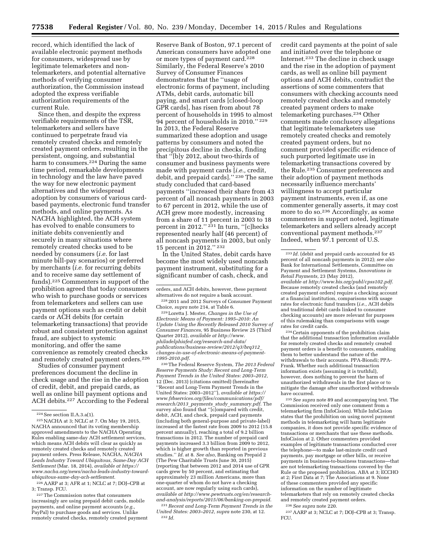record, which identified the lack of available electronic payment methods for consumers, widespread use by legitimate telemarketers and nontelemarketers, and potential alternative methods of verifying consumer authorization, the Commission instead adopted the express verifiable authorization requirements of the current Rule.

Since then, and despite the express verifiable requirements of the TSR, telemarketers and sellers have continued to perpetrate fraud via remotely created checks and remotely created payment orders, resulting in the persistent, ongoing, and substantial harm to consumers.<sup>224</sup> During the same time period, remarkable developments in technology and the law have paved the way for new electronic payment alternatives and the widespread adoption by consumers of various cardbased payments, electronic fund transfer methods, and online payments. As NACHA highlighted, the ACH system has evolved to enable consumers to initiate debits conveniently and securely in many situations where remotely created checks used to be needed by consumers (*i.e.* for last minute bill-pay scenarios) or preferred by merchants (*i.e.* for recurring debits and to receive same day settlement of funds).225 Commenters in support of the prohibition agreed that today consumers who wish to purchase goods or services from telemarketers and sellers can use payment options such as credit or debit cards or ACH debits (for certain telemarketing transactions) that provide robust and consistent protection against fraud, are subject to systemic monitoring, and offer the same convenience as remotely created checks and remotely created payment orders.226

Studies of consumer payment preferences document the decline in check usage and the rise in the adoption of credit, debit, and prepaid cards, as well as online bill payment options and ACH debits.227 According to the Federal

 $\rm ^{226}$  AARP at 3; AFR at 1; NCLC at 7; DOJ–CPB at 3; Transp. FCU.

227The Commission notes that consumers increasingly are using prepaid debit cards, mobile payments, and online payment accounts (*e.g.,*  PayPal) to purchase goods and services. Unlike remotely created checks, remotely created payment

Reserve Bank of Boston, 97.1 percent of American consumers have adopted one or more types of payment card.228 Similarly, the Federal Reserve's 2010 Survey of Consumer Finances demonstrates that the ''usage of electronic forms of payment, including ATMs, debit cards, automatic bill paying, and smart cards [closed-loop GPR cards], has risen from about 78 percent of households in 1995 to almost 94 percent of households in 2010.'' 229 In 2013, the Federal Reserve summarized these adoption and usage patterns by consumers and noted the precipitous decline in checks, finding that ''[b]y 2012, about two-thirds of consumer and business payments were made with payment cards [*i.e.,* credit, debit, and prepaid cards].'' 230 The same study concluded that card-based payments ''increased their share from 43 percent of all noncash payments in 2003 to 67 percent in 2012, while the use of ACH grew more modestly, increasing from a share of 11 percent in 2003 to 18 percent in 2012.'' 231 In turn, ''[c]hecks represented nearly half (46 percent) of all noncash payments in 2003, but only 15 percent in 2012.'' 232

In the United States, debit cards have become the most widely used noncash payment instrument, substituting for a significant number of cash, check, and

Choice, *supra* note 214, at Table 6.

229Loretta J. Mester, *Changes in the Use of Electronic Means of Payment: 1995–2010: An Update Using the Recently Released 2010 Survey of Consumer Finances,* 95 Business Review 25 (Third Quarter 2012), *available at [http://www.](http://www.philadelphiafed.org/research-and-data/publications/business-review/2012/q3/brq312_changes-in-use-of-electronic-means-of-payment-1995-2010.pdf) [philadelphiafed.org/research-and-data/](http://www.philadelphiafed.org/research-and-data/publications/business-review/2012/q3/brq312_changes-in-use-of-electronic-means-of-payment-1995-2010.pdf) [publications/business-review/2012/q3/brq312](http://www.philadelphiafed.org/research-and-data/publications/business-review/2012/q3/brq312_changes-in-use-of-electronic-means-of-payment-1995-2010.pdf)*\_ *[changes-in-use-of-electronic-means-of-payment-](http://www.philadelphiafed.org/research-and-data/publications/business-review/2012/q3/brq312_changes-in-use-of-electronic-means-of-payment-1995-2010.pdf)[1995-2010.pdf](http://www.philadelphiafed.org/research-and-data/publications/business-review/2012/q3/brq312_changes-in-use-of-electronic-means-of-payment-1995-2010.pdf)*.

230The Federal Reserve System, *The 2013 Federal Reserve Payments Study: Recent and Long-Term Payment Trends in the United States: 2003–2012,*  12 (Dec. 2013) (citations omitted) (hereinafter ''Recent and Long-Term Payment Trends in the United States: 2003–2012''), *available at [https://](https://www.frbservices.org/files/communications/pdf/research/2013_payments_study_summary.pdf) [www.frbservices.org/files/communications/pdf/](https://www.frbservices.org/files/communications/pdf/research/2013_payments_study_summary.pdf) [research/2013](https://www.frbservices.org/files/communications/pdf/research/2013_payments_study_summary.pdf)*\_*payments*\_*study*\_*summary.pdf*. The survey also found that ''[c]ompared with credit, debit, ACH, and check, prepaid card payments (including both general-purpose and private-label) increased at the fastest rate from 2009 to 2012 (15.8 percent annually), reaching a total of 9.2 billion transactions in 2012. The number of prepaid card payments increased 3.3 billion from 2009 to 2012, which is higher growth than reported in previous studies.'' *Id.* at 8. *See also,* Banking on Prepaid 2 (The Pew Charitable Trusts June 30, 2015) (reporting that between 2012 and 2014 use of GPR cards grew by 50 percent, and estimating that approximately 23 million Americans, more than one-quarter of whom do not have a checking account, are now regularly using such cards), *available at [http://www.pewtrusts.org/en/research](http://www.pewtrusts.org/en/research-and-analysis/reports/2015/06/banking-on-prepaid)[and-analysis/reports/2015/06/banking-on-prepaid](http://www.pewtrusts.org/en/research-and-analysis/reports/2015/06/banking-on-prepaid)*.

231*Recent and Long-Term Payment Trends in the United States: 2003–2012, supra* note 230, at 12. 232 *Id.* 

credit card payments at the point of sale and initiated over the telephone or Internet.233 The decline in check usage and the rise in the adoption of payment cards, as well as online bill payment options and ACH debits, contradict the assertions of some commenters that consumers with checking accounts need remotely created checks and remotely created payment orders to make telemarketing purchases.234 Other comments made conclusory allegations that legitimate telemarketers use remotely created checks and remotely created payment orders, but no comment provided specific evidence of such purported legitimate use in telemarketing transactions covered by the Rule.235 Consumer preferences and their adoption of payment methods necessarily influence merchants' willingness to accept particular payment instruments, even if, as one commenter generally asserts, it may cost more to do so.236 Accordingly, as some commenters in support noted, legitimate telemarketers and sellers already accept conventional payment methods.237 Indeed, when 97.1 percent of U.S.

234Certain opponents of the prohibition claim that the additional transaction information available for remotely created checks and remotely created payment orders is a benefit to consumers, enabling them to better understand the nature of the withdrawals to their accounts. PPA-Biondi; PPA-Frank. Whether such additional transaction information exists (assuming it is truthful), however, does nothing to prevent the harm of unauthorized withdrawals in the first place or to mitigate the damage after unauthorized withdrawals have occurred.

235*See supra* note 89 and accompanying text. The Commission received only one comment from a telemarketing firm (InfoCision). While InfoCision states that the prohibition on using novel payment methods in telemarketing will harm legitimate companies, it does not provide specific evidence of transactions or merchants that use these methods. InfoCision at 2. Other commenters provided examples of legitimate transactions conducted over the telephone—to make last-minute credit card payments, pay mortgage or other bills, or receive payments in business-to-business transactions—that are not telemarketing transactions covered by the Rule or the proposed prohibition. ABA at 3; ECCHO at 2; First Data at 7; The Associations at 9. None of these commenters provided any specific information on the number of legitimate telemarketers that rely on remotely created checks and remotely created payment orders.

236*See supra* note 220.

237AARP at 3; NCLC at 7; DOJ–CPB at 3; Transp. FCU.

<sup>224</sup>See section II.A.3.a(1).

<sup>225</sup>NACHA at 3; NCLC at 7. On May 19, 2015, NACHA announced that its voting membership approved amendments to the NACHA Operating Rules enabling same-day ACH settlement services, which means ACH debits will clear as quickly as remotely created checks and remotely created payment orders. Press Release, NACHA, *NACHA Leads Industry Toward Ubiquitous, Same-Day ACH Settlement* (Mar. 18, 2014), *available at [https://](https://www.nacha.org/news/nacha-leads-industry-toward-ubiquitous-same-day-ach-settlement) [www.nacha.org/news/nacha-leads-industry-toward](https://www.nacha.org/news/nacha-leads-industry-toward-ubiquitous-same-day-ach-settlement)[ubiquitous-same-day-ach-settlement](https://www.nacha.org/news/nacha-leads-industry-toward-ubiquitous-same-day-ach-settlement)*.

orders, and ACH debits, however, these payment alternatives do not require a bank account. 228 2011 and 2012 Surveys of Consumer Payment

<sup>233</sup> *Id.* (debit and prepaid cards accounted for 45 percent of all noncash payments in 2012); *see also*  Bank for International Settlements, Committee on Payment and Settlement Systems, *Innovations in Retail Payments,* 23 (May 2012), *available at<http://www.bis.org/publ/cpss102.pdf>*. Because remotely created checks (and remotely created payment orders) require a checking account at a financial institution, comparisons with usage rates for electronic fund transfers (*i.e.,* ACH debits and traditional debit cards linked to consumer checking accounts) are more relevant for purposes of this rulemaking than comparisons with usage rates for credit cards.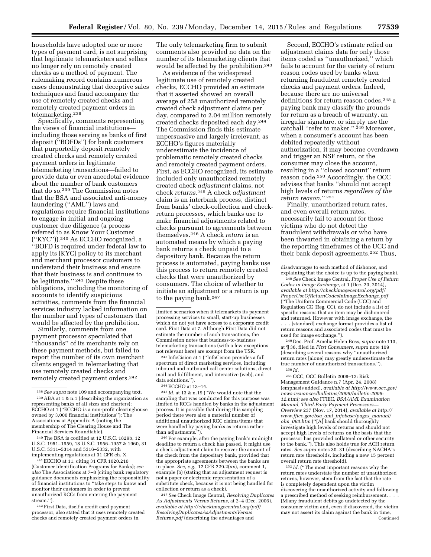households have adopted one or more types of payment card, is not surprising that legitimate telemarketers and sellers no longer rely on remotely created checks as a method of payment. The rulemaking record contains numerous cases demonstrating that deceptive sales techniques and fraud accompany the use of remotely created checks and remotely created payment orders in telemarketing.238

Specifically, comments representing the views of financial institutions including those serving as banks of first deposit (''BOFDs'') for bank customers that purportedly deposit remotely created checks and remotely created payment orders in legitimate telemarketing transactions—failed to provide data or even anecdotal evidence about the number of bank customers that do so.239 The Commission notes that the BSA and associated anti-money laundering ("AML") laws and regulations require financial institutions to engage in initial and ongoing customer due diligence (a process referred to as Know Your Customer (''KYC'')).240 As ECCHO recognized, a ''BOFD is required under federal law to apply its [KYC] policy to its merchant and merchant processor customers to understand their business and ensure that their business is and continues to be legitimate.'' 241 Despite these obligations, including the monitoring of accounts to identify suspicious activities, comments from the financial services industry lacked information on the number and types of customers that would be affected by the prohibition.

Similarly, comments from one payment processor speculated that ''thousands'' of its merchants rely on these payment methods, but failed to report the number of its own merchant clients engaged in telemarketing that use remotely created checks and remotely created payment orders.242

240The BSA is codified at 12 U.S.C. 1829b, 12 U.S.C. 1951–1959, 18 U.S.C. 1956–1957 & 1960, 31 U.S.C. 5311–5314 and 5316–5332, with implementing regulations at 31 CFR ch. X.

241ECCHO at 11, citing 31 CFR 1020.210 (Customer Identification Programs for Banks); *see also* The Associations at 7–8 (citing bank regulatory guidance documents emphasizing the responsibility of financial institutions to ''take steps to know and monitor their customers in order to prevent unauthorized RCCs from entering the payment stream.'').

242First Data, itself a credit card payment processor, also stated that it uses remotely created checks and remotely created payment orders in

The only telemarketing firm to submit comments also provided no data on the number of its telemarketing clients that would be affected by the prohibition.243

As evidence of the widespread legitimate use of remotely created checks, ECCHO provided an estimate that it asserted showed an overall average of 258 unauthorized remotely created check adjustment claims per day, compared to 2.04 million remotely created checks deposited each day.244 The Commission finds this estimate unpersuasive and largely irrelevant, as ECCHO's figures materially underestimate the incidence of problematic remotely created checks and remotely created payment orders. First, as ECCHO recognized, its estimate included only unauthorized remotely created check *adjustment* claims, not check *returns.*245 A check *adjustment*  claim is an interbank process, distinct from banks' check-collection and checkreturn processes, which banks use to make financial adjustments related to checks pursuant to agreements between themselves.246 A check *return* is an automated means by which a paying bank returns a check unpaid to a depository bank. Because the return process is automated, paying banks use this process to return remotely created checks that were unauthorized by consumers. The choice of whether to initiate an adjustment or a return is up to the paying bank.<sup>247</sup>

limited scenarios when it telemarkets its payment processing services to small, start-up businesses which do not yet have access to a corporate credit card. First Data at 7. Although First Data did not estimate the number of such transactions, the Commission notes that business-to-business telemarketing transactions (with a few exceptions not relevant here) are exempt from the TSR.

243 InfoCision at 1 (''InfoCision provides a full spectrum of direct marketing services, including inbound and outbound call center solutions, direct mail and fulfillment, and interactive (web), and data solutions.'').

 $^{\rm 245}$   $\emph{Id.}$  at 13 & n.19 (''We would note that the sampling that was conducted for this purpose was limited to RCCs handled by banks in the adjustment process. It is possible that during this sampling period there were also a material number of additional unauthorized RCC claims/items that were handled by paying banks as returns rather than adjustments.'').

246For example, after the paying bank's midnight deadline to return a check has passed, it might use a check adjustment claim to recover the amount of the check from the depositary bank, provided that the appropriate agreements between the banks are in place. *See, e.g.,* 12 CFR 229.2(xx), comment 1, example (b) (stating that an adjustment request is not a paper or electronic representation of a substitute check, because it is not being handled for collection or return as a check).

247*See* Check Image Central, *Resolving Duplicates As Adjustments Versus Returns,* at 2–4 (Dec. 2006), *available at [http://checkimagecentral.org/pdf/](http://checkimagecentral.org/pdf/ResolvingDuplicatesAsAdjustmentsVersusReturns.pdf) [ResolvingDuplicatesAsAdjustmentsVersus](http://checkimagecentral.org/pdf/ResolvingDuplicatesAsAdjustmentsVersusReturns.pdf) [Returns.pdf](http://checkimagecentral.org/pdf/ResolvingDuplicatesAsAdjustmentsVersusReturns.pdf)* (describing the advantages and

Second, ECCHO's estimate relied on adjustment claims data for only those items coded as ''unauthorized,'' which fails to account for the variety of return reason codes used by banks when returning fraudulent remotely created checks and payment orders. Indeed, because there are no universal definitions for return reason codes, 248 a paying bank may classify the grounds for return as a breach of warranty, an irregular signature, or simply use the catchall "refer to maker." <sup>249</sup> Moreover, when a consumer's account has been debited repeatedly without authorization, it may become overdrawn and trigger an NSF return, or the consumer may close the account, resulting in a ''closed account'' return reason code.250 Accordingly, the OCC advises that banks ''should not accept high levels of returns *regardless of the return reason.*'' 251

Finally, unauthorized return rates, and even overall return rates, necessarily fail to account for those victims who do not detect the fraudulent withdrawals or who have been thwarted in obtaining a return by the reporting timeframes of the UCC and their bank deposit agreements.252 Thus,

. . . [standard] exchange format provides a list of return reasons and associated codes that must be used for image exchange.'').

249 Dec. Prof. Amelia Helen Boss, *supra* note 113, at ¶ 36, filed in *First Consumers, supra* note 109 (describing several reasons why ''unauthorized return rates [alone] may greatly underestimate the true number of unauthorized transactions.''). 250 *Id.* 

251OCC, OCC Bulletin 2008–12: Risk Management Guidance n.7 (Apr. 24, 2008) (emphasis added), *available at [http://www.occ.gov/](http://www.occ.gov/news-issuances/bulletins/2008/bulletin-2008-12.html) [news-issuances/bulletins/2008/bulletin-2008-](http://www.occ.gov/news-issuances/bulletins/2008/bulletin-2008-12.html) [12.html;](http://www.occ.gov/news-issuances/bulletins/2008/bulletin-2008-12.html) see also* FFIEC, *BSA/AML Examination Manual, Third-Party Payment Processors— Overview* 237 (Nov. 17, 2014), *available at [http://](http://www.ffiec.gov/bsa_aml_infobase/pages_manual/olm_063.htm) [www.ffiec.gov/bsa](http://www.ffiec.gov/bsa_aml_infobase/pages_manual/olm_063.htm)*\_*aml*\_*infobase/pages*\_*manual/ olm*\_*[063.htm](http://www.ffiec.gov/bsa_aml_infobase/pages_manual/olm_063.htm)* (''[A] bank should thoroughly investigate high levels of returns and should not accept high levels of returns on the basis that the processor has provided collateral or other security to the bank.''). This also holds true for ACH return rates. *See supra* notes 30–31 (describing NACHA's return rate thresholds, including a new 15 percent overall return rate threshold).

252 *Id.* (''The most important reasons why the return rates understate the number of unauthorized returns, however, stem from the fact that the rate is completely dependent upon the victim discovering the unauthorized activity and following a prescribed method of seeking reimbursement. . . . [M]any fraudulent debits go undetected by the consumer victim and, even if discovered, the victim may not assert its claim against the bank in time, Continued

<sup>238</sup>*See supra* note 109 and accompanying text. 239ABA at 1 & n.1 (describing the organization as representing banks of all sizes and charters); ECCHO at 1 (''ECCHO is a non-profit clearinghouse owned by 3,000 financial institutions''); The Associations at Appendix A (noting the membership of The Clearing House and The Financial Services Roundtable).

<sup>244</sup>ECCHO at 13–14.

disadvantages to each method of dishonor, and explaining that the choice is up to the paying bank).

<sup>248</sup>*See* Check Image Central, *Proper Use of Return Codes in Image Exchange,* at 1 (Dec. 20, 2014), *available at [http://checkimagecentral.org/pdf/](http://checkimagecentral.org/pdf/ProperUseOfReturnCodesInImageExchange.pdf) [ProperUseOfReturnCodesInImageExchange.pdf](http://checkimagecentral.org/pdf/ProperUseOfReturnCodesInImageExchange.pdf)*  (''The Uniform Commercial Code (UCC) and Regulation CC (Reg. CC), do not include a list of specific reasons that an item may be dishonored and returned. However with image exchange, the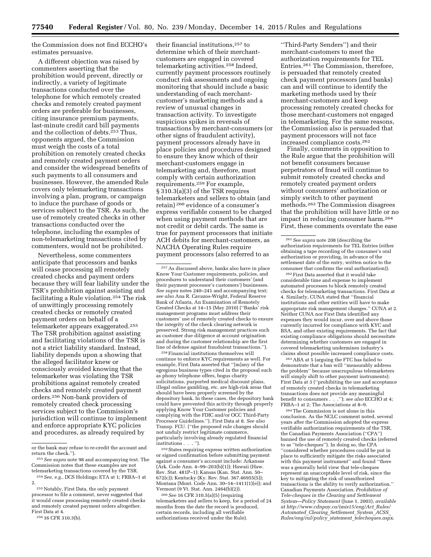the Commission does not find ECCHO's estimates persuasive.

A different objection was raised by commenters asserting that the prohibition would prevent, directly or indirectly, a variety of legitimate transactions conducted over the telephone for which remotely created checks and remotely created payment orders are preferable for businesses, citing insurance premium payments, last-minute credit card bill payments and the collection of debts.253 Thus, opponents argued, the Commission must weigh the costs of a total prohibition on remotely created checks and remotely created payment orders and consider the widespread benefits of such payments to all consumers and businesses. However, the amended Rule covers only telemarketing transactions involving a plan, program, or campaign to induce the purchase of goods or services subject to the TSR. As such, the use of remotely created checks in other transactions conducted over the telephone, including the examples of non-telemarketing transactions cited by commenters, would not be prohibited.

Nevertheless, some commenters anticipate that processors and banks will cease processing all remotely created checks and payment orders because they will fear liability under the TSR's prohibition against assisting and facilitating a Rule violation.254 The risk of unwittingly processing remotely created checks or remotely created payment orders on behalf of a telemarketer appears exaggerated.255 The TSR prohibition against assisting and facilitating violations of the TSR is not a strict liability standard. Instead, liability depends upon a showing that the alleged facilitator knew or consciously avoided knowing that the telemarketer was violating the TSR prohibitions against remotely created checks and remotely created payment orders.256 Non-bank providers of remotely created check processing services subject to the Commission's jurisdiction will continue to implement and enforce appropriate KYC policies and procedures, as already required by

their financial institutions,257 to determine which of their merchantcustomers are engaged in covered telemarketing activities.258 Indeed, currently payment processors routinely conduct risk assessments and ongoing monitoring that should include a basic understanding of each merchantcustomer's marketing methods and a review of unusual changes in transaction activity. To investigate suspicious spikes in reversals of transactions by merchant-consumers (or other signs of fraudulent activity), payment processors already have in place policies and procedures designed to ensure they know which of their merchant-customers engage in telemarketing and, therefore, must comply with certain authorization requirements.259 For example, § 310.3(a)(3) of the TSR requires telemarketers and sellers to obtain (and retain) 260 evidence of a consumer's express verifiable consent to be charged when using payment methods that are not credit or debit cards. The same is true for payment processors that initiate ACH debits for merchant-customers, as NACHA Operating Rules require payment processors (also referred to as

258Financial institutions themselves will continue to enforce KYC requirements as well. For example, First Data asserted that ''[m]any of the egregious business types cited in the proposal such as phony telephone offers, bogus charity solicitations, purported medical discount plans, illegal online gambling, etc. are high-risk areas that should have been properly screened by the depository bank. In these cases, the depository bank could have prevented this activity through properly applying Know Your Customer policies and complying with the FDIC and/or OCC Third-Party Processor Guidelines.''). First Data at 8. *See also*  Transp. FCU. (''the proposed rule changes should not unduly restrict legitimate commerce, particularly involving already regulated financial institutions . . . '').

259States requiring express written authorization or signed confirmation before submitting payment against a consumer's account include: Arkansas (Ark. Code Ann. 4–99–203(b)(1)); Hawaii (Haw. Rev. Stat. 481P–1); Kansas (Kan. Stat. Ann. 50– 672(c)); Kentucky (Ky. Rev. Stat. 367.46955(5)); Montana (Mont. Code Ann. 30–14–1411(1)(e)); and Vermont (9 Vt. Stat. Ann. 2464(b)(2)).

260*See* 16 CFR 310.5(a)(5) (requiring telemarketers and sellers to keep, for a period of 24 months from the date the record is produced, certain records, including all verifiable authorizations received under the Rule).

''Third-Party Senders'') and their merchant-customers to meet the authorization requirements for TEL Entries.261 The Commission, therefore, is persuaded that remotely created check payment processors (and banks) can and will continue to identify the marketing methods used by their merchant-customers and keep processing remotely created checks for those merchant-customers not engaged in telemarketing. For the same reasons, the Commission also is persuaded that payment processors will not face increased compliance costs.262

Finally, comments in opposition to the Rule argue that the prohibition will not benefit consumers because perpetrators of fraud will continue to submit remotely created checks and remotely created payment orders without consumers' authorization or simply switch to other payment methods.263 The Commission disagrees that the prohibition will have little or no impact in reducing consumer harm.264 First, these comments overstate the ease

262First Data asserted that it would take considerable time and expense to implement automated processes to block remotely created checks for telemarketing transactions. First Data at 4. Similarly, CUNA stated that ''financial institutions and other entities will have to make appropriate risk management changes.'' CUNA at 2. Neither CUNA nor First Data identified any expenses they would incur, over and above those currently incurred for compliance with KYC and BSA, and other existing requirements. The fact that existing compliance obligations should necessitate determining whether customers are engaged in covered telemarketing undermines industry's claims about possible increased compliance costs.

263ABA at 5 (arguing the FTC has failed to demonstrate that a ban will ''measurably address the problem'' because unscrupulous telemarketers will simply shift to other payment instruments); First Data at 3 (''prohibiting the use and acceptance of remotely created checks in telemarketing transactions does not provide any meaningful benefit to consumers . . .''); *see also* ECCHO at 4; FRBA–1 at 2; The Associations at 8–9.

264The Commission is not alone in this conclusion. As the NCLC comment noted, several years after the Commission adopted the express verifiable authorization requirements of the TSR, the Canadian Payments Association (''CPA'') banned the use of remotely created checks (referred to as ''tele-cheques''). In doing so, the CPA ''considered whether procedures could be put in place to sufficiently mitigate the risks associated with this payment instrument'' and found ''there was a generally held view that tele-cheques represent an unacceptable level of risk, since the key to mitigating the risk of unauthorized transactions is the ability to verify authorization.'' Canadian Payments Association. *Prohibition of Tele-cheques in the Clearing and Settlement System—Policy Statement* (June 1, 2003), *available at [http://www.cdnpay.ca/imis15/eng/Act](http://www.cdnpay.ca/imis15/eng/Act_Rules/Automated_Clearing_Settlement_System_ACSS_Rules/eng/rul/policy_statement_telecheques.aspx)*\_*Rules/ [Automated](http://www.cdnpay.ca/imis15/eng/Act_Rules/Automated_Clearing_Settlement_System_ACSS_Rules/eng/rul/policy_statement_telecheques.aspx)*\_*Clearing*\_*Settlement*\_*System*\_*ACSS*\_ *[Rules/eng/rul/policy](http://www.cdnpay.ca/imis15/eng/Act_Rules/Automated_Clearing_Settlement_System_ACSS_Rules/eng/rul/policy_statement_telecheques.aspx)*\_*statement*\_*telecheques.aspx*.

or the bank may refuse to re-credit the account and return the check.'').

<sup>253</sup>*See supra* note 98 and accompanying text. The Commission notes that these examples are not telemarketing transactions covered by the TSR. 254*See, e.g.,* DCS Holdings; ETA at 1; FRBA–1 at

<sup>2.</sup> 

<sup>255</sup>Notably, First Data, the only payment processor to file a comment, never suggested that it would cease processing remotely created checks and remotely created payment orders altogether. First Data at 4.

<sup>256</sup> 16 CFR 310.3(b).

<sup>257</sup>As discussed above, banks also have in place Know Your Customer requirements, policies, and procedures to understand their customers' (and their payment processor's customers') businesses. *See supra* notes 240–241 and accompanying text; *see also* Ana R. Cavazos-Wright, Federal Reserve Bank of Atlanta, An Examination of Remotely Created Checks at 14–15 (May 2010) (''Banks' risk management programs must address their customers' use of remotely created checks to ensure the integrity of the check clearing network is preserved. Strong risk management practices such as customer due diligence at account origination and during the customer relationship are the first line of defense against fraudulent transactions.'').

<sup>261</sup>*See supra* note 208 (describing the authorization requirements for TEL Entries (either obtaining a tape recording of the consumer's oral authorization or providing, in advance of the settlement date of the entry, written notice to the consumer that confirms the oral authorization)).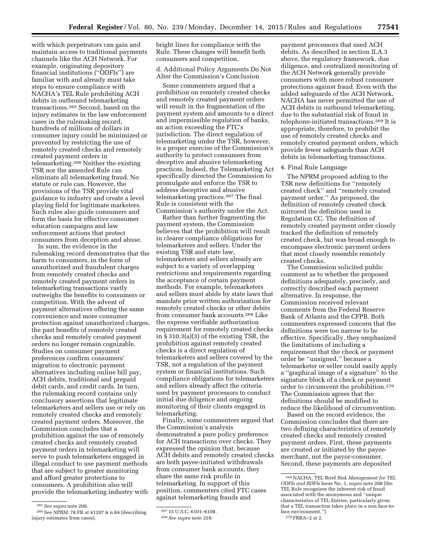with which perpetrators can gain and maintain access to traditional payments channels like the ACH Network. For example, originating depository financial institutions (''ODFIs'') are familiar with and already must take steps to ensure compliance with NACHA's TEL Rule prohibiting ACH debits in outbound telemarketing transactions.265 Second, based on the injury estimates in the law enforcement cases in the rulemaking record, hundreds of millions of dollars in consumer injury could be minimized or prevented by restricting the use of remotely created checks and remotely created payment orders in telemarketing.266 Neither the existing TSR nor the amended Rule can eliminate all telemarketing fraud. No statute or rule can. However, the provisions of the TSR provide vital guidance to industry and create a level playing field for legitimate marketers. Such rules also guide consumers and form the basis for effective consumer education campaigns and law enforcement actions that protect consumers from deception and abuse.

In sum, the evidence in the rulemaking record demonstrates that the harm to consumers, in the form of unauthorized and fraudulent charges from remotely created checks and remotely created payment orders in telemarketing transactions vastly outweighs the benefits to consumers or competition. With the advent of payment alternatives offering the same convenience and more consumer protection against unauthorized charges, the past benefits of remotely created checks and remotely created payment orders no longer remain cognizable. Studies on consumer payment preferences confirm consumers' migration to electronic payment alternatives including online bill pay, ACH debits, traditional and prepaid debit cards, and credit cards. In turn, the rulemaking record contains only conclusory assertions that legitimate telemarketers and sellers use or rely on remotely created checks and remotely created payment orders. Moreover, the Commission concludes that a prohibition against the use of remotely created checks and remotely created payment orders in telemarketing will serve to push telemarketers engaged in illegal conduct to use payment methods that are subject to greater monitoring and afford greater protections to consumers. A prohibition also will provide the telemarketing industry with

bright lines for compliance with the Rule. These changes will benefit both consumers and competition.

d. Additional Policy Arguments Do Not Alter the Commission's Conclusion

Some commenters argued that a prohibition on remotely created checks and remotely created payment orders will result in the fragmentation of the payment system and amounts to a direct and impermissible regulation of banks, an action exceeding the FTC's jurisdiction. The direct regulation of telemarketing under the TSR, however, is a proper exercise of the Commission's authority to protect consumers from deceptive and abusive telemarketing practices. Indeed, the Telemarketing Act specifically directed the Commission to promulgate and enforce the TSR to address deceptive and abusive telemarketing practices.267 The final Rule is consistent with the Commission's authority under the Act.

Rather than further fragmenting the payment system, the Commission believes that the prohibition will result in clearer compliance obligations for telemarketers and sellers. Under the existing TSR and state law, telemarketers and sellers already are subject to a variety of overlapping restrictions and requirements regarding the acceptance of certain payment methods. For example, telemarketers and sellers must abide by state laws that mandate prior written authorization for remotely created checks or other debits from consumer bank accounts.268 Like the express verifiable authorization requirement for remotely created checks in § 310.3(a)(3) of the existing TSR, the prohibition against remotely created checks is a direct regulation of telemarketers and sellers covered by the TSR, not a regulation of the payment system or financial institutions. Such compliance obligations for telemarketers and sellers already affect the criteria used by payment processors to conduct initial due diligence and ongoing monitoring of their clients engaged in telemarketing.

Finally, some commenters argued that the Commission's analysis demonstrated a pure policy preference for ACH transactions over checks. They expressed the opinion that, because ACH debits and remotely created checks are both payee-initiated withdrawals from consumer bank accounts, they share the same risk profile in telemarketing. In support of this position, commenters cited FTC cases against telemarketing frauds and

payment processors that used ACH debits. As described in section II.A.3 above, the regulatory framework, due diligence, and centralized monitoring of the ACH Network generally provide consumers with more robust consumer protections against fraud. Even with the added safeguards of the ACH Network, NACHA has never permitted the use of ACH debits in outbound telemarketing, due to the substantial risk of fraud in telephone-initiated transactions.269 It is appropriate, therefore, to prohibit the use of remotely created checks and remotely created payment orders, which provide fewer safeguards than ACH debits in telemarketing transactions.

#### 4. Final Rule Language

The NPRM proposed adding to the TSR new definitions for ''remotely created check'' and ''remotely created payment order.'' As proposed, the definition of remotely created check mirrored the definition used in Regulation CC. The definition of remotely created payment order closely tracked the definition of remotely created check, but was broad enough to encompass electronic payment orders that most closely resemble remotely created checks.

The Commission solicited public comment as to whether the proposed definitions adequately, precisely, and correctly described each payment alternative. In response, the Commission received relevant comments from the Federal Reserve Bank of Atlanta and the CFPB. Both commenters expressed concern that the definitions were too narrow to be effective. Specifically, they emphasized the limitations of including a requirement that the check or payment order be ''unsigned,'' because a telemarketer or seller could easily apply a ''graphical image of a signature'' to the signature block of a check or payment order to circumvent the prohibition.270 The Commission agrees that the definitions should be modified to reduce the likelihood of circumvention.

Based on the record evidence, the Commission concludes that there are two defining characteristics of remotely created checks and remotely created payment orders. First, these payments are created or initiated by the payeemerchant, not the payor-consumer. Second, these payments are deposited

<sup>265</sup>*See supra* note 208.

<sup>266</sup>*See NPRM,* 78 FR at 41207 & n.84 (describing injury estimates from cases).

<sup>267</sup> 15 U.S.C. 6101–6108.

<sup>268</sup>*See supra* note 259.

<sup>269</sup>NACHA, TEL Brief *Risk Management for TEL ODFIs and RDFIs* Issue No. 3, *supra* note 208 (the TEL Rule recognizes the inherent risk of fraud associated with the anonymous and ''unique characteristics of TEL Entries, particularly given that a TEL transaction takes place in a non face-toface environment.''). 270FRBA–2 at 2.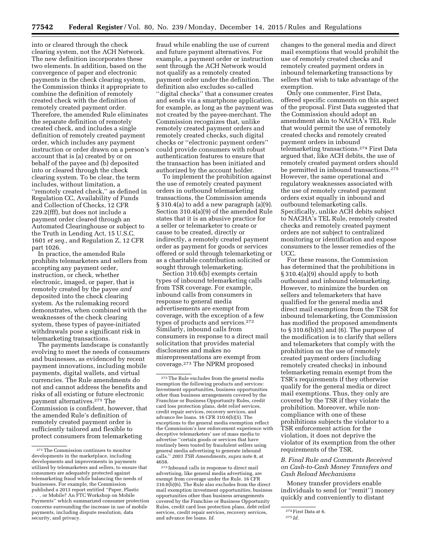into or cleared through the check clearing system, not the ACH Network. The new definition incorporates these two elements. In addition, based on the convergence of paper and electronic payments in the check clearing system, the Commission thinks it appropriate to combine the definition of remotely created check with the definition of remotely created payment order. Therefore, the amended Rule eliminates the separate definition of remotely created check, and includes a single definition of remotely created payment order, which includes any payment instruction or order drawn on a person's account that is (a) created by or on behalf of the payee and (b) deposited into or cleared through the check clearing system. To be clear, the term includes, without limitation, a ''remotely created check,'' as defined in Regulation CC, Availability of Funds and Collection of Checks, 12 CFR 229.2(fff), but does not include a payment order cleared through an Automated Clearinghouse or subject to the Truth in Lending Act, 15 U.S.C. 1601 *et seq.,* and Regulation Z, 12 CFR part 1026.

In practice, the amended Rule prohibits telemarketers and sellers from accepting any payment order, instruction, or check, whether electronic, imaged, or paper, that is remotely created by the payee *and*  deposited into the check clearing system. As the rulemaking record demonstrates, when combined with the weaknesses of the check clearing system, these types of payee-initiated withdrawals pose a significant risk in telemarketing transactions.

The payments landscape is constantly evolving to meet the needs of consumers and businesses, as evidenced by recent payment innovations, including mobile payments, digital wallets, and virtual currencies. The Rule amendments do not and cannot address the benefits and risks of all existing or future electronic payment alternatives.271 The Commission is confident, however, that the amended Rule's definition of remotely created payment order is sufficiently tailored and flexible to protect consumers from telemarketing

fraud while enabling the use of current and future payment alternatives. For example, a payment order or instruction sent through the ACH Network would not qualify as a remotely created payment order under the definition. The definition also excludes so-called ''digital checks'' that a consumer creates and sends via a smartphone application, for example, as long as the payment was not created by the payee-merchant. The Commission recognizes that, unlike remotely created payment orders and remotely created checks, such digital checks or ''electronic payment orders'' could provide consumers with robust authentication features to ensure that the transaction has been initiated and authorized by the account holder.

To implement the prohibition against the use of remotely created payment orders in outbound telemarketing transactions, the Commission amends § 310.4(a) to add a new paragraph (a)(9). Section 310.4(a)(9) of the amended Rule states that it is an abusive practice for a seller or telemarketer to create or cause to be created, directly or indirectly, a remotely created payment order as payment for goods or services offered or sold through telemarketing or as a charitable contribution solicited or sought through telemarketing.

Section 310.6(b) exempts certain types of inbound telemarketing calls from TSR coverage. For example, inbound calls from consumers in response to general media advertisements are exempt from coverage, with the exception of a few types of products and services.272 Similarly, inbound calls from consumers in response to a direct mail solicitation that provides material disclosures and makes no misrepresentations are exempt from coverage.273 The NPRM proposed

273 Inbound calls in response to direct mail advertising, like general media advertising, are exempt from coverage under the Rule. 16 CFR 310.6(b)(6). The Rule also excludes from the direct mail exemption investment opportunities, business opportunities other than business arrangements covered by the Franchise or Business Opportunity Rules, credit card loss protection plans, debt relief services, credit repair services, recovery services, and advance fee loans. *Id.* 

changes to the general media and direct mail exemptions that would prohibit the use of remotely created checks and remotely created payment orders in inbound telemarketing transactions by sellers that wish to take advantage of the exemption.

Only one commenter, First Data, offered specific comments on this aspect of the proposal. First Data suggested that the Commission should adopt an amendment akin to NACHA's TEL Rule that would permit the use of remotely created checks and remotely created payment orders in inbound telemarketing transactions.274 First Data argued that, like ACH debits, the use of remotely created payment orders should be permitted in inbound transactions.275 However, the same operational and regulatory weaknesses associated with the use of remotely created payment orders exist equally in inbound and outbound telemarketing calls. Specifically, unlike ACH debits subject to NACHA's TEL Rule, remotely created checks and remotely created payment orders are not subject to centralized monitoring or identification and expose consumers to the lesser remedies of the UCC.

For these reasons, the Commission has determined that the prohibitions in § 310.4(a)(9) should apply to both outbound and inbound telemarketing. However, to minimize the burden on sellers and telemarketers that have qualified for the general media and direct mail exemptions from the TSR for inbound telemarketing, the Commission has modified the proposed amendments to § 310.6(b)(5) and (6). The purpose of the modification is to clarify that sellers and telemarketers that comply with the prohibition on the use of remotely created payment orders (including remotely created checks) in inbound telemarketing remain exempt from the TSR's requirements if they otherwise qualify for the general media or direct mail exemptions. Thus, they only are covered by the TSR if they violate the prohibition. Moreover, while noncompliance with one of these prohibitions subjects the violator to a TSR enforcement action for the violation, it does not deprive the violator of its exemption from the other requirements of the TSR.

#### *B. Final Rule and Comments Received on Cash-to-Cash Money Transfers and Cash Reload Mechanisms*

Money transfer providers enable individuals to send (or ''remit'') money quickly and conveniently to distant

<sup>271</sup>The Commission continues to monitor developments in the marketplace, including developments and improvements in payments utilized by telemarketers and sellers, to ensure that consumers are adequately protected against telemarketing fraud while balancing the needs of businesses. For example, the Commission published a 2013 report entitled ''Paper, Plastic

<sup>. . .</sup> or Mobile? An FTC Workshop on Mobile Payments'' which summarized consumer protection concerns surrounding the increase in use of mobile payments, including dispute resolution, data security, and privacy.

<sup>272</sup>The Rule excludes from the general media exemption the following products and services: Investment opportunities, business opportunities other than business arrangements covered by the Franchise or Business Opportunity Rules, credit card loss protection plans, debt relief services, credit repair services, recovery services, and advance fee loans. 16 CFR 310.6(b)(5). The exceptions to the general media exemption reflect the Commission's law enforcement experience with deceptive telemarketers' use of mass media to advertise ''certain goods or services that have routinely been touted by fraudulent sellers using general media advertising to generate inbound calls.'' *2003 TSR Amendments, supra* note 8, at 4658.

<sup>274</sup>First Data at 6.

<sup>275</sup> *Id.*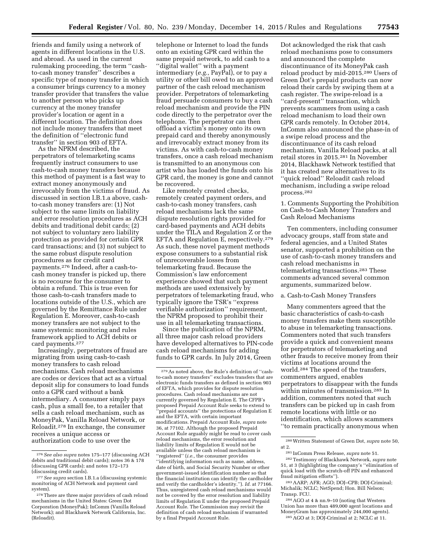friends and family using a network of agents in different locations in the U.S. and abroad. As used in the current rulemaking proceeding, the term ''cashto-cash money transfer'' describes a specific type of money transfer in which a consumer brings currency to a money transfer provider that transfers the value to another person who picks up currency at the money transfer provider's location or agent in a different location. The definition does not include money transfers that meet the definition of ''electronic fund transfer'' in section 903 of EFTA.

As the NPRM described, the perpetrators of telemarketing scams frequently instruct consumers to use cash-to-cash money transfers because this method of payment is a fast way to extract money anonymously and irrevocably from the victims of fraud. As discussed in section I.B.1.a above, cashto-cash money transfers are: (1) Not subject to the same limits on liability and error resolution procedures as ACH debits and traditional debit cards; (2) not subject to voluntary zero liability protection as provided for certain GPR card transactions; and (3) not subject to the same robust dispute resolution procedures as for credit card payments.276 Indeed, after a cash-tocash money transfer is picked up, there is no recourse for the consumer to obtain a refund. This is true even for those cash-to-cash transfers made to locations outside of the U.S., which are governed by the Remittance Rule under Regulation E. Moreover, cash-to-cash money transfers are not subject to the same systemic monitoring and rules framework applied to ACH debits or card payments.277

Increasingly, perpetrators of fraud are migrating from using cash-to-cash money transfers to cash reload mechanisms. Cash reload mechanisms are codes or devices that act as a virtual deposit slip for consumers to load funds onto a GPR card without a bank intermediary. A consumer simply pays cash, plus a small fee, to a retailer that sells a cash reload mechanism, such as MoneyPak, Vanilla Reload Network, or Reloadit.278 In exchange, the consumer receives a unique access or authorization code to use over the

telephone or Internet to load the funds onto an existing GPR card within the same prepaid network, to add cash to a ''digital wallet'' with a payment intermediary (*e.g.,* PayPal), or to pay a utility or other bill owed to an approved partner of the cash reload mechanism provider. Perpetrators of telemarketing fraud persuade consumers to buy a cash reload mechanism and provide the PIN code directly to the perpetrator over the telephone. The perpetrator can then offload a victim's money onto its own prepaid card and thereby anonymously and irrevocably extract money from its victims. As with cash-to-cash money transfers, once a cash reload mechanism is transmitted to an anonymous con artist who has loaded the funds onto his GPR card, the money is gone and cannot be recovered.

Like remotely created checks, remotely created payment orders, and cash-to-cash money transfers, cash reload mechanisms lack the same dispute resolution rights provided for card-based payments and ACH debits under the TILA and Regulation Z or the EFTA and Regulation E, respectively.279 As such, these novel payment methods expose consumers to a substantial risk of unrecoverable losses from telemarketing fraud. Because the Commission's law enforcement experience showed that such payment methods are used extensively by perpetrators of telemarketing fraud, who typically ignore the TSR's ''express verifiable authorization'' requirement, the NPRM proposed to prohibit their use in all telemarketing transactions.

Since the publication of the NPRM, all three major cash reload providers have developed alternatives to PIN-code cash reload mechanisms for adding funds to GPR cards. In July 2014, Green

Dot acknowledged the risk that cash reload mechanisms pose to consumers and announced the complete discontinuance of its MoneyPak cash reload product by mid-2015.280 Users of Green Dot's prepaid products can now reload their cards by swiping them at a cash register. The swipe-reload is a ''card-present'' transaction, which prevents scammers from using a cash reload mechanism to load their own GPR cards remotely. In October 2014, InComm also announced the phase-in of a swipe reload process and the discontinuance of its cash reload mechanism, Vanilla Reload packs, at all retail stores in 2015.281 In November 2014, Blackhawk Network testified that it has created new alternatives to its ''quick reload'' Reloadit cash reload mechanism, including a swipe reload process.282

1. Comments Supporting the Prohibition on Cash-to-Cash Money Transfers and Cash Reload Mechanisms

Ten commenters, including consumer advocacy groups, staff from state and federal agencies, and a United States senator, supported a prohibition on the use of cash-to-cash money transfers and cash reload mechanisms in telemarketing transactions.283 These comments advanced several common arguments, summarized below.

#### a. Cash-to-Cash Money Transfers

Many commenters agreed that the basic characteristics of cash-to-cash money transfers make them susceptible to abuse in telemarketing transactions. Commenters noted that such transfers provide a quick and convenient means for perpetrators of telemarketing and other frauds to receive money from their victims at locations around the world.284 The speed of the transfers, commenters argued, enables perpetrators to disappear with the funds within minutes of transmission.<sup>285</sup> In addition, commenters noted that such transfers can be picked up in cash from remote locations with little or no identification, which allows scammers ''to remain practically anonymous when

283AARP; AFR; AGO; DOJ–CPB; DOJ-Criminal; Michalik; NCLC; NetSpend; Hon. Bill Nelson; Transp. FCU.

284AGO at 4 & nn.9–10 (noting that Western Union has more than 489,000 agent locations and MoneyGram has approximately 244,000 agents). 285AGO at 3; DOJ-Criminal at 2; NCLC at 11.

<sup>276</sup>*See also supra* notes 175–177 (discussing ACH debits and traditional debit cards); notes 36 & 178 (discussing GPR cards); and notes 172–173 (discussing credit cards).

<sup>277</sup>*See supra* section I.B.1.a (discussing systemic monitoring of ACH Network and payment card system).

<sup>278</sup>There are three major providers of cash reload mechanisms in the United States: Green Dot Corporation (MoneyPak); InComm (Vanilla Reload Network); and Blackhawk Network California, Inc. (Reloadit).

<sup>279</sup>As noted above, the Rule's definition of ''cashto-cash money transfers'' excludes transfers that are electronic funds transfers as defined in section 903 of EFTA, which provides for dispute resolution procedures. Cash reload mechanisms are not currently governed by Regulation E. The CFPB's proposed Prepaid Account Rule seeks to extend to 'prepaid accounts'' the protections of Regulation E and the EFTA, with certain important modifications. Prepaid Account Rule, *supra* note 36, at 77102. Although the proposed Prepaid Account Rule arguably might be read to cover cash reload mechanisms, the error resolution and liability limits of Regulation E would not be available unless the cash reload mechanism is ''registered'' (*i.e.,* the consumer provides ''identifying information such as name, address, date of birth, and Social Security Number or other government-issued identification number so that the financial institution can identify the cardholder and verify the cardholder's identity.''). *Id.* at 77166. Thus, unregistered cash reload mechanisms would not be covered by the error resolution and liability limits of Regulation E under the proposed Prepaid Account Rule. The Commission may revisit the definition of cash reload mechanism if warranted by a final Prepaid Account Rule.

<sup>280</sup>Written Statement of Green Dot, *supra* note 50, at 2.

<sup>281</sup> InComm Press Release, *supra* note 51.

<sup>282</sup>Testimony of Blackhawk Network, *supra* note 51, at 3 (highlighting the company's ''elimination of quick load with the scratch-off PIN and enhanced fraud mitigation efforts'').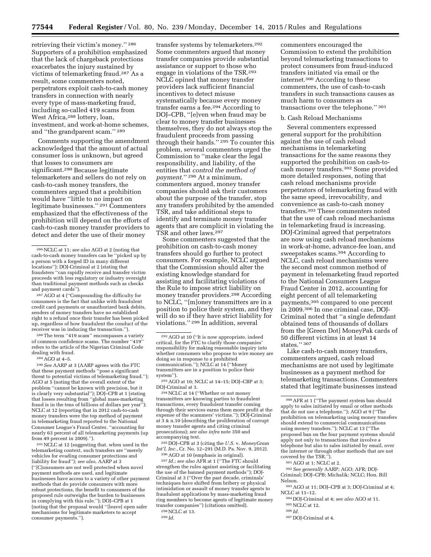retrieving their victim's money.'' 286 Supporters of a prohibition emphasized that the lack of chargeback protections exacerbates the injury sustained by victims of telemarketing fraud.287 As a result, some commenters noted, perpetrators exploit cash-to-cash money transfers in connection with nearly every type of mass-marketing fraud, including so-called 419 scams from West Africa,288 lottery, loan, investment, and work-at-home schemes, and ''the grandparent scam.'' 289

Comments supporting the amendment acknowledged that the amount of actual consumer loss is unknown, but agreed that losses to consumers are significant.290 Because legitimate telemarketers and sellers do not rely on cash-to-cash money transfers, the commenters argued that a prohibition would have ''little to no impact on legitimate businesses.'' 291 Commenters emphasized that the effectiveness of the prohibition will depend on the efforts of cash-to-cash money transfer providers to detect and deter the use of their money

287AGO at 4 (''Compounding the difficulty for consumers is the fact that unlike with fraudulent credit card payments or unauthorized bank debits, senders of money transfers have no established right to a refund once their transfer has been picked up, regardless of how fraudulent the conduct of the receiver was in inducing the transaction.'').

288The term ''419 scam'' encompasses a variety of common confidence scams. The number ''419'' refers to the article of the Nigerian Criminal Code dealing with fraud.

 $289$  AGO at 4–5.

290*See* AARP at 3 (AARP agrees with the FTC that these payment methods ''pose a significant threat to potential victims of telemarketing fraud.''); AGO at 5 (noting that the overall extent of the problem ''cannot be known with precision, but it is clearly very substantial''); DOJ–CPB at 1 (stating that losses resulting from ''global mass-marketing fraud is in the tens of billions of dollars per year"); NCLC at 12 (reporting that in 2012 cash-to-cash money transfers were the top method of payment in telemarketing fraud reported to the National Consumer League's Fraud Center, ''accounting for nearly 63 percent of all telemarketing payments (up from 49 percent in 2009).'').

291NCLC at 12 (suggesting that, when used in the telemarketing context, such transfers are ''merely vehicles for evading consumer protections and liability for fraud''); *see also,* AARP at 3 (''[C]onsumers are not well protected when novel payment methods are used, and legitimate businesses have access to a variety of other payment methods that do provide consumers with more robust protections, the benefit to consumers of the proposed rule outweighs the burden to businesses in complying with this rule.''); DOJ–CPB at 1 (noting that the proposal would ''[leave] open safer mechanisms for legitimate marketers to accept consumer payments.'').

transfer systems by telemarketers.292 Some commenters argued that money transfer companies provide substantial assistance or support to those who engage in violations of the TSR.293 NCLC opined that money transfer providers lack sufficient financial incentives to detect misuse systematically because every money transfer earns a fee.294 According to DOJ–CPB, ''[e]ven when fraud may be clear to money transfer businesses themselves, they do not always stop the fraudulent proceeds from passing through their hands.'' 295 To counter this problem, several commenters urged the Commission to ''make clear the legal responsibility, and liability, of the entities that *control the method of payment.*'' 296 At a minimum, commenters argued, money transfer companies should ask their customers about the purpose of the transfer, stop any transfers prohibited by the amended TSR, and take additional steps to identify and terminate money transfer agents that are complicit in violating the TSR and other laws.297

Some commenters suggested that the prohibition on cash-to-cash money transfers should go further to protect consumers. For example, NCLC argued that the Commission should alter the existing knowledge standard for assisting and facilitating violations of the Rule to impose strict liability on money transfer providers.298 According to NCLC, ''[m]oney transmitters are in a position to police their system, and they will do so if they have strict liability for violations.'' 299 In addition, several

 $^{293}\,$  AGO at 10; NCLC at 14–15; DOJ–CBP at 3; DOJ–Criminal at 3.

<sup>294</sup> NCLC at 14 ("Whether or not money transmitters are knowing parties to fraudulent transactions, every fraudulent transfer coming through their services earns them more profit at the expense of the scammers' victims.''); DOJ-Criminal at 3 & n.10 (describing the proliferation of corrupt money transfer agents and citing criminal prosecutions); *see also infra* note 350 and accompanying text.

295 DOJ–CPB at 3 (citing the *U.S.* v. *MoneyGram* 

<sup>296</sup> AGO at 10 (emphasis in original). <sup>297</sup> *Id.; see also* AFR at 1 ("The FTC should strengthen the rules against assisting or facilitating the use of the banned payment methods''); DOJ-Criminal at 3 (''Over the past decade, criminals' techniques have shifted from bribery or physical intimidation or assault of money transfer agents to fraudulent applications by mass-marketing fraud ring members to become agents of legitimate money transfer companies'') (citations omitted). 298NCLC at 13.

commenters encouraged the Commission to extend the prohibition beyond telemarketing transactions to protect consumers from fraud-induced transfers initiated via email or the internet.300 According to these commenters, the use of cash-to-cash transfers in such transactions causes as much harm to consumers as transactions over the telephone.'' 301

#### b. Cash Reload Mechanisms

Several commenters expressed general support for the prohibition against the use of cash reload mechanisms in telemarketing transactions for the same reasons they supported the prohibition on cash-tocash money transfers.302 Some provided more detailed responses, noting that cash reload mechanisms provide perpetrators of telemarketing fraud with the same speed, irrevocability, and convenience as cash-to-cash money transfers.303 These commenters noted that the use of cash reload mechanisms in telemarketing fraud is increasing. DOJ-Criminal agreed that perpetrators are now using cash reload mechanisms in work-at-home, advance-fee loan, and sweepstakes scams.304 According to NCLC, cash reload mechanisms were the second most common method of payment in telemarketing fraud reported to the National Consumers League Fraud Center in 2012, accounting for eight percent of all telemarketing payments,305 compared to one percent in 2009.306 In one criminal case, DOJ-Criminal noted that ''a single defendant obtained tens of thousands of dollars from the [Green Dot] MoneyPak cards of 50 different victims in at least 14 states." 307

Like cash-to-cash money transfers, commenters argued, cash reload mechanisms are not used by legitimate businesses as a payment method for telemarketing transactions. Commenters stated that legitimate businesses instead

301AGO at 1; NCLC at 2.

302*See generally* AARP; AGO; AFR; DOJ-Criminal; DOJ–CPB; Michalik; NCLC; Hon. Bill Nelson.

303AGO at 11; DOJ–CPB at 3; DOJ-Criminal at 4; NCLC at 11–12.

304 DOJ-Criminal at 4; *see also* AGO at 11.

305NCLC at 12.

306 *Id.* 

307 DOJ-Criminal at 4.

<sup>286</sup>NCLC at 11; *see also* AGO at 2 (noting that cash-to-cash money transfers can be ''picked up by a person with a forged ID in many different locations''); DOJ-Criminal at 2 (stating that fraudsters ''can rapidly receive and transfer victim proceeds with less regulatory or industry oversight than traditional payment methods such as checks and payment cards'').

<sup>292</sup>AGO at 10 (''It is now appropriate, indeed critical, for the FTC to clarify those companies' responsibility for making reasonable inquiry into whether consumers who propose to wire money are doing so in response to a prohibited communication.''); NCLC at 14 (''Money transmitters are in a position to police their

<sup>299</sup> *Id.* 

<sup>300</sup>AFR at 1 (''The payment system ban should apply to sales initiated by email or other methods that do not use a telephone.''); AGO at 9 (''The prohibition on telemarketing using money transfers should extend to commercial communications using money transfers.''); NCLC at 13 (''The proposed ban on the four payment systems should apply not only to transactions that involve a telephone but also to sales initiated by email, over the internet or through other methods that are not covered by the TSR.'').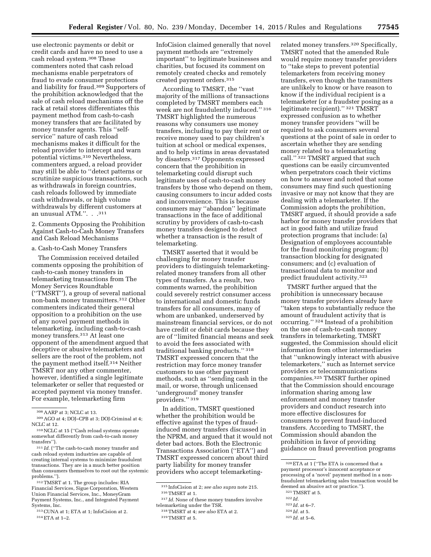use electronic payments or debit or credit cards and have no need to use a cash reload system.308 These commenters noted that cash reload mechanisms enable perpetrators of fraud to evade consumer protections and liability for fraud.<sup>309</sup> Supporters of the prohibition acknowledged that the sale of cash reload mechanisms off the rack at retail stores differentiates this payment method from cash-to-cash money transfers that are facilitated by money transfer agents. This ''selfservice'' nature of cash reload mechanisms makes it difficult for the reload provider to intercept and warn potential victims.310 Nevertheless, commenters argued, a reload provider may still be able to ''detect patterns or scrutinize suspicious transactions, such as withdrawals in foreign countries, cash reloads followed by immediate cash withdrawals, or high volume withdrawals by different customers at an unusual  $ATM$ .". .  $.311$ 

2. Comments Opposing the Prohibition Against Cash-to-Cash Money Transfers and Cash Reload Mechanisms

#### a. Cash-to-Cash Money Transfers

The Commission received detailed comments opposing the prohibition of cash-to-cash money transfers in telemarketing transactions from The Money Services Roundtable (''TMSRT''), a group of several national non-bank money transmitters.312 Other commenters indicated their general opposition to a prohibition on the use of any novel payment methods in telemarketing, including cash-to-cash money transfers.313 At least one opponent of the amendment argued that deceptive or abusive telemarketers and sellers are the root of the problem, not the payment method itself.314 Neither TMSRT nor any other commenter, however, identified a single legitimate telemarketer or seller that requested or accepted payment via money transfer. For example, telemarketing firm

309AGO at 4; DOJ–CPB at 3; DOJ-Criminal at 4; NCLC at 12.

InfoCision claimed generally that novel payment methods are ''extremely important'' to legitimate businesses and charities, but focused its comment on remotely created checks and remotely created payment orders.315

According to TMSRT, the ''vast majority of the millions of transactions completed by TMSRT members each week are not fraudulently induced.'' 316 TMSRT highlighted the numerous reasons why consumers use money transfers, including to pay their rent or receive money used to pay children's tuition at school or medical expenses, and to help victims in areas devastated by disasters.317 Opponents expressed concern that the prohibition in telemarketing could disrupt such legitimate uses of cash-to-cash money transfers by those who depend on them, causing consumers to incur added costs and inconvenience. This is because consumers may ''abandon'' legitimate transactions in the face of additional scrutiny by providers of cash-to-cash money transfers designed to detect whether a transaction is the result of telemarketing.

TMSRT asserted that it would be challenging for money transfer providers to distinguish telemarketingrelated money transfers from all other types of transfers. As a result, two comments warned, the prohibition could severely restrict consumer access to international and domestic funds transfers for all consumers, many of whom are unbanked, underserved by mainstream financial services, or do not have credit or debit cards because they are of ''limited financial means and seek to avoid the fees associated with traditional banking products.'' 318 TMSRT expressed concern that the restriction may force money transfer customers to use other payment methods, such as ''sending cash in the mail, or worse, through unlicensed 'underground' money transfer providers.'' 319

In addition, TMSRT questioned whether the prohibition would be effective against the types of fraudinduced money transfers discussed in the NPRM, and argued that it would not deter bad actors. Both the Electronic Transactions Association (''ETA'') and TMSRT expressed concern about third party liability for money transfer providers who accept telemarketing-

317 *Id.* None of these money transfers involve telemarketing under the TSR.

319TMSRT at 5.

related money transfers.320 Specifically, TMSRT noted that the amended Rule would require money transfer providers to ''take steps to prevent potential telemarketers from receiving money transfers, even though the transmitters are unlikely to know or have reason to know if the individual recipient is a telemarketer (or a fraudster posing as a legitimate recipient)." 321 TMSRT expressed confusion as to whether money transfer providers ''will be required to ask consumers several questions at the point of sale in order to ascertain whether they are sending money related to a telemarketing call.'' 322 TMSRT argued that such questions can be easily circumvented when perpetrators coach their victims on how to answer and noted that some consumers may find such questioning invasive or may not know that they are dealing with a telemarketer. If the Commission adopts the prohibition, TMSRT argued, it should provide a safe harbor for money transfer providers that act in good faith and utilize fraud protection programs that include: (a) Designation of employees accountable for the fraud monitoring program; (b) transaction blocking for designated consumers; and (c) evaluation of transactional data to monitor and predict fraudulent activity.323

TMSRT further argued that the prohibition is unnecessary because money transfer providers already have ''taken steps to substantially reduce the amount of fraudulent activity that is occurring.'' 324 Instead of a prohibition on the use of cash-to-cash money transfers in telemarketing, TMSRT suggested, the Commission should elicit information from other intermediaries that ''unknowingly interact with abusive telemarketers,'' such as Internet service providers or telecommunications companies.325 TMSRT further opined that the Commission should encourage information sharing among law enforcement and money transfer providers and conduct research into more effective disclosures for consumers to prevent fraud-induced transfers. According to TMSRT, the Commission should abandon the prohibition in favor of providing guidance on fraud prevention programs

322 *Id.* 

<sup>308</sup>AARP at 3; NCLC at 13.

<sup>310</sup>NCLC at 15 (''Cash reload systems operate somewhat differently from cash-to-cash money transfers'').

<sup>311</sup> *Id.* (''The cash-to-cash money transfer and cash reload system industries are capable of creating internal systems to minimize fraudulent transactions. They are in a much better position than consumers themselves to root out the systemic problems.'').

<sup>312</sup>TMSRT at 1. The group includes: RIA Financial Services, Sigue Corporation, Western Union Financial Services, Inc., MoneyGram Payment Systems, Inc., and Integrated Payment Systems, Inc.

<sup>313</sup>CUNA at 1; ETA at 1; InfoCision at 2. 314ETA at 1–2.

<sup>315</sup> InfoCision at 2; *see also supra* note 215. 316TMSRT at 1.

<sup>318</sup>TMSRT at 4; *see also* ETA at 2.

<sup>320</sup>ETA at 1 (''The ETA is concerned that a payment processor's innocent acceptance or processing of a 'novel' payment method in a nonfraudulent telemarketing sales transaction would be deemed an abusive act or practice.'').

<sup>321</sup>TMSRT at 5.

<sup>323</sup> *Id.* at 6–7.

<sup>324</sup> *Id.* at 5.

<sup>325</sup> *Id.* at 5–6.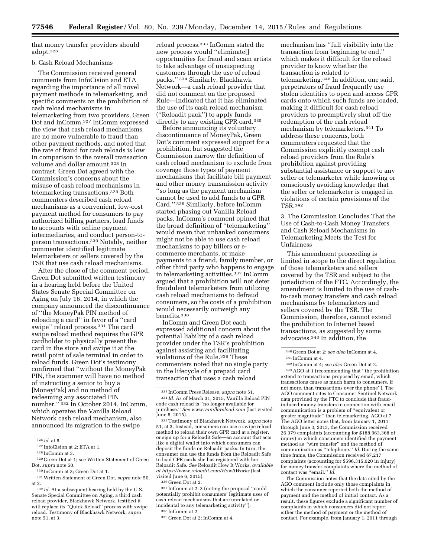that money transfer providers should adopt.326

#### b. Cash Reload Mechanisms

The Commission received general comments from InfoCision and ETA regarding the importance of all novel payment methods in telemarketing, and specific comments on the prohibition of cash reload mechanisms in telemarketing from two providers, Green Dot and InComm.327 InComm expressed the view that cash reload mechanisms are no more vulnerable to fraud than other payment methods, and noted that the rate of fraud for cash reloads is low in comparison to the overall transaction volume and dollar amount.328 In contrast, Green Dot agreed with the Commission's concerns about the misuse of cash reload mechanisms in telemarketing transactions.329 Both commenters described cash reload mechanisms as a convenient, low-cost payment method for consumers to pay authorized billing partners, load funds to accounts with online payment intermediaries, and conduct person-toperson transactions.330 Notably, neither commenter identified legitimate telemarketers or sellers covered by the TSR that use cash reload mechanisms.

After the close of the comment period, Green Dot submitted written testimony in a hearing held before the United States Senate Special Committee on Aging on July 16, 2014, in which the company announced the discontinuance of ''the MoneyPak PIN method of reloading a card'' in favor of a ''card swipe'' reload process.331 The card swipe reload method requires the GPR cardholder to physically present the card in the store and swipe it at the retail point of sale terminal in order to reload funds. Green Dot's testimony confirmed that ''without the MoneyPak PIN, the scammer will have no method of instructing a senior to buy a [MoneyPak] and no method of redeeming any associated PIN number.'' 332 In October 2014, InComm, which operates the Vanilla Reload Network cash reload mechanism, also announced its migration to the swipe

reload process.333 InComm stated the new process would ''eliminate[] opportunities for fraud and scam artists to take advantage of unsuspecting customers through the use of reload packs.'' 334 Similarly, Blackhawk Network—a cash reload provider that did not comment on the proposed Rule—indicated that it has eliminated the use of its cash reload mechanism (''Reloadit pack'') to apply funds directly to any existing GPR card.335

Before announcing its voluntary discontinuance of MoneyPak, Green Dot's comment expressed support for a prohibition, but suggested the Commission narrow the definition of cash reload mechanism to exclude from coverage those types of payment mechanisms that facilitate bill payment and other money transmission activity ''so long as the payment mechanism cannot be used to add funds to a GPR Card.'' 336 Similarly, before InComm started phasing out Vanilla Reload packs, InComm's comment opined that the broad definition of ''telemarketing'' would mean that unbanked consumers might not be able to use cash reload mechanisms to pay billers or ecommerce merchants, or make payments to a friend, family member, or other third party who happens to engage in telemarketing activities.337 InComm argued that a prohibition will not deter fraudulent telemarketers from utilizing cash reload mechanisms to defraud consumers, so the costs of a prohibition would necessarily outweigh any benefits.338

InComm and Green Dot each expressed additional concern about the potential liability of a cash reload provider under the TSR's prohibition against assisting and facilitating violations of the Rule.<sup>339</sup> These commenters noted that no single party in the lifecycle of a prepaid card transaction that uses a cash reload

337 InComm at 2–3 (noting the proposal ''could potentially prohibit consumers' legitimate uses of cash reload mechanisms that are unrelated or incidental to any telemarketing activity''). 338 InComm at 2.

mechanism has ''full visibility into the transaction from beginning to end,'' which makes it difficult for the reload provider to know whether the transaction is related to telemarketing.340 In addition, one said, perpetrators of fraud frequently use stolen identities to open and access GPR cards onto which such funds are loaded, making it difficult for cash reload providers to preemptively shut off the redemption of the cash reload mechanism by telemarketers.341 To address these concerns, both commenters requested that the Commission explicitly exempt cash reload providers from the Rule's prohibition against providing substantial assistance or support to any seller or telemarketer while knowing or consciously avoiding knowledge that the seller or telemarketer is engaged in violations of certain provisions of the TSR.342

3. The Commission Concludes That the Use of Cash-to-Cash Money Transfers and Cash Reload Mechanisms in Telemarketing Meets the Test for Unfairness

This amendment proceeding is limited in scope to the direct regulation of those telemarketers and sellers covered by the TSR and subject to the jurisdiction of the FTC. Accordingly, the amendment is limited to the use of cashto-cash money transfers and cash reload mechanisms by telemarketers and sellers covered by the TSR. The Commission, therefore, cannot extend the prohibition to Internet based transactions, as suggested by some advocates.343 In addition, the

343AGO at 1 (recommending that ''the prohibition extend to transactions proposed by email, which transactions cause as much harm to consumers, if not more, than transactions over the phone''). The AGO comment cites to Consumer Sentinel Network data provided by the FTC to conclude that fraudinduced money transfers in connection with email communication is a problem of ''equivalent or greater magnitude'' than telemarketing. AGO at 7. The AGO letter notes that, from January 1, 2011 through June 3, 2013, the Commission received 26,379 complaints (accounting for \$188,963,368 of injury) in which consumers identified the payment method as ''wire transfer'' and the method of communication as ''telephone.'' *Id.* During the same time frame, the Commission received 67,217 complaints (accounting for \$596,315,020 in injury) for money transfer complaints where the method of contact was ''email.'' *Id.* 

The Commission notes that the data cited by the AGO comment include only those complaints in which the consumer reported both the method of payment and the method of initial contact. As a result, these figures exclude a significant number of complaints in which consumers did not report either the method of payment or the method of contact. For example, from January 1, 2011 through

<sup>326</sup> *Id.* at 6.

<sup>327</sup> InfoCision at 2; ETA at 1.

<sup>328</sup> InComm at 3.

<sup>329</sup> Green Dot at 1; *see* Written Statement of Green Dot, *supra* note 50.

<sup>330</sup> InComm at 3; Green Dot at 1.

<sup>331</sup>Written Statement of Green Dot, *supra* note 50, at 2.

<sup>332</sup> *Id.* At a subsequent hearing held by the U.S. Senate Special Committee on Aging, a third cash reload provider, Blackhawk Network, testified it will replace its ''Quick Reload'' process with swipe reload. Testimony of Blackhawk Network, *supra*  note 51, at 3.

<sup>333</sup> InComm Press Release, *supra* note 51. 334 *Id.* As of March 31, 2015, Vanilla Reload PIN code cash reload is ''no longer available for purchase.'' *See [www.vanillareload.com](http://www.vanillareload.com)* (last visited

June 6, 2015). 335Testimony of Blackhawk Network, *supra* note 51, at 3. Instead, consumers can use a swipe reload method to reload their own GPR card at a register, or sign up for a Reloadit Safe—an account that acts like a digital wallet into which consumers can deposit the funds on Reloadit packs. In turn, the consumer can use the funds from the Reloadit Safe to load GPR cards she has registered with her Reloadit Safe. *See* Reloadit How It Works, *available at<https://www.reloadit.com/HowItWorks>*(last visited June 6, 2015).

<sup>336</sup> Green Dot at 2.

<sup>339</sup> Green Dot at 2; InComm at 4.

<sup>340</sup> Green Dot at 2; *see also* InComm at 4. 341 InComm at 4.

<sup>342</sup> InComm at 4; *see also* Green Dot at 2.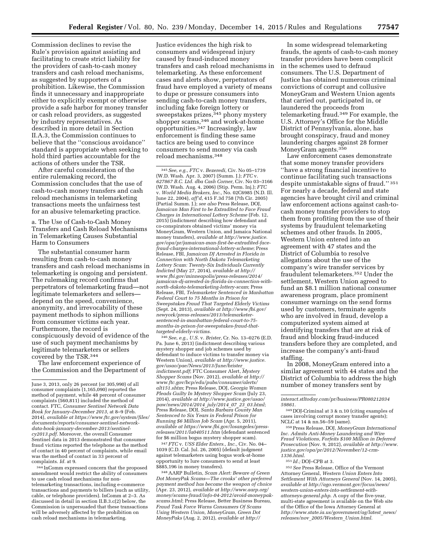Commission declines to revise the Rule's provision against assisting and facilitating to create strict liability for the providers of cash-to-cash money transfers and cash reload mechanisms, as suggested by supporters of a prohibition. Likewise, the Commission finds it unnecessary and inappropriate either to explicitly exempt or otherwise provide a safe harbor for money transfer or cash reload providers, as suggested by industry representatives. As described in more detail in Section II.A.3, the Commission continues to believe that the ''conscious avoidance'' standard is appropriate when seeking to hold third parties accountable for the actions of others under the TSR.

After careful consideration of the entire rulemaking record, the Commission concludes that the use of cash-to-cash money transfers and cash reload mechanisms in telemarketing transactions meets the unfairness test for an abusive telemarketing practice.

a. The Use of Cash-to-Cash Money Transfers and Cash Reload Mechanisms in Telemarketing Causes Substantial Harm to Consumers

The substantial consumer harm resulting from cash-to-cash money transfers and cash reload mechanisms in telemarketing is ongoing and persistent. The rulemaking record confirms that perpetrators of telemarketing fraud—not legitimate telemarketers and sellers depend on the speed, convenience, anonymity, and irrevocability of these payment methods to siphon millions from consumer victims each year. Furthermore, the record is conspicuously devoid of evidence of the use of such payment mechanisms by legitimate telemarketers or sellers covered by the TSR.344

The law enforcement experience of the Commission and the Department of

344 InComm expressed concern that the proposed amendment would restrict the ability of consumers to use cash reload mechanisms for nontelemarketing transactions, including e-commerce transactions and payments to billers (such as utility, cable, or telephone providers). InComm at 2–3. As discussed in detail in section II.B.3.c(2) below, the Commission is unpersuaded that these transactions will be adversely affected by the prohibition on cash reload mechanisms in telemarketing.

Justice evidences the high risk to consumers and widespread injury caused by fraud-induced money transfers and cash reload mechanisms in telemarketing. As these enforcement cases and alerts show, perpetrators of fraud have employed a variety of means to dupe or pressure consumers into sending cash-to-cash money transfers, including fake foreign lottery or sweepstakes prizes,<sup>345</sup> phony mystery shopper scams, 346 and work-at-home opportunities.347 Increasingly, law enforcement is finding these same tactics are being used to convince consumers to send money via cash reload mechanisms.348

*targeted-elderly-victims*. 346*See, e.g., U.S.* v. *Brister,* Cr. No. 13–0276 (E.D. Pa. June 6, 2013) (indictment describing various mystery shopper and job schemes used by defendant to induce victims to transfer money via Western Union), *available at [http://www.justice.](http://www.justice.gov/usao/pae/News/2013/June/brister_indictment.pdf) [gov/usao/pae/News/2013/June/brister](http://www.justice.gov/usao/pae/News/2013/June/brister_indictment.pdf)*\_ *[indictment.pdf](http://www.justice.gov/usao/pae/News/2013/June/brister_indictment.pdf)*; FTC Consumer Alert, *Mystery Shopper Scams* (Nov. 2012), *available at [http://](http://www.ftc.gov/bcp/edu/pubs/consumer/alerts/alt151.shtm) [www.ftc.gov/bcp/edu/pubs/consumer/alerts/](http://www.ftc.gov/bcp/edu/pubs/consumer/alerts/alt151.shtm) [alt151.shtm](http://www.ftc.gov/bcp/edu/pubs/consumer/alerts/alt151.shtm)*; Press Release, DOJ, *Georgia Woman Pleads Guilty In Mystery Shopper Scam* (July 23, 2014), *available at [http://www.justice.gov/usao/](http://www.justice.gov/usao/paw/news/2014/2014_july/2014_07_23_03.html) [paw/news/2014/2014](http://www.justice.gov/usao/paw/news/2014/2014_july/2014_07_23_03.html)*\_*july/2014*\_*07*\_*23*\_*03.html*; Press Release, DOJ, *Santa Barbara County Man Sentenced to Six Years in Federal Prison for Running \$6 Million Job Scam* (Apr. 5, 2011), *available at [https://www.fbi.gov/losangeles/press](https://www.fbi.gov/losangeles/press-releases/2011/la040511.htm)[releases/2011/la040511.htm](https://www.fbi.gov/losangeles/press-releases/2011/la040511.htm)* (defendant sentenced for \$6 million bogus mystery shopper scam).

347 *FTC* v. *USS Elder Enters., Inc.,* Civ. No. 04– 1039 (C.D. Cal. Jul. 26, 2005) (default judgment against telemarketers using bogus work-at-home opportunity to lure consumers to send at least \$885,196 in money transfers).

348AARP Bulletin, *Scam Alert: Beware of Green Dot MoneyPak Scams—The crooks' other preferred payment method has become the weapon of choice*  (Apr. 23, 2012), *available at [http://www.aarp.org/](http://www.aarp.org/money/scams-fraud/info-04-2012/avoid-moneypak-scams.html) [money/scams-fraud/info-04-2012/avoid-moneypak](http://www.aarp.org/money/scams-fraud/info-04-2012/avoid-moneypak-scams.html)[scams.html](http://www.aarp.org/money/scams-fraud/info-04-2012/avoid-moneypak-scams.html)*; Press Release, Better Business Bureau, *Fraud Task Force Warns Consumers Of Scams Using Western Union, MoneyGram, Green Dot MoneyPaks* (Aug. 2, 2012), *available at [http://](http://interact.stltoday.com/pr/business/PR08021203459861)*

In some widespread telemarketing frauds, the agents of cash-to-cash money transfer providers have been complicit in the schemes used to defraud consumers. The U.S. Department of Justice has obtained numerous criminal convictions of corrupt and collusive MoneyGram and Western Union agents that carried out, participated in, or laundered the proceeds from telemarketing fraud.349 For example, the U.S. Attorney's Office for the Middle District of Pennsylvania, alone, has brought conspiracy, fraud and money laundering charges against 28 former MoneyGram agents.350

Law enforcement cases demonstrate that some money transfer providers ''have a strong financial incentive to continue facilitating such transactions despite unmistakable signs of fraud.'' 351 For nearly a decade, federal and state agencies have brought civil and criminal law enforcement actions against cash-tocash money transfer providers to stop them from profiting from the use of their systems by fraudulent telemarketing schemes and other frauds. In 2005, Western Union entered into an agreement with 47 states and the District of Columbia to resolve allegations about the use of the company's wire transfer services by fraudulent telemarketers.352 Under the settlement, Western Union agreed to fund an \$8.1 million national consumer awareness program, place prominent consumer warnings on the send forms used by customers, terminate agents who are involved in fraud, develop a computerized system aimed at identifying transfers that are at risk of fraud and blocking fraud-induced transfers before they are completed, and increase the company's anti-fraud staffing.

In 2008, MoneyGram entered into a similar agreement with 44 states and the District of Columbia to address the high number of money transfers sent by

 $350$  Press Release, DOJ, *MoneyGram International Inc. Admits Anti-Money Laundering and Wire Fraud Violations, Forfeits \$100 Million in Deferred Prosecution* (Nov. 9, 2012), *available at [http://www.](http://www.justice.gov/opa/pr/2012/November/12-crm-1336.html) [justice.gov/opa/pr/2012/November/12-crm-](http://www.justice.gov/opa/pr/2012/November/12-crm-1336.html)[1336.html](http://www.justice.gov/opa/pr/2012/November/12-crm-1336.html)*. 351 *Id.;* DOJ–CPB at 3.

352*See* Press Release, Office of the Vermont Attorney General, *Western Union Enters Into Settlement With Attorneys General* (Nov. 14, 2005), *available at [http://ago.vermont.gov/focus/news/](http://ago.vermont.gov/focus/news/western-union-enters-into-settlement-with-attorneys-general.php) [western-union-enters-into-settlement-with](http://ago.vermont.gov/focus/news/western-union-enters-into-settlement-with-attorneys-general.php)[attorneys-general.php](http://ago.vermont.gov/focus/news/western-union-enters-into-settlement-with-attorneys-general.php)*. A copy of the five-year, multi-state agreement is available on the Web site of the Office of the Iowa Attorney General at *[http://www.state.ia.us/government/ag/latest](http://www.state.ia.us/government/ag/latest_news/releases/nov_2005/Western_Union.html)*\_*news/ releases/nov*\_*[2005/Western](http://www.state.ia.us/government/ag/latest_news/releases/nov_2005/Western_Union.html)*\_*Union.html*.

June 3, 2013, only 26 percent (or 305,990) of all consumer complaints (1,165,090) reported the method of payment, while 48 percent of consumer complaints (560,811) included the method of contact. FTC, *Consumer Sentinel Network Data Book for January–December 2013,* at 8–9 (Feb. 2014), *available at [https://www.ftc.gov/system/files/](https://www.ftc.gov/system/files/documents/reports/consumer-sentinel-network-data-book-january-december-2013/sentinel-cy2013.pdf)  [documents/reports/consumer-sentinel-network](https://www.ftc.gov/system/files/documents/reports/consumer-sentinel-network-data-book-january-december-2013/sentinel-cy2013.pdf)data-book-january-december-2013/sentinel[cy2013.pdf](https://www.ftc.gov/system/files/documents/reports/consumer-sentinel-network-data-book-january-december-2013/sentinel-cy2013.pdf)*. Moreover, the overall Consumer Sentinel data in 2013 demonstrated that consumer fraud victims reported the telephone as the method of contact in 40 percent of complaints, while email was the method of contact in 33 percent of complaints. *Id.* at 9.

<sup>345</sup>*See, e.g., FTC* v. *Bezeredi,* Civ. No 05–1739 (W.D. Wash. Apr. 3, 2007) (Summ. J.); *FTC* v. *627867 B.C. Ltd. dba Cash Corner,* Civ. No 03–3166 (W.D. Wash. Aug. 4, 2006) (Stip. Perm. Inj.); *FTC*  v. *World Media Brokers, Inc.,* No. 02C6985 (N.D. Ill. June 22, 2004), *aff'd,* 415 F.3d 758 (7th Cir. 2005) (Partial Summ. J.); *see also* Press Release, DOJ, *Jamaican Man First to be Extradited to Face Fraud Charges in International Lottery Scheme* (Feb. 12, 2015) (indictment describing how defendant and co-conspirators obtained victims' money via MoneyGram, Western Union, and Jamaica National money transfers), *available at [http://www.justice.](http://www.justice.gov/opa/pr/jamaican-man-first-be-extradited-face-fraud-charges-international-lottery-scheme) [gov/opa/pr/jamaican-man-first-be-extradited-face](http://www.justice.gov/opa/pr/jamaican-man-first-be-extradited-face-fraud-charges-international-lottery-scheme)[fraud-charges-international-lottery-scheme](http://www.justice.gov/opa/pr/jamaican-man-first-be-extradited-face-fraud-charges-international-lottery-scheme)*; Press Release, FBI, *Jamaican DJ Arrested in Florida in Connection with North Dakota Telemarketing Lottery Scam: Twenty-Six Individuals Currently Indicted* (May 27, 2014), *available at [http://](http://www.fbi.gov/minneapolis/press-releases/2014/jamaican-dj-arrested-in-florida-in-connection-with-north-dakota-telemarketing-lottery-scam) [www.fbi.gov/minneapolis/press-releases/2014/](http://www.fbi.gov/minneapolis/press-releases/2014/jamaican-dj-arrested-in-florida-in-connection-with-north-dakota-telemarketing-lottery-scam) [jamaican-dj-arrested-in-florida-in-connection-with](http://www.fbi.gov/minneapolis/press-releases/2014/jamaican-dj-arrested-in-florida-in-connection-with-north-dakota-telemarketing-lottery-scam)[north-dakota-telemarketing-lottery-scam](http://www.fbi.gov/minneapolis/press-releases/2014/jamaican-dj-arrested-in-florida-in-connection-with-north-dakota-telemarketing-lottery-scam)*; Press Release, FBI, *Telemarketer Sentenced in Manhattan Federal Court to 75 Months in Prison for Sweepstakes Fraud That Targeted Elderly Victims*  (Sept. 24, 2013), *available [at http://www.fbi.gov/](http://www.fbi.gov/newyork/press-releases/2013/telemarketer-sentenced-in-manhattan-federal-court-to-75-months-in-prison-for-sweepstakes-fraud-that-targeted-elderly-victims) newyork/press-releases/2013/telemarketersentenced-in-manhattan-federal-court-to-75 [months-in-prison-for-sweepstakes-fraud-that-](http://www.fbi.gov/newyork/press-releases/2013/telemarketer-sentenced-in-manhattan-federal-court-to-75-months-in-prison-for-sweepstakes-fraud-that-targeted-elderly-victims)*

*[interact.stltoday.com/pr/business/PR080212034](http://interact.stltoday.com/pr/business/PR08021203459861)*

*[<sup>59861</sup>](http://interact.stltoday.com/pr/business/PR08021203459861)*. 349 DOJ-Criminal at 3 & n.10 (citing examples of cases involving corrupt money transfer agents);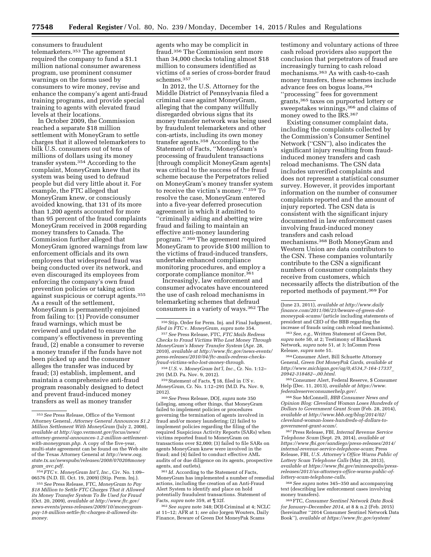consumers to fraudulent telemarketers.353 The agreement required the company to fund a \$1.1 million national consumer awareness program, use prominent consumer warnings on the forms used by consumers to wire money, revise and enhance the company's agent anti-fraud training programs, and provide special training to agents with elevated fraud levels at their locations.

In October 2009, the Commission reached a separate \$18 million settlement with MoneyGram to settle charges that it allowed telemarketers to bilk U.S. consumers out of tens of millions of dollars using its money transfer system.354 According to the complaint, MoneyGram knew that its system was being used to defraud people but did very little about it. For example, the FTC alleged that MoneyGram knew, or consciously avoided knowing, that 131 of its more than 1,200 agents accounted for more than 95 percent of the fraud complaints MoneyGram received in 2008 regarding money transfers to Canada. The Commission further alleged that MoneyGram ignored warnings from law enforcement officials and its own employees that widespread fraud was being conducted over its network, and even discouraged its employees from enforcing the company's own fraud prevention policies or taking action against suspicious or corrupt agents.355 As a result of the settlement, MoneyGram is permanently enjoined from failing to: (1) Provide consumer fraud warnings, which must be reviewed and updated to ensure the company's effectiveness in preventing fraud, (2) enable a consumer to reverse a money transfer if the funds have not been picked up and the consumer alleges the transfer was induced by fraud; (3) establish, implement, and maintain a comprehensive anti-fraud program reasonably designed to detect and prevent fraud-induced money transfers as well as money transfer

agents who may be complicit in fraud.356 The Commission sent more than 34,000 checks totaling almost \$18 million to consumers identified as victims of a series of cross-border fraud schemes.357

In 2012, the U.S. Attorney for the Middle District of Pennsylvania filed a criminal case against MoneyGram, alleging that the company willfully disregarded obvious signs that its money transfer network was being used by fraudulent telemarketers and other con-artists, including its own money transfer agents.358 According to the Statement of Facts, ''MoneyGram's processing of fraudulent transactions [through complicit MoneyGram agents] was critical to the success of the fraud scheme because the Perpetrators relied on MoneyGram's money transfer system to receive the victim's money.'' 359 To resolve the case, MoneyGram entered into a five-year deferred prosecution agreement in which it admitted to ''criminally aiding and abetting wire fraud and failing to maintain an effective anti-money laundering program.'' 360 The agreement required MoneyGram to provide \$100 million to the victims of fraud-induced transfers, undertake enhanced compliance monitoring procedures, and employ a corporate compliance monitor.361

Increasingly, law enforcement and consumer advocates have encountered the use of cash reload mechanisms in telemarketing schemes that defraud consumers in a variety of ways.362 The

358*U.S.* v. *MoneyGram Int'l, Inc.,* Cr. No. 1:12– 291 (M.D. Pa. Nov. 9, 2012).

359Statement of Facts, ¶ 18, filed in *US* v. *MoneyGram,* Cr. No. 1:12–291 (M.D. Pa. Nov. 9, 2012).

360*See* Press Release, DOJ, *supra* note 350 (alleging, among other things, that MoneyGram failed to implement policies or procedures governing the termination of agents involved in fraud and/or money laundering; (2) failed to implement policies regarding the filing of the required Suspicious Activity Reports (SARs) when victims reported fraud to MoneyGram on transactions over \$2,000; (3) failed to file SARs on agents MoneyGram knew were involved in the fraud; and (4) failed to conduct effective AML audits of or due diligence on its agents, prospective agents, and outlets).

361 *Id.* According to the Statement of Facts, MoneyGram has implemented a number of remedial actions, including the creation of an Anti-Fraud Alert System to identify and place on hold potentially fraudulent transactions. Statement of Facts, *supra* note 359, at ¶ 32f.

362*See supra* note 348; DOJ-Criminal at 4; NCLC at 11–12; AFR at 1; *see also* Jorgen Wouters, Daily Finance, Beware of Green Dot MoneyPak Scams

testimony and voluntary actions of three cash reload providers also support the conclusion that perpetrators of fraud are increasingly turning to cash reload mechanisms.363 As with cash-to-cash money transfers, these schemes include advance fees on bogus loans,364 ''processing'' fees for government grants,365 taxes on purported lottery or sweepstakes winnings,366 and claims of money owed to the IRS.367

Existing consumer complaint data, including the complaints collected by the Commission's Consumer Sentinel Network (''CSN''), also indicates the significant injury resulting from fraudinduced money transfers and cash reload mechanisms. The CSN data includes unverified complaints and does not represent a statistical consumer survey. However, it provides important information on the number of consumer complaints reported and the amount of injury reported. The CSN data is consistent with the significant injury documented in law enforcement cases involving fraud-induced money transfers and cash reload mechanisms.368 Both MoneyGram and Western Union are data contributors to the CSN. These companies voluntarily contribute to the CSN a significant numbers of consumer complaints they receive from customers, which necessarily affects the distribution of the reported methods of payment.369 For

363*See, e.g.,* Written Statement of Green Dot, *supra* note 50, at 2; Testimony of Blackhawk Network, *supra* note 51, at 3; InComm Press Release, *supra* note 51.

364Consumer Alert, Bill Schuette Attorney General, *Green Dot MoneyPak Cards, available at [http://www.michigan.gov/ag/0,4534,7-164-17337](http://www.michigan.gov/ag/0,4534,7-164-17337_20942-318482--,00.html)*\_ *20942-318482--,00.html*.

365Consumer Alert, Federal Reserve, \$ Consumer Help (Dec. 11, 2013), *available at [https://www.](https://www.federalreserveconsumerhelp.gov/) [federalreserveconsumerhelp.gov/](https://www.federalreserveconsumerhelp.gov/)*.

366Sue McConnell, *BBB Consumer News and Opinion Blog: Cleveland Woman Loses Hundreds of Dollars to Government Grant Scam* (Feb. 28, 2014), *available at [http://www.bbb.org/blog/2014/02/](http://www.bbb.org/blog/2014/02/cleveland-woman-loses-hundreds-of-dollars-to-government-grant-scam/) [cleveland-woman-loses-hundreds-of-dollars-to](http://www.bbb.org/blog/2014/02/cleveland-woman-loses-hundreds-of-dollars-to-government-grant-scam/)[government-grant-scam/](http://www.bbb.org/blog/2014/02/cleveland-woman-loses-hundreds-of-dollars-to-government-grant-scam/)*.

367Press Release, FBI, *Internal Revenue Service Telephone Scam* (Sept. 29, 2014), *available at [https://www.fbi.gov/sandiego/press-releases/2014/](https://www.fbi.gov/sandiego/press-releases/2014/internal-revenue-service-telephone-scam) [internal-revenue-service-telephone-scam](https://www.fbi.gov/sandiego/press-releases/2014/internal-revenue-service-telephone-scam)*; Press Release, FBI, *U.S. Attorney's Office Warns Public of Lottery Scam Telephone Calls* (May 28, 2013), *available at [https://www.fbi.gov/minneapolis/press](https://www.fbi.gov/minneapolis/press-releases/2013/us-attorneys-office-warns-public-of-lottery-scam-telephone-calls)[releases/2013/us-attorneys-office-warns-public-of](https://www.fbi.gov/minneapolis/press-releases/2013/us-attorneys-office-warns-public-of-lottery-scam-telephone-calls)lottery-scam-telephone-calls*.

368*See supra* notes 345–350 and accompanying text (describing law enforcement cases involving money transfers).

369FTC, *Consumer Sentinel Network Data Book for January–December 2014,* at 8 & n.2 (Feb. 2015) (hereinafter ''2014 Consumer Sentinel Network Data Book''), *available at <https://www.ftc.gov/system/>*

<sup>353</sup>*See* Press Release, Office of the Vermont Attorney General, *Attorney General Announces \$1.2 Million Settlement With MoneyGram* (July 2, 2008), *available at [http://ago.vermont.gov/focus/news/](http://ago.vermont.gov/focus/news/attorney-general-announces-1.2-million-settlement-with-moneygram.php) [attorney-general-announces-1.2-million-settlement](http://ago.vermont.gov/focus/news/attorney-general-announces-1.2-million-settlement-with-moneygram.php)[with-moneygram.php](http://ago.vermont.gov/focus/news/attorney-general-announces-1.2-million-settlement-with-moneygram.php)*. A copy of the five-year, multi-state agreement can be found on the Web site of the Texas Attorney General at *[http://www.oag.](http://www.oag.state.tx.us/newspubs/releases/2008/070208moneygram_avc.pdf) [state.tx.us/newspubs/releases/2008/070208money](http://www.oag.state.tx.us/newspubs/releases/2008/070208moneygram_avc.pdf) gram*\_*[avc.pdf](http://www.oag.state.tx.us/newspubs/releases/2008/070208moneygram_avc.pdf)*.

<sup>354</sup> *FTC* v. *MoneyGram Int'l, Inc.,* Civ. No. 1:09– 06576 (N.D. Ill. Oct. 19, 2009) (Stip. Perm. Inj.).

<sup>355</sup>*See* Press Release, FTC, *MoneyGram to Pay \$18 Million to Settle FTC Charges That it Allowed its Money Transfer System To Be Used for Fraud*  (Oct. 20, 2009), *available at [http://www.ftc.gov/](http://www.ftc.gov/news-events/press-releases/2009/10/moneygram-pay-18-million-settle-ftc-charges-it-allowed-its-money) [news-events/press-releases/2009/10/moneygram](http://www.ftc.gov/news-events/press-releases/2009/10/moneygram-pay-18-million-settle-ftc-charges-it-allowed-its-money)pay-18-million-settle-ftc-charges-it-allowed-itsmoney*.

<sup>356</sup>Stip. Order for Perm. Inj. and Final Judgment, *filed in FTC* v. *MoneyGram, supra* note 354.

<sup>357</sup>*See* Press Release, FTC, *FTC Mails Redress Checks to Fraud Victims Who Lost Money Through MoneyGram's Money Transfer System* (Apr. 28, 2010), *available at [http://www.ftc.gov/news-events/](http://www.ftc.gov/news-events/press-releases/2010/04/ftc-mails-redress-checks-fraud-victims-who-lost-money-through) [press-releases/2010/04/ftc-mails-redress-checks](http://www.ftc.gov/news-events/press-releases/2010/04/ftc-mails-redress-checks-fraud-victims-who-lost-money-through)[fraud-victims-who-lost-money-through](http://www.ftc.gov/news-events/press-releases/2010/04/ftc-mails-redress-checks-fraud-victims-who-lost-money-through)*.

<sup>(</sup>June 23, 2011), *available at [http://www.daily](http://www.dailyfinance.com/2011/06/23/beware-of-green-dot-moneypak-scams/) [finance.com/2011/06/23/beware-of-green-dot](http://www.dailyfinance.com/2011/06/23/beware-of-green-dot-moneypak-scams/)[moneypak-scams/](http://www.dailyfinance.com/2011/06/23/beware-of-green-dot-moneypak-scams/)* (article including statements of president and CEO of the BBB regarding the increase of frauds using cash reload mechanisms).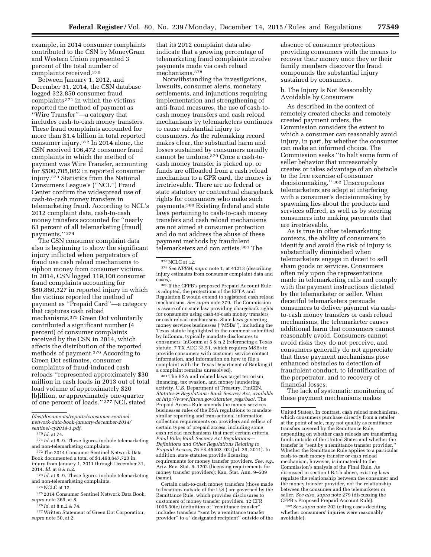example, in 2014 consumer complaints contributed to the CSN by MoneyGram and Western Union represented 3 percent of the total number of complaints received.370

Between January 1, 2012, and December 31, 2014, the CSN database logged 322,850 consumer fraud complaints 371 in which the victims reported the method of payment as ''Wire Transfer''—a category that includes cash-to-cash money transfers. These fraud complaints accounted for more than \$1.4 billion in total reported consumer injury.372 In 2014 alone, the CSN received 106,472 consumer fraud complaints in which the method of payment was Wire Transfer, accounting for \$500,705,082 in reported consumer injury.373 Statistics from the National Consumers League's (''NCL'') Fraud Center confirm the widespread use of cash-to-cash money transfers in telemarketing fraud. According to NCL's 2012 complaint data, cash-to-cash money transfers accounted for ''nearly 63 percent of all telemarketing [fraud] payments.'' 374

The CSN consumer complaint data also is beginning to show the significant injury inflicted when perpetrators of fraud use cash reload mechanisms to siphon money from consumer victims. In 2014, CSN logged 119,100 consumer fraud complaints accounting for \$80,860,327 in reported injury in which the victims reported the method of payment as ''Prepaid Card''—a category that captures cash reload mechanisms.375 Green Dot voluntarily contributed a significant number (4 percent) of consumer complaints received by the CSN in 2014, which affects the distribution of the reported methods of payment.376 According to Green Dot estimates, consumer complaints of fraud-induced cash reloads ''represented approximately \$30 million in cash loads in 2013 out of total load volume of approximately \$20 [b]illion, or approximately one-quarter of one percent of loads.'' 377 NCL stated

that its 2012 complaint data also indicate that a growing percentage of telemarketing fraud complaints involve payments made via cash reload mechanisms.378

Notwithstanding the investigations, lawsuits, consumer alerts, monetary settlements, and injunctions requiring implementation and strengthening of anti-fraud measures, the use of cash-tocash money transfers and cash reload mechanisms by telemarketers continues to cause substantial injury to consumers. As the rulemaking record makes clear, the substantial harm and losses sustained by consumers usually cannot be undone.379 Once a cash-tocash money transfer is picked up, or funds are offloaded from a cash reload mechanism to a GPR card, the money is irretrievable. There are no federal or state statutory or contractual chargeback rights for consumers who make such payments.380 Existing federal and state laws pertaining to cash-to-cash money transfers and cash reload mechanisms are not aimed at consumer protection and do not address the abuse of these payment methods by fraudulent telemarketers and con artists.381 The

380 If the CFPB's proposed Prepaid Account Rule is adopted, the protections of the EFTA and Regulation E would extend to registered cash reload mechanisms. *See supra* note 279. The Commission is aware of no state law providing chargeback rights for consumers using cash-to-cash money transfers or cash reload mechanisms. State laws governing money services businesses (''MSBs''), including the Texas statute highlighted in the comment submitted by InComm, typically mandate disclosures to consumers. InComm at 5 & n.2 (referencing a Texas statute, 7 TX ADC 33.51, which requires MSBs to provide consumers with customer service contact information, and information on how to file a complaint with the Texas Department of Banking if a complaint remains unresolved).

381The BSA and related laws target terrorism financing, tax evasion, and money laundering activity. U.S. Department of Treasury, FinCEN, *Statutes & Regulations: Bank Secrecy Act, available at [http://www.fincen.gov/statutes](http://www.fincen.gov/statutes_regs/bsa/)*\_*regs/bsa/*. The Prepaid Access Rule amends the money services businesses rules of the BSA regulations to mandate similar reporting and transactional information collection requirements on providers and sellers of certain types of prepaid access, including some cash reload mechanisms that meet certain criteria. *Final Rule; Bank Secrecy Act Regulations— Definitions and Other Regulations Relating to Prepaid Access,* 76 FR 45403–02 (Jul. 29, 2011). In addition, state statutes provide licensing requirements for money transfer providers. *See, e.g.,*  Ariz. Rev. Stat. 6–1202 (licensing requirements for money transfer providers); Kan. Stat. Ann. 9–509 (same).

Certain cash-to-cash money transfers (those made to locations outside of the U.S.) are governed by the Remittance Rule, which provides disclosures to customers of money transfer providers. 12 CFR 1005.30(e) (definition of ''remittance transfer'' includes transfers ''sent by a remittance transfer provider'' to a ''designated recipient'' outside of the absence of consumer protections providing consumers with the means to recover their money once they or their family members discover the fraud compounds the substantial injury sustained by consumers.

b. The Injury Is Not Reasonably Avoidable by Consumers

As described in the context of remotely created checks and remotely created payment orders, the Commission considers the extent to which a consumer can reasonably avoid injury, in part, by whether the consumer can make an informed choice. The Commission seeks ''to halt some form of seller behavior that unreasonably creates or takes advantage of an obstacle to the free exercise of consumer decisionmaking.'' 382 Unscrupulous telemarketers are adept at interfering with a consumer's decision making by spawning lies about the products and services offered, as well as by steering consumers into making payments that are irretrievable.

As is true in other telemarketing contexts, the ability of consumers to identify and avoid the risk of injury is substantially diminished when telemarketers engage in deceit to sell sham goods or services. Consumers often rely upon the representations made in telemarketing calls and comply with the payment instructions dictated by the telemarketer or seller. When deceitful telemarketers persuade consumers to deliver payment via cashto-cash money transfers or cash reload mechanisms, the telemarketer causes additional harm that consumers cannot reasonably avoid. Consumers cannot avoid risks they do not perceive, and consumers generally do not appreciate that these payment mechanisms pose enhanced obstacles to detection of fraudulent conduct, to identification of the perpetrator, and to recovery of financial losses.

The lack of systematic monitoring of these payment mechanisms makes

382*See supra* note 202 (citing cases deciding whether consumers' injuries were reasonably avoidable).

*files/documents/reports/consumer-sentinelnetwork-data-book-january-december-2014/*

*sentinel-cy2014-1.pdf*.

<sup>370</sup> *Id.* at 74.

 $\,^{371}$   $Id.$  at 8–9. These figures include telemarketing and non-telemarketing complaints.

<sup>372</sup>The 2014 Consumer Sentinel Network Data Book documented a total of \$1,468,647,723 in injury from January 1, 2011 through December 31,

<sup>2014.</sup> *Id.* at 8 & n.2. 373 *Id.* at 8–9. These figures include telemarketing

and non-telemarketing complaints. 374NCLC at 12.

<sup>375</sup> 2014 Consumer Sentinel Network Data Book, *supra* note 369, at 8.

<sup>376</sup> *Id.* at 8 n.2 & 74.

<sup>377</sup>Written Statement of Green Dot Corporation, *supra* note 50, at 2.

<sup>378</sup>NCLC at 12.

<sup>379</sup>*See NPRM, supra* note 1, at 41213 (describing injury estimates from consumer complaint data and cases).

United States). In contrast, cash reload mechanisms, which consumers purchase directly from a retailer at the point of sale, may not qualify as remittance transfers covered by the Remittance Rule, depending on whether cash reloads are transferring funds outside of the United States and whether the transfer is ''sent by a remittance transfer provider.'' Whether the Remittance Rule applies to a particular cash-to-cash money transfer or cash reload mechanism, however, is immaterial to the Commission's analysis of the Final Rule. As discussed in section I.B.1.b above, existing laws regulate the relationship between the consumer and the money transfer provider, not the relationship between the consumer and the telemarketer or seller. *See also, supra* note 279 (discussing the CFPB's Proposed Prepaid Account Rule).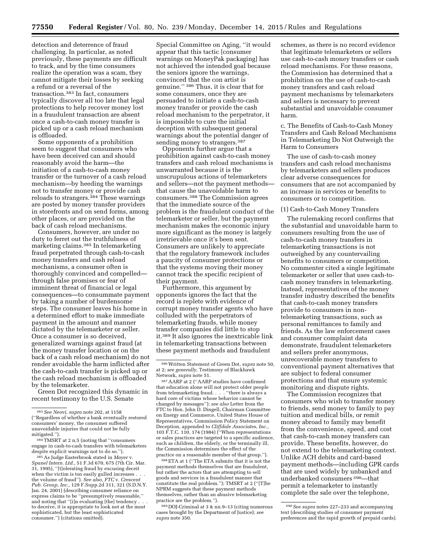detection and deterrence of fraud challenging. In particular, as noted previously, these payments are difficult to track, and by the time consumers realize the operation was a scam, they cannot mitigate their losses by seeking a refund or a reversal of the transaction.383 In fact, consumers typically discover all too late that legal protections to help recover money lost in a fraudulent transaction are absent once a cash-to-cash money transfer is picked up or a cash reload mechanism is offloaded.

Some opponents of a prohibition seem to suggest that consumers who have been deceived can and should reasonably avoid the harm—the initiation of a cash-to-cash money transfer or the turnover of a cash reload mechanism—by heeding the warnings not to transfer money or provide cash reloads to strangers.<sup>384</sup> These warnings are posted by money transfer providers in storefronts and on send forms, among other places, or are provided on the back of cash reload mechanisms.

Consumers, however, are under no duty to ferret out the truthfulness of marketing claims.385 In telemarketing fraud perpetrated through cash-to-cash money transfers and cash reload mechanisms, a consumer often is thoroughly convinced and compelled through false promises or fear of imminent threat of financial or legal consequences—to consummate payment by taking a number of burdensome steps. The consumer leaves his home in a determined effort to make immediate payment in the amount and manner dictated by the telemarketer or seller. Once a consumer is so deceived, generalized warnings against fraud (at the money transfer location or on the back of a cash reload mechanism) do not render avoidable the harm inflicted after the cash-to-cash transfer is picked up or the cash reload mechanism is offloaded by the telemarketer.

Green Dot recognized this dynamic in recent testimony to the U.S. Senate

<sup>385</sup> As Judge Easterbrook stated in *Mayer* v. *Spanel Intern. Ltd.,* 51 F.3d 670, 675 (7th Cir. Mar. 31, 1995), ''[t]olerating fraud by excusing deceit when the victim is too easily gulled increases . the volume of fraud''). *See also, FTC* v. *Crescent Pub. Group, Inc.,* 129 F.Supp.2d 311, 321 (S.D.N.Y. Jan. 24, 2001) (describing consumer reliance on express claims to be ''presumptively reasonable,'' and noting that "[i]n evaluating [the] tendency. to deceive, it is appropriate to look not at the most sophisticated, but the least sophisticated consumer.'') (citations omitted).

Special Committee on Aging, ''it would appear that this tactic [consumer warnings on MoneyPak packaging] has not achieved the intended goal because the seniors ignore the warnings, convinced that the con artist is genuine.'' 386 Thus, it is clear that for some consumers, once they are persuaded to initiate a cash-to-cash money transfer or provide the cash reload mechanism to the perpetrator, it is impossible to cure the initial deception with subsequent general warnings about the potential danger of sending money to strangers.<sup>387</sup>

Opponents further argue that a prohibition against cash-to-cash money transfers and cash reload mechanisms is unwarranted because it is the unscrupulous actions of telemarketers and sellers—not the payment methods that cause the unavoidable harm to consumers.388 The Commission agrees that the immediate source of the problem is the fraudulent conduct of the telemarketer or seller, but the payment mechanism makes the economic injury more significant as the money is largely irretrievable once it's been sent. Consumers are unlikely to appreciate that the regulatory framework includes a paucity of consumer protections or that the systems moving their money cannot track the specific recipient of their payment.

Furthermore, this argument by opponents ignores the fact that the record is replete with evidence of corrupt money transfer agents who have colluded with the perpetrators of telemarketing frauds, while money transfer companies did little to stop it.389 It also ignores the inextricable link in telemarketing transactions between these payment methods and fraudulent

388ETA at 1 (''The ETA submits that it is not the payment methods themselves that are fraudulent, but rather the actors that are attempting to sell goods and services in a fraudulent manner that constitute the real problem.''); TMSRT at 2 (''[T]he NPRM suggests that these payment methods themselves, rather than an abusive telemarketing practice are the problem.'').

389 DOJ-Criminal at 3 & nn.9–13 (citing numerous cases brought by the Department of Justice); *see supra* note 350.

schemes, as there is no record evidence that legitimate telemarketers or sellers use cash-to-cash money transfers or cash reload mechanisms. For these reasons, the Commission has determined that a prohibition on the use of cash-to-cash money transfers and cash reload payment mechanisms by telemarketers and sellers is necessary to prevent substantial and unavoidable consumer harm.

#### c. The Benefits of Cash-to-Cash Money Transfers and Cash Reload Mechanisms in Telemarketing Do Not Outweigh the Harm to Consumers

The use of cash-to-cash money transfers and cash reload mechanisms by telemarketers and sellers produces clear adverse consequences for consumers that are not accompanied by an increase in services or benefits to consumers or to competition.

#### (1) Cash-to-Cash Money Transfers

The rulemaking record confirms that the substantial and unavoidable harm to consumers resulting from the use of cash-to-cash money transfers in telemarketing transactions is not outweighed by any countervailing benefits to consumers or competition. No commenter cited a single legitimate telemarketer or seller that uses cash-tocash money transfers in telemarketing. Instead, representatives of the money transfer industry described the benefits that cash-to-cash money transfers provide to consumers in nontelemarketing transactions, such as personal remittances to family and friends. As the law enforcement cases and consumer complaint data demonstrate, fraudulent telemarketers and sellers prefer anonymous, unrecoverable money transfers to conventional payment alternatives that are subject to federal consumer protections and that ensure systemic monitoring and dispute rights.

The Commission recognizes that consumers who wish to transfer money to friends, send money to family to pay tuition and medical bills, or remit money abroad to family may benefit from the convenience, speed, and cost that cash-to-cash money transfers can provide. These benefits, however, do not extend to the telemarketing context. Unlike ACH debits and card-based payment methods—including GPR cards that are used widely by unbanked and underbanked consumers 390—that permit a telemarketer to instantly complete the sale over the telephone,

<sup>383</sup>*See Neovi, supra* note 202, at 1158 (''Regardless of whether a bank eventually restored consumers' money, the consumer suffered unavoidable injuries that could not be fully

 $384$  TMSRT at 2 n.5 (noting that "consumers engage in cash-to-cash transfers with telemarketers

<sup>386</sup>Written Statement of Green Dot, *supra* note 50, at 2; *see generally,* Testimony of Blackhawk Network, *supra* note 51.

<sup>387</sup>AARP at 2 (''AARP studies have confirmed that education alone will not protect older people<br>from telemarketing fraud.... "there is always a from telemarketing fraud. . . hard core of victims whose behavior cannot be changed by messages''); *see also* Letter from the FTC to Hon. John D. Dingell, Chairman Committee on Energy and Commerce, United States House of Representatives, Commission Policy Statement on Deception, appended to *Cliffdale Associates, Inc.,*  103 F.T.C. 110, 174 (1984) (''When representations or sales practices are targeted to a specific audience, such as children, the elderly, or the terminally ill, the Commission determines the effect of the practice on a reasonable member of that group.'').

<sup>390</sup>*See supra* notes 227–233 and accompanying text (describing studies of consumer payment preferences and the rapid growth of prepaid cards).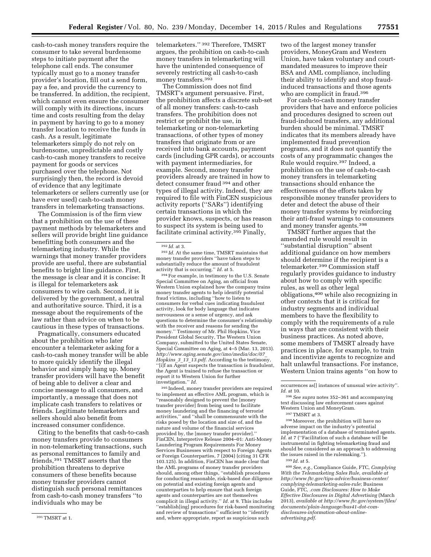cash-to-cash money transfers require the consumer to take several burdensome steps to initiate payment after the telephone call ends. The consumer typically must go to a money transfer provider's location, fill out a send form, pay a fee, and provide the currency to be transferred. In addition, the recipient, which cannot even ensure the consumer will comply with its directions, incurs time and costs resulting from the delay in payment by having to go to a money transfer location to receive the funds in cash. As a result, legitimate telemarketers simply do not rely on burdensome, unpredictable and costly cash-to-cash money transfers to receive payment for goods or services purchased over the telephone. Not surprisingly then, the record is devoid of evidence that any legitimate telemarketers or sellers currently use (or have ever used) cash-to-cash money transfers in telemarketing transactions.

The Commission is of the firm view that a prohibition on the use of these payment methods by telemarketers and sellers will provide bright line guidance benefitting both consumers and the telemarketing industry. While the warnings that money transfer providers provide are useful, there are substantial benefits to bright line guidance. First, the message is clear and it is concise: It is illegal for telemarketers ask consumers to wire cash. Second, it is delivered by the government, a neutral and authoritative source. Third, it is a message about the requirements of the law rather than advice on when to be cautious in these types of transactions.

Pragmatically, consumers educated about the prohibition who later encounter a telemarketer asking for a cash-to-cash money transfer will be able to more quickly identify the illegal behavior and simply hang up. Money transfer providers will have the benefit of being able to deliver a clear and concise message to all consumers, and importantly, a message that does not implicate cash transfers to relatives or friends. Legitimate telemarketers and sellers should also benefit from increased consumer confidence.

Citing to the benefits that cash-to-cash money transfers provide to consumers in non-telemarketing transactions, such as personal remittances to family and friends,391 TMSRT asserts that the prohibition threatens to deprive consumers of these benefits because money transfer providers cannot distinguish such personal remittances from cash-to-cash money transfers ''to individuals who may be

telemarketers.'' 392 Therefore, TMSRT argues, the prohibition on cash-to-cash money transfers in telemarketing will have the unintended consequence of severely restricting all cash-to-cash money transfers.393

The Commission does not find TMSRT's argument persuasive. First, the prohibition affects a discrete sub-set of all money transfers: cash-to-cash transfers. The prohibition does not restrict or prohibit the use, in telemarketing or non-telemarketing transactions, of other types of money transfers that originate from or are received into bank accounts, payment cards (including GPR cards), or accounts with payment intermediaries, for example. Second, money transfer providers already are trained in how to detect consumer fraud 394 and other types of illegal activity. Indeed, they are required to file with FinCEN suspicious activity reports (''SARs'') identifying certain transactions in which the provider knows, suspects, or has reason to suspect its system is being used to facilitate criminal activity.395 Finally,

393 *Id.* At the same time, TMSRT maintains that money transfer providers ''have taken steps to substantially reduce the amount of fraudulent activity that is occurring.'' *Id.* at 5.

394For example, in testimony to the U.S. Senate Special Committee on Aging, an official from Western Union explained how the company trains money transfer agents to help identify potential fraud victims, including ''how to listen to consumers for verbal cues indicating fraudulent activity, look for body language that indicates nervousness or a sense of urgency, and ask questions to determine the consumer's relationship with the receiver and reasons for sending the money.'' Testimony of Mr. Phil Hopkins, Vice President Global Security, The Western Union Company, submitted to the United States Senate, Special Committee on Aging, at 4–5 (Mar. 13, 2013). *[http://www.aging.senate.gov/imo/media/doc/07](http://www.aging.senate.gov/imo/media/doc/07_Hopkins_3_13_13.pdf)*\_ *[Hopkins](http://www.aging.senate.gov/imo/media/doc/07_Hopkins_3_13_13.pdf)*\_*3*\_*13*\_*13.pdf*. According to the testimony, ''[i]f an Agent suspects the transaction is fraudulent, the Agent is trained to refuse the transaction or report it to Western Union for further investigation.'' *Id.* 

395 Indeed, money transfer providers are required to implement an effective AML program, which is ''reasonably designed to prevent the [money transfer provider] from being used to facilitate money laundering and the financing of terrorist activities,'' and ''shall be commensurate with the risks posed by the location and size of, and the nature and volume of the financial services provided by, the [money transfer provider]. FinCEN, Interpretive Release 2004–01: Anti-Money Laundering Program Requirements For Money Services Businesses with respect to Foreign Agents or Foreign Counterparties, 7 (2004) (citing 31 CFR 103.125). In addition, FinCEN has made clear that the AML programs of money transfer providers should, among other things, ''establish procedures for conducting reasonable, risk-based due diligence on potential and existing foreign agents and counterparties to help ensure that such foreign agents and counterparties are not themselves complicit in illegal activity.'' *Id.* at 9. This includes ''establish[ing] procedures for risk-based monitoring and review of transactions'' sufficient to ''identify and, where appropriate, report as suspicious such

two of the largest money transfer providers, MoneyGram and Western Union, have taken voluntary and courtmandated measures to improve their BSA and AML compliance, including their ability to identify and stop fraudinduced transactions and those agents who are complicit in fraud.<sup>396</sup>

For cash-to-cash money transfer providers that have and enforce policies and procedures designed to screen out fraud-induced transfers, any additional burden should be minimal. TMSRT indicates that its members already have implemented fraud prevention programs, and it does not quantify the costs of any programmatic changes the Rule would require.397 Indeed, a prohibition on the use of cash-to-cash money transfers in telemarketing transactions should enhance the effectiveness of the efforts taken by responsible money transfer providers to deter and detect the abuse of their money transfer systems by reinforcing their anti-fraud warnings to consumers and money transfer agents.398

TMSRT further argues that the amended rule would result in ''substantial disruption'' absent additional guidance on how members should determine if the recipient is a telemarketer.399 Commission staff regularly provides guidance to industry about how to comply with specific rules, as well as other legal obligations,400 while also recognizing in other contexts that it is critical for industry segments and individual members to have the flexibility to comply with the requirements of a rule in ways that are consistent with their business practices. As noted above, some members of TMSRT already have practices in place, for example, to train and incentivize agents to recognize and halt unlawful transactions. For instance, Western Union trains agents ''on how to

396*See supra* notes 352–361 and accompanying text discussing law enforcement cases against Western Union and MoneyGram.

398Moreover, the prohibition will have no adverse impact on the industry's potential implementation of a database of terminated agents. Id. at 7 ("Facilitation of such a database will be instrumental in fighting telemarketing fraud and should be considered as an approach to addressing the issues raised in the rulemaking.'').

400*See, e.g.,* Compliance Guide, FTC, *Complying With the Telemarketing Sales Rule, available at [http://www.ftc.gov/tips-advice/business-center/](http://www.ftc.gov/tips-advice/business-center/complying-telemarketing-sales-rule) [complying-telemarketing-sales-rule](http://www.ftc.gov/tips-advice/business-center/complying-telemarketing-sales-rule)*; Business Guide, FTC, *.com Disclosures: How to Make Effective Disclosures in Digital Advertising* (March 2013), *available at [http://www.ftc.gov/system/files/](http://www.ftc.gov/system/files/documents/plain-language/bus41-dot-com-disclosures-information-about-online-advertising.pdf)  documents/plain-language/bus41-dot-com[disclosures-information-about-online](http://www.ftc.gov/system/files/documents/plain-language/bus41-dot-com-disclosures-information-about-online-advertising.pdf)advertising.pdf*.

<sup>391</sup>TMSRT at 1.

<sup>392</sup> *Id.* at 3.

occurrences as[] instances of unusual wire activity''. *Id.* at 10.

<sup>397</sup>TMSRT at 3.

<sup>399</sup> *Id.* at 5.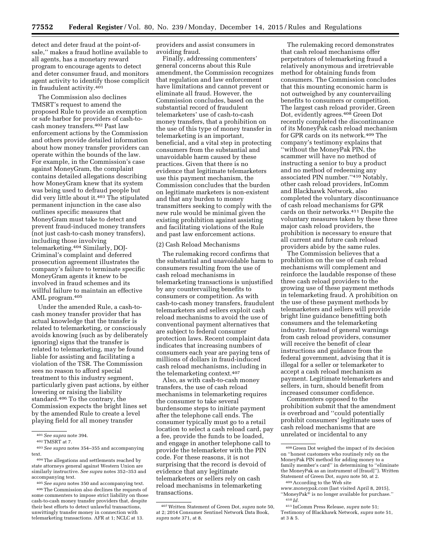detect and deter fraud at the point-ofsale,'' makes a fraud hotline available to all agents, has a monetary reward program to encourage agents to detect and deter consumer fraud, and monitors agent activity to identify those complicit in fraudulent activity.<sup>401</sup>

The Commission also declines TMSRT's request to amend the proposed Rule to provide an exemption or safe harbor for providers of cash-tocash money transfers.402 Past law enforcement actions by the Commission and others provide detailed information about how money transfer providers can operate within the bounds of the law. For example, in the Commission's case against MoneyGram, the complaint contains detailed allegations describing how MoneyGram knew that its system was being used to defraud people but did very little about it.<sup>403</sup> The stipulated permanent injunction in the case also outlines specific measures that MoneyGram must take to detect and prevent fraud-induced money transfers (not just cash-to-cash money transfers), including those involving telemarketing.404 Similarly, DOJ-Criminal's complaint and deferred prosecution agreement illustrates the company's failure to terminate specific MoneyGram agents it knew to be involved in fraud schemes and its willful failure to maintain an effective AML program.405

Under the amended Rule, a cash-tocash money transfer provider that has actual knowledge that the transfer is related to telemarketing, or consciously avoids knowing (such as by deliberately ignoring) signs that the transfer is related to telemarketing, may be found liable for assisting and facilitating a violation of the TSR. The Commission sees no reason to afford special treatment to this industry segment, particularly given past actions, by either lowering or raising the liability standard.406 To the contrary, the Commission expects the bright lines set by the amended Rule to create a level playing field for all money transfer

providers and assist consumers in avoiding fraud.

Finally, addressing commenters' general concerns about this Rule amendment, the Commission recognizes that regulation and law enforcement have limitations and cannot prevent or eliminate all fraud. However, the Commission concludes, based on the substantial record of fraudulent telemarketers' use of cash-to-cash money transfers, that a prohibition on the use of this type of money transfer in telemarketing is an important, beneficial, and a vital step in protecting consumers from the substantial and unavoidable harm caused by these practices. Given that there is no evidence that legitimate telemarketers use this payment mechanism, the Commission concludes that the burden on legitimate marketers is non-existent and that any burden to money transmitters seeking to comply with the new rule would be minimal given the existing prohibition against assisting and facilitating violations of the Rule and past law enforcement actions.

#### (2) Cash Reload Mechanisms

The rulemaking record confirms that the substantial and unavoidable harm to consumers resulting from the use of cash reload mechanisms in telemarketing transactions is unjustified by any countervailing benefits to consumers or competition. As with cash-to-cash money transfers, fraudulent telemarketers and sellers exploit cash reload mechanisms to avoid the use of conventional payment alternatives that are subject to federal consumer protection laws. Recent complaint data indicates that increasing numbers of consumers each year are paying tens of millions of dollars in fraud-induced cash reload mechanisms, including in the telemarketing context.407

Also, as with cash-to-cash money transfers, the use of cash reload mechanisms in telemarketing requires the consumer to take several burdensome steps to initiate payment after the telephone call ends. The consumer typically must go to a retail location to select a cash reload card, pay a fee, provide the funds to be loaded, and engage in another telephone call to provide the telemarketer with the PIN code. For these reasons, it is not surprising that the record is devoid of evidence that any legitimate telemarketers or sellers rely on cash reload mechanisms in telemarketing transactions.

The rulemaking record demonstrates that cash reload mechanisms offer perpetrators of telemarketing fraud a relatively anonymous and irretrievable method for obtaining funds from consumers. The Commission concludes that this mounting economic harm is not outweighed by any countervailing benefits to consumers or competition. The largest cash reload provider, Green Dot, evidently agrees.408 Green Dot recently completed the discontinuance of its MoneyPak cash reload mechanism for GPR cards on its network.409 The company's testimony explains that ''without the MoneyPak PIN, the scammer will have no method of instructing a senior to buy a product and no method of redeeming any associated PIN number.''410 Notably, other cash reload providers, InComm and Blackhawk Network, also completed the voluntary discontinuance of cash reload mechanisms for GPR cards on their networks.411 Despite the voluntary measures taken by these three major cash reload providers, the prohibition is necessary to ensure that all current and future cash reload providers abide by the same rules.

The Commission believes that a prohibition on the use of cash reload mechanisms will complement and reinforce the laudable response of these three cash reload providers to the growing use of these payment methods in telemarketing fraud. A prohibition on the use of these payment methods by telemarketers and sellers will provide bright line guidance benefitting both consumers and the telemarketing industry. Instead of general warnings from cash reload providers, consumer will receive the benefit of clear instructions and guidance from the federal government, advising that it is illegal for a seller or telemarketer to accept a cash reload mechanism as payment. Legitimate telemarketers and sellers, in turn, should benefit from increased consumer confidence.

Commenters opposed to the prohibition submit that the amendment is overbroad and ''could potentially prohibit consumers' legitimate uses of cash reload mechanisms that are unrelated or incidental to any

*[www.moneypak.com](http://www.moneypak.com)* (last visited April 8, 2015), ''MoneyPak® is no longer available for purchase.'' 410 *Id.* 

<sup>401</sup>*See supra* note 394.

<sup>402</sup>TMSRT at 7.

<sup>403</sup>*See supra* notes 354–355 and accompanying text.

<sup>404</sup>The allegations and settlements reached by state attorneys general against Western Union are similarly instructive. *See supra* notes 352–353 and accompanying text.

<sup>405</sup>*See supra* notes 350 and accompanying text.

<sup>406</sup>The Commission also declines the requests of some commenters to impose strict liability on those cash-to-cash money transfer providers that, despite their best efforts to detect unlawful transactions, unwittingly transfer money in connection with telemarketing transactions. AFR at 1; NCLC at 13.

<sup>407</sup>Written Statement of Green Dot, *supra* note 50, at 2; 2014 Consumer Sentinel Network Data Book, *supra* note 371, at 8.

<sup>408</sup> Green Dot weighed the impact of its decision on ''honest customers who routinely rely on the MoneyPak PIN method for adding money to a family member's card'' in determining to ''eliminate the MoneyPak as an instrument of [fraud]''). Written Statement of Green Dot, *supra* note 50, at 2.

<sup>409</sup>According to the Web site

<sup>411</sup> InComm Press Release, *supra* note 51; Testimony of Blackhawk Network, *supra* note 51, at 3 & 5.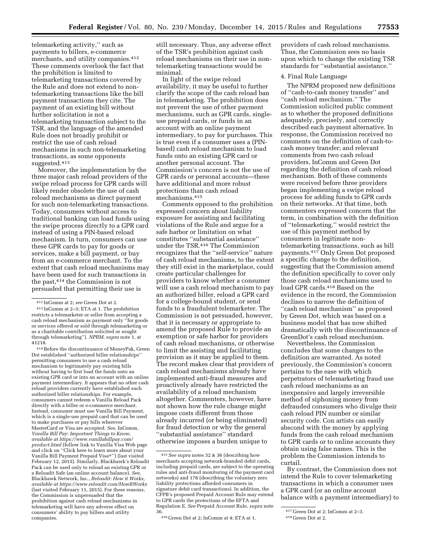telemarketing activity,'' such as payments to billers, e-commerce merchants, and utility companies.412 These comments overlook the fact that the prohibition is limited to telemarketing transactions covered by the Rule and does not extend to nontelemarketing transactions like the bill payment transactions they cite. The payment of an existing bill without further solicitation is not a telemarketing transaction subject to the TSR, and the language of the amended Rule does not broadly prohibit or restrict the use of cash reload mechanisms in such non-telemarketing transactions, as some opponents suggested.413

Moreover, the implementation by the three major cash reload providers of the swipe reload process for GPR cards will likely render obsolete the use of cash reload mechanisms as direct payment for such non-telemarketing transactions. Today, consumers without access to traditional banking can load funds using the swipe process directly to a GPR card instead of using a PIN-based reload mechanism. In turn, consumers can use these GPR cards to pay for goods or services, make a bill payment, or buy from an e-commerce merchant. To the extent that cash reload mechanisms may have been used for such transactions in the past,414 the Commission is not persuaded that permitting their use is

414Before the discontinuance of MoneyPak, Green Dot established ''authorized biller relationships'' permitting consumers to use a cash reload mechanism to legitimately pay existing bills without having to first load the funds onto an existing GPR card or into an account with an online payment intermediary. It appears that no other cash reload providers currently have established such authorized biller relationships. For example, consumers cannot redeem a Vanilla Reload Pack directly with a biller or e-commerce merchant. Instead, consumer must use Vanilla Bill Payment, which is a single-use prepaid card that can be used to make purchases or pay bills wherever MasterCard or Visa are accepted. *See,* InComm, *Vanilla Bill Pay: Important Things to Know, available at [https://www.vanillabillpay.com/](https://www.vanillabillpay.com/product.html) [product.html](https://www.vanillabillpay.com/product.html)* (follow link to Vanilla Visa Web page and click on ''Click here to learn more about your Vanilla Bill Payment Prepaid Visa®'') (last visited February 12, 2015). Similarly, Blackhawk's Reloadit Pack can be used only to reload an existing GPR or a Reloadit Safe (an online account balance). *See,*  Blackhawk Network, Inc., *Reloadit: How it Works, available at<https://www.reloadit.com/HowItWorks>* (last visited February 11, 2015). For these reasons, the Commission is unpersuaded that the prohibition against cash reload mechanisms in telemarketing will have any adverse effect on consumers' ability to pay billers and utility companies.

still necessary. Thus, any adverse effect of the TSR's prohibition against cash reload mechanisms on their use in nontelemarketing transactions would be minimal.

In light of the swipe reload availability, it may be useful to further clarify the scope of the cash reload ban in telemarketing. The prohibition does not prevent the use of other payment mechanisms, such as GPR cards, singleuse prepaid cards, or funds in an account with an online payment intermediary, to pay for purchases. This is true even if a consumer uses a (PINbased) cash reload mechanism to load funds onto an existing GPR card or another personal account. The Commission's concern is not the use of GPR cards or personal accounts—these have additional and more robust protections than cash reload mechanisms.415

Comments opposed to the prohibition expressed concern about liability exposure for assisting and facilitating violations of the Rule and argue for a safe harbor or limitation on what constitutes ''substantial assistance'' under the TSR.416 The Commission recognizes that the ''self-service'' nature of cash reload mechanisms, to the extent they still exist in the marketplace, could create particular challenges for providers to know whether a consumer will use a cash reload mechanism to pay an authorized biller, reload a GPR card for a college-bound student, or send funds to a fraudulent telemarketer. The Commission is not persuaded, however, that it is necessary or appropriate to amend the proposed Rule to provide an exemption or safe harbor for providers of cash reload mechanisms, or otherwise to limit the assisting and facilitating provision as it may be applied to them. The record makes clear that providers of cash reload mechanisms already have implemented anti-fraud measures and proactively already have restricted the availability of a reload mechanism altogether. Commenters, however, have not shown how the rule change might impose costs different from those already incurred (or being eliminated) for fraud detection or why the general ''substantial assistance'' standard otherwise imposes a burden unique to

providers of cash reload mechanisms. Thus, the Commission sees no basis upon which to change the existing TSR standards for ''substantial assistance.''

#### 4. Final Rule Language

The NPRM proposed new definitions of ''cash-to-cash money transfer'' and ''cash reload mechanism.'' The Commission solicited public comment as to whether the proposed definitions adequately, precisely, and correctly described each payment alternative. In response, the Commission received no comments on the definition of cash-tocash money transfer; and relevant comments from two cash reload providers, InComm and Green Dot regarding the definition of cash reload mechanism. Both of these comments were received before three providers began implementing a swipe reload process for adding funds to GPR cards on their networks. At that time, both commenters expressed concern that the term, in combination with the definition of ''telemarketing,'' would restrict the use of this payment method by consumers in legitimate nontelemarketing transactions, such as bill payments.417 Only Green Dot proposed a specific change to the definition, suggesting that the Commission amend the definition specifically to cover only those cash reload mechanisms used to load GPR cards.418 Based on the evidence in the record, the Commission declines to narrow the definition of ''cash reload mechanism'' as proposed by Green Dot, which was based on a business model that has now shifted dramatically with the discontinuance of GreenDot's cash reload mechanism.

Nevertheless, the Commission concludes that some changes to the definition are warranted. As noted previously, the Commission's concern pertains to the ease with which perpetrators of telemarketing fraud use cash reload mechanisms as an inexpensive and largely irreversible method of siphoning money from defrauded consumers who divulge their cash reload PIN number or similar security code. Con artists can easily abscond with the money by applying funds from the cash reload mechanism to GPR cards or to online accounts they obtain using false names. This is the problem the Commission intends to curtail.

By contrast, the Commission does not intend the Rule to cover telemarketing transactions in which a consumer uses a GPR card (or an online account balance with a payment intermediary) to

<sup>412</sup> InComm at 2; *see* Green Dot at 2.

<sup>413</sup> InComm at 2–3; ETA at 1. The prohibition restricts a telemarketer or seller from accepting a cash reload mechanism as payment only ''for goods or services offered or sold through telemarketing or as a charitable contribution solicited or sought through telemarketing''). *NPRM, supra* note 1, at 41218.

<sup>415</sup>*See supra* notes 32 & 36 (describing how merchants accepting network-branded debit cards, including prepaid cards, are subject to the operating rules and anti-fraud monitoring of the payment card networks) and 178 (describing the voluntary zero liability protections afforded consumers in signature debit card transactions). In addition, the CFPB's proposed Prepaid Account Rule may extend to GPR cards the protections of the EFTA and Regulation E. *See* Prepaid Account Rule, *supra* note 36.

<sup>416</sup> Green Dot at 2; InComm at 4; ETA at 1.

<sup>417</sup> Green Dot at 2; InComm at 2–3.

<sup>418</sup> Green Dot at 2.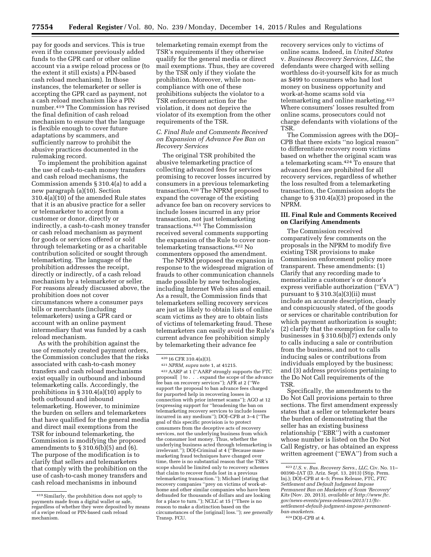pay for goods and services. This is true even if the consumer previously added funds to the GPR card or other online account via a swipe reload process or (to the extent it still exists) a PIN-based cash reload mechanism). In those instances, the telemarketer or seller is accepting the GPR card as payment, not a cash reload mechanism like a PIN number.419 The Commission has revised the final definition of cash reload mechanism to ensure that the language is flexible enough to cover future adaptations by scammers, and sufficiently narrow to prohibit the abusive practices documented in the rulemaking record.

To implement the prohibition against the use of cash-to-cash money transfers and cash reload mechanisms, the Commission amends § 310.4(a) to add a new paragraph (a)(10). Section 310.4(a)(10) of the amended Rule states that it is an abusive practice for a seller or telemarketer to accept from a customer or donor, directly or indirectly, a cash-to-cash money transfer or cash reload mechanism as payment for goods or services offered or sold through telemarketing or as a charitable contribution solicited or sought through telemarketing. The language of the prohibition addresses the receipt, directly or indirectly, of a cash reload mechanism by a telemarketer or seller. For reasons already discussed above, the prohibition does not cover circumstances where a consumer pays bills or merchants (including telemarketers) using a GPR card or account with an online payment intermediary that was funded by a cash reload mechanism.

As with the prohibition against the use of remotely created payment orders, the Commission concludes that the risks associated with cash-to-cash money transfers and cash reload mechanisms exist equally in outbound and inbound telemarketing calls. Accordingly, the prohibitions in § 310.4(a)(10) apply to both outbound and inbound telemarketing. However, to minimize the burden on sellers and telemarketers that have qualified for the general media and direct mail exemptions from the TSR for inbound telemarketing, the Commission is modifying the proposed amendments to  $\S 310.6(b)(5)$  and  $(6)$ . The purpose of the modification is to clarify that sellers and telemarketers that comply with the prohibition on the use of cash-to-cash money transfers and cash reload mechanisms in inbound

telemarketing remain exempt from the TSR's requirements if they otherwise qualify for the general media or direct mail exemptions. Thus, they are covered by the TSR only if they violate the prohibition. Moreover, while noncompliance with one of these prohibitions subjects the violator to a TSR enforcement action for the violation, it does not deprive the violator of its exemption from the other requirements of the TSR.

#### *C. Final Rule and Comments Received on Expansion of Advance Fee Ban on Recovery Services*

The original TSR prohibited the abusive telemarketing practice of collecting advanced fees for services promising to recover losses incurred by consumers in a previous telemarketing transaction.420 The NPRM proposed to expand the coverage of the existing advance fee ban on recovery services to include losses incurred in any prior transaction, not just telemarketing transactions.421 The Commission received several comments supporting the expansion of the Rule to cover nontelemarketing transactions.422 No commenters opposed the amendment.

The NPRM proposed the expansion in response to the widespread migration of frauds to other communication channels made possible by new technologies, including Internet Web sites and email. As a result, the Commission finds that telemarketers selling recovery services are just as likely to obtain lists of online scam victims as they are to obtain lists of victims of telemarketing fraud. These telemarketers can easily avoid the Rule's current advance fee prohibition simply by telemarketing their advance fee

421*NPRM, supra* note 1, at 41215.

422AARP at 1 (''AARP strongly supports the FTC proposal[ ] to . . . expand the scope of the advance fee ban on recovery services''); AFR at 2 (''We support the proposal to ban advance fees charged for purported help in recovering losses in connection with prior internet scams''); AGO at 12 (expressing support for ''broadening the ban on telemarketing recovery services to include losses incurred in any medium''); DOJ–CPB at 3–4 (''The goal of this specific provision is to protect consumers from the deceptive acts of recovery services, not the underlying business from which the consumer lost money. Thus, whether the underlying business acted through telemarketing is irrelevant.''); DOJ-Criminal at 4 (''Because massmarketing fraud techniques have changed over time, there is no substantial reason that the TSR's scope should be limited only to recovery schemes that claim to recover funds lost in a previous telemarketing transaction.''); Michael (stating that recovery companies ''prey on victims of work-athome and other similar companies who have been defrauded for thousands of dollars and are looking for a place to turn.''); NCLC at 15 (''There is no reason to make a distinction based on the circumstances of the [original] loss.''); *see generally*  Transp. FCU.

recovery services only to victims of online scams. Indeed, in *United States*  v. *Business Recovery Services, LLC,* the defendants were charged with selling worthless do-it-yourself kits for as much as \$499 to consumers who had lost money on business opportunity and work-at-home scams sold via telemarketing and online marketing.423 Where consumers' losses resulted from online scams, prosecutors could not charge defendants with violations of the TSR.

The Commission agrees with the DOJ– CPB that there exists ''no logical reason'' to differentiate recovery room victims based on whether the original scam was a telemarketing scam.424 To ensure that advanced fees are prohibited for all recovery services, regardless of whether the loss resulted from a telemarketing transaction, the Commission adopts the change to § 310.4(a)(3) proposed in the NPRM.

#### **III. Final Rule and Comments Received on Clarifying Amendments**

The Commission received comparatively few comments on the proposals in the NPRM to modify five existing TSR provisions to make Commission enforcement policy more transparent. These amendments: (1) Clarify that any recording made to memorialize a customer's or donor's express verifiable authorization (''EVA'') pursuant to § 310.3(a)(3)(ii) must include an accurate description, clearly and conspicuously stated, of the goods or services or charitable contribution for which payment authorization is sought; (2) clarify that the exemption for calls to businesses in § 310.6(b)(7) extends only to calls inducing a sale or contribution from the business, and not to calls inducing sales or contributions from individuals employed by the business; and (3) address provisions pertaining to the Do Not Call requirements of the TSR.

Specifically, the amendments to the Do Not Call provisions pertain to three sections. The first amendment expressly states that a seller or telemarketer bears the burden of demonstrating that the seller has an existing business relationship (''EBR'') with a customer whose number is listed on the Do Not Call Registry, or has obtained an express written agreement (''EWA'') from such a

<sup>419</sup>Similarly, the prohibition does not apply to payments made from a digital wallet or safe, regardless of whether they were deposited by means of a swipe reload or PIN-based cash reload mechanism.

<sup>420</sup> 16 CFR 310.4(a)(3).

<sup>423</sup>*U.S.* v. *Bus. Recovery Servs., LLC,* Civ. No. 11– 00390–JAT (D. Ariz. Sept. 13, 2013) (Stip. Perm. Inj.); DOJ–CPB at 4–5; Press Release, FTC, *FTC Settlement and Default Judgment Impose Permanent Ban on Marketers of Scam 'Recovery' Kits* (Nov. 20, 2013), *available at [http://www.ftc.](http://www.ftc.gov/news-events/press-releases/2013/11/ftc-settlement-default-judgment-impose-permanent-ban-marketers) gov/news-events/press-releases/2013/11/ftc[settlement-default-judgment-impose-permanent](http://www.ftc.gov/news-events/press-releases/2013/11/ftc-settlement-default-judgment-impose-permanent-ban-marketers)ban-marketers*.

<sup>424</sup> DOJ–CPB at 4.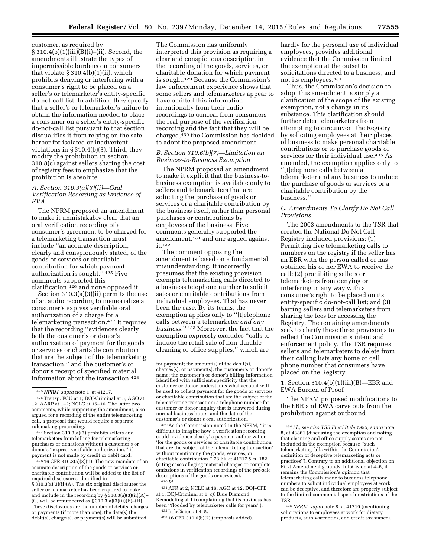customer, as required by § 310.4(b)(1)(iii)(B)(i)–(ii). Second, the amendments illustrate the types of impermissible burdens on consumers that violate  $\S 310.4(b)(1)(ii)$ , which prohibits denying or interfering with a consumer's right to be placed on a seller's or telemarketer's entity-specific do-not-call list. In addition, they specify that a seller's or telemarketer's failure to obtain the information needed to place a consumer on a seller's entity-specific do-not-call list pursuant to that section disqualifies it from relying on the safe harbor for isolated or inadvertent violations in § 310.4(b)(3). Third, they modify the prohibition in section 310.8(c) against sellers sharing the cost of registry fees to emphasize that the prohibition is absolute.

#### *A. Section 310.3(a)(3)(ii)—Oral Verification Recording as Evidence of EVA*

The NPRM proposed an amendment to make it unmistakably clear that an oral verification recording of a consumer's agreement to be charged for a telemarketing transaction must include ''an accurate description, clearly and conspicuously stated, of the goods or services or charitable contribution for which payment authorization is sought.'' 425 Five comments supported this clarification,426 and none opposed it.

Section 310.3(a)(3)(ii) permits the use of an audio recording to memorialize a consumer's express verifiable oral authorization of a charge for a telemarketing transaction.427 It requires that the recording ''evidences clearly both the customer's or donor's authorization of payment for the goods or services or charitable contribution that are the subject of the telemarketing transaction,'' and the customer's or donor's receipt of specified material information about the transaction.<sup>428</sup>

427Section 310.3(a)(3) prohibits sellers and telemarketers from billing for telemarketing purchases or donations without a customer's or donor's ''express verifiable authorization,'' if payment is not made by credit or debit card.

 $42816$  CFR 310.3(a)(3)(ii). The new mandate of an accurate description of the goods or services or charitable contribution will be added to the list of required disclosures identified in § 310.3(a)(3)(ii)(A). The six original disclosures the seller or telemarketer has been required to make and include in the recording by § 310.3(a)(3)(ii)(A)– (G) will be renumbered as  $\S 310.3(a)(3)(ii)(B)$ –(H). These disclosures are the number of debits, charges or payments (if more than one); the date(s) the debit(s), charge(s), or payment(s) will be submitted

The Commission has uniformly interpreted this provision as requiring a clear and conspicuous description in the recording of the goods, services, or charitable donation for which payment is sought.429 Because the Commission's law enforcement experience shows that some sellers and telemarketers appear to have omitted this information intentionally from their audio recordings to conceal from consumers the real purpose of the verification recording and the fact that they will be charged,<sup>430</sup> the Commission has decided to adopt the proposed amendment.

#### *B. Section 310.6(b)(7)—Limitation on Business-to-Business Exemption*

The NPRM proposed an amendment to make it explicit that the business-tobusiness exemption is available only to sellers and telemarketers that are soliciting the purchase of goods or services or a charitable contribution by the business itself, rather than personal purchases or contributions by employees of the business. Five comments generally supported the amendment,431 and one argued against it.432

The comment opposing the amendment is based on a fundamental misunderstanding. It incorrectly presumes that the existing provision exempts telemarketing calls directed to a business telephone number to solicit sales or charitable contributions from individual employees. That has never been the case. By its terms, the exemption applies only to ''[t]elephone calls between a telemarketer *and any business.*'' 433 Moreover, the fact that the exemption expressly excludes ''calls to induce the retail sale of non-durable cleaning or office supplies,'' which are

429As the Commission noted in the NPRM, ''it is difficult to imagine how a verification recording could 'evidence clearly' a payment authorization 'for the goods or services or charitable contribution that are the subject of the telemarketing transaction' without mentioning the goods, services, or charitable contribution.'' 78 FR at 41217 & n. 182 (citing cases alleging material changes or complete omissions in verification recordings of the pre-sale descriptions of the goods or services).

430 *Id.* 

431AFR at 2; NCLC at 16; AGO at 12; DOJ–CPB at 1; DOJ-Criminal at 1; *cf.* Blue Diamond Remodeling at 1 (complaining that its business has been ''flooded by telemarketer calls for years''). 432 InfoCision at 4–5.

433 16 CFR 310.6(b)(7) (emphasis added).

hardly for the personal use of individual employees, provides additional evidence that the Commission limited the exemption at the outset to solicitations directed to a business, and not its employees.434

Thus, the Commission's decision to adopt this amendment is simply a clarification of the scope of the existing exemption, not a change in its substance. This clarification should further deter telemarketers from attempting to circumvent the Registry by soliciting employees at their places of business to make personal charitable contributions or to purchase goods or services for their individual use.435 As amended, the exemption applies only to ''[t]elephone calls between a telemarketer and any business to induce the purchase of goods or services or a charitable contribution by the business.''

#### *C. Amendments To Clarify Do Not Call Provisions*

The 2003 amendments to the TSR that created the National Do Not Call Registry included provisions: (1) Permitting live telemarketing calls to numbers on the registry if the seller has an EBR with the person called or has obtained his or her EWA to receive the call; (2) prohibiting sellers or telemarketers from denying or interfering in any way with a consumer's right to be placed on its entity-specific do-not-call list; and (3) barring sellers and telemarketers from sharing the fees for accessing the Registry. The remaining amendments seek to clarify these three provisions to reflect the Commission's intent and enforcement policy. The TSR requires sellers and telemarketers to delete from their calling lists any home or cell phone number that consumers have placed on the Registry.

1. Section 310.4(b)(1)(iii)(B)—EBR and EWA Burden of Proof

The NPRM proposed modifications to the EBR and EWA carve outs from the prohibition against outbound

435*NPRM, supra* note 8, at 41219 (mentioning solicitations to employees at work for dietary products, auto warranties, and credit assistance).

<sup>425</sup>*NPRM, supra* note 1, at 41217.

<sup>426</sup>Transp. FCU at 1; DOJ-Criminal at 5; AGO at 12; AARP at 1–2; NCLC at 15–16. The latter two comments, while supporting the amendment, also argued for a recording of the entire telemarketing call, a proposal that would require a separate rulemaking proceeding.

for payment; the amount(s) of the debit(s), charges(s), or payment(s); the customer's or donor's name; the customer's or donor's billing information identified with sufficient specificity that the customer or donor understands what account will be used to collect payment for the goods or services or charitable contribution that are the subject of the telemarketing transaction; a telephone number for customer or donor inquiry that is answered during normal business hours; and the date of the customer's or donor's oral authorization.

<sup>434</sup> *Id.; see also TSR Final Rule 1995, supra* note 8, at 43861 (discussing the exemption and noting that cleaning and office supply scams are not included in the exemption because ''such telemarketing falls within the Commission's definition of deceptive telemarketing acts or practices''). Contrary to an additional objection on First Amendment grounds, InfoCision at 4–6, it remains the Commission's opinion that telemarketing calls made to business telephone numbers to solicit individual employees at work can be deceptive, and therefore are properly subject to the limited commercial speech restrictions of the TSR.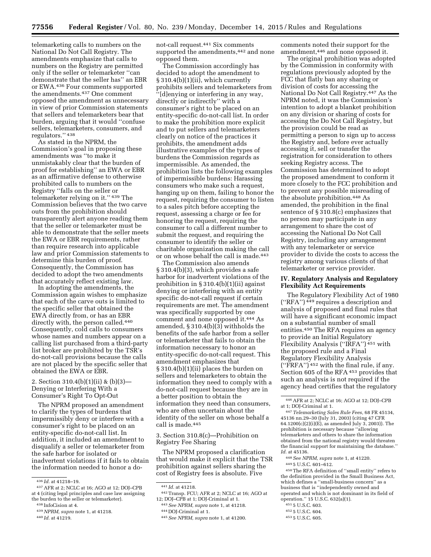telemarketing calls to numbers on the National Do Not Call Registry. The amendments emphasize that calls to numbers on the Registry are permitted only if the seller or telemarketer ''can demonstrate that the seller has'' an EBR or EWA.436 Four comments supported the amendments.437 One comment opposed the amendment as unnecessary in view of prior Commission statements that sellers and telemarketers bear that burden, arguing that it would ''confuse sellers, telemarketers, consumers, and regulators.'' 438

As stated in the NPRM, the Commission's goal in proposing these amendments was ''to make it unmistakably clear that the burden of proof for establishing'' an EWA or EBR as an affirmative defense to otherwise prohibited calls to numbers on the Registry ''falls on the seller or telemarketer relying on it.'' 439 The Commission believes that the two carve outs from the prohibition should transparently alert anyone reading them that the seller or telemarketer must be able to demonstrate that the seller meets the EWA or EBR requirements, rather than require research into applicable law and prior Commission statements to determine this burden of proof. Consequently, the Commission has decided to adopt the two amendments that accurately reflect existing law.

In adopting the amendments, the Commission again wishes to emphasize that each of the carve outs is limited to the specific seller that obtained the EWA directly from, or has an EBR directly with, the person called.440 Consequently, cold calls to consumers whose names and numbers appear on a calling list purchased from a third-party list broker are prohibited by the TSR's do-not-call provisions because the calls are not placed by the specific seller that obtained the EWA or EBR.

#### 2. Section 310.4(b)(1)(ii) & (b)(3)— Denying or Interfering With a Consumer's Right To Opt-Out

The NPRM proposed an amendment to clarify the types of burdens that impermissibly deny or interfere with a consumer's right to be placed on an entity-specific do-not-call list. In addition, it included an amendment to disqualify a seller or telemarketer from the safe harbor for isolated or inadvertent violations if it fails to obtain the information needed to honor a donot-call request.441 Six comments supported the amendments,<sup>442</sup> and none opposed them.

The Commission accordingly has decided to adopt the amendment to § 310.4(b)(1)(ii), which currently prohibits sellers and telemarketers from ''[d]enying or interfering in any way, directly or indirectly'' with a consumer's right to be placed on an entity-specific do-not-call list. In order to make the prohibition more explicit and to put sellers and telemarketers clearly on notice of the practices it prohibits, the amendment adds illustrative examples of the types of burdens the Commission regards as impermissible. As amended, the prohibition lists the following examples of impermissible burdens: Harassing consumers who make such a request, hanging up on them, failing to honor the request, requiring the consumer to listen to a sales pitch before accepting the request, assessing a charge or fee for honoring the request, requiring the consumer to call a different number to submit the request, and requiring the consumer to identify the seller or charitable organization making the call or on whose behalf the call is made.<sup>443</sup>

The Commission also amends § 310.4(b)(3), which provides a safe harbor for inadvertent violations of the prohibition in § 310.4(b)(1)(ii) against denying or interfering with an entity specific do-not-call request if certain requirements are met. The amendment was specifically supported by one comment and none opposed it.444 As amended, § 310.4(b)(3) withholds the benefits of the safe harbor from a seller or telemarketer that fails to obtain the information necessary to honor an entity-specific do-not-call request. This amendment emphasizes that § 310.4(b)(1)(ii) places the burden on sellers and telemarketers to obtain the information they need to comply with a do-not-call request because they are in a better position to obtain the information they need than consumers, who are often uncertain about the identity of the seller on whose behalf a call is made.<sup>445</sup>

3. Section 310.8(c)—Prohibition on Registry Fee Sharing

The NPRM proposed a clarification that would make it explicit that the TSR prohibition against sellers sharing the cost of Registry fees is absolute. Five

442Transp. FCU; AFR at 2; NCLC at 16; AGO at 12; DOJ–CPB at 1; DOJ-Criminal at 1.

443*See NPRM, supra* note 1, at 41218.

comments noted their support for the amendment,446 and none opposed it.

The original prohibition was adopted by the Commission in conformity with regulations previously adopted by the FCC that flatly ban any sharing or division of costs for accessing the National Do Not Call Registry.447 As the NPRM noted, it was the Commission's intention to adopt a blanket prohibition on any division or sharing of costs for accessing the Do Not Call Registry, but the provision could be read as permitting a person to sign up to access the Registry and, before ever actually accessing it, sell or transfer the registration for consideration to others seeking Registry access. The Commission has determined to adopt the proposed amendment to conform it more closely to the FCC prohibition and to prevent any possible misreading of the absolute prohibition.448 As amended, the prohibition in the final sentence of § 310.8(c) emphasizes that no person may participate in any arrangement to share the cost of accessing the National Do Not Call Registry, including any arrangement with any telemarketer or service provider to divide the costs to access the registry among various clients of that telemarketer or service provider.

#### **IV. Regulatory Analysis and Regulatory Flexibility Act Requirements**

The Regulatory Flexibility Act of 1980 (''RFA'') 449 requires a description and analysis of proposed and final rules that will have a significant economic impact on a substantial number of small entities.450 The RFA requires an agency to provide an Initial Regulatory Flexibility Analysis (''IRFA'') 451 with the proposed rule and a Final Regulatory Flexibility Analysis ("FRFA")  $452$  with the final rule, if any. Section 605 of the RFA 453 provides that such an analysis is not required if the agency head certifies that the regulatory

447*Telemarketing Sales Rule Fees,* 68 FR 45134, 45136 nn.29–30 (July 31, 2003) (citing 47 CFR 64.1200(c)(2)(i)(E), as amended July 3, 2003)). The prohibition is necessary because ''allowing telemarketers and others to share the information obtained from the national registry would threaten the financial support for maintaining the database.'' *Id.* at 45136.

- 448*See NPRM, supra* note 1, at 41220.
- 449 5 U.S.C. 601–612.

450The RFA definition of ''small entity'' refers to the definition provided in the Small Business Act, which defines a ''small-business concern'' as a business that is ''independently owned and operated and which is not dominant in its field of operation.'' 15 U.S.C. 632(a)(1).

- 451 5 U.S.C. 603.
- 452 5 U.S.C. 604.
- 453 5 U.S.C. 605.

<sup>436</sup> *Id.* at 41218–19.

<sup>437</sup>AFR at 2; NCLC at 16; AGO at 12; DOJ–CPB at 4 (citing legal principles and case law assigning the burden to the seller or telemarketer).

<sup>438</sup> InfoCision at 4.

<sup>439</sup>*NPRM, supra* note 1, at 41218.

<sup>440</sup> *Id.* at 41219.

<sup>441</sup> *Id.* at 41218.

<sup>444</sup> DOJ-Criminal at 1.

<sup>445</sup>*See NPRM, supra* note 1, at 41200.

<sup>446</sup>AFR at 2; NCLC at 16; AGO at 12; DOJ–CPB at 1; DOJ-Criminal at 1.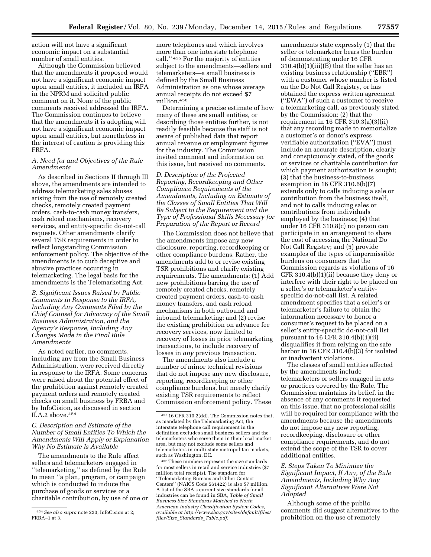action will not have a significant economic impact on a substantial number of small entities.

Although the Commission believed that the amendments it proposed would not have a significant economic impact upon small entities, it included an IRFA in the NPRM and solicited public comment on it. None of the public comments received addressed the IRFA. The Commission continues to believe that the amendments it is adopting will not have a significant economic impact upon small entities, but nonetheless in the interest of caution is providing this FRFA.

#### *A. Need for and Objectives of the Rule Amendments*

As described in Sections II through III above, the amendments are intended to address telemarketing sales abuses arising from the use of remotely created checks, remotely created payment orders, cash-to-cash money transfers, cash reload mechanisms, recovery services, and entity-specific do-not-call requests. Other amendments clarify several TSR requirements in order to reflect longstanding Commission enforcement policy. The objective of the amendments is to curb deceptive and abusive practices occurring in telemarketing. The legal basis for the amendments is the Telemarketing Act.

*B. Significant Issues Raised by Public Comments in Response to the IRFA, Including Any Comments Filed by the Chief Counsel for Advocacy of the Small Business Administration, and the Agency's Response, Including Any Changes Made in the Final Rule Amendments* 

As noted earlier, no comments, including any from the Small Business Administration, were received directly in response to the IRFA. Some concerns were raised about the potential effect of the prohibition against remotely created payment orders and remotely created checks on small business by FRBA and by InfoCision, as discussed in section II.A.2 above.454

#### *C. Description and Estimate of the Number of Small Entities To Which the Amendments Will Apply or Explanation Why No Estimate Is Available*

The amendments to the Rule affect sellers and telemarketers engaged in ''telemarketing,'' as defined by the Rule to mean ''a plan, program, or campaign which is conducted to induce the purchase of goods or services or a charitable contribution, by use of one or

454*See also supra* note 220; InfoCision at 2; FRBA–1 at 3.

more telephones and which involves more than one interstate telephone call.'' 455 For the majority of entities subject to the amendments—sellers and telemarketers—a small business is defined by the Small Business Administration as one whose average annual receipts do not exceed \$7 million.456

Determining a precise estimate of how many of these are small entities, or describing those entities further, is not readily feasible because the staff is not aware of published data that report annual revenue or employment figures for the industry. The Commission invited comment and information on this issue, but received no comments.

*D. Description of the Projected Reporting, Recordkeeping and Other Compliance Requirements of the Amendments, Including an Estimate of the Classes of Small Entities That Will Be Subject to the Requirement and the Type of Professional Skills Necessary for Preparation of the Report or Record* 

The Commission does not believe that the amendments impose any new disclosure, reporting, recordkeeping or other compliance burdens. Rather, the amendments add to or revise existing TSR prohibitions and clarify existing requirements. The amendments: (1) Add new prohibitions barring the use of remotely created checks, remotely created payment orders, cash-to-cash money transfers, and cash reload mechanisms in both outbound and inbound telemarketing; and (2) revise the existing prohibition on advance fee recovery services, now limited to recovery of losses in prior telemarketing transactions, to include recovery of losses in *any* previous transaction.

The amendments also include a number of minor technical revisions that do not impose any new disclosure, reporting, recordkeeping or other compliance burdens, but merely clarify existing TSR requirements to reflect Commission enforcement policy. These

456These numbers represent the size standards for most sellers in retail and service industries (\$7 million total receipts). The standard for ''Telemarketing Bureaus and Other Contact Centers'' (NAICS Code 561422) is also \$7 million. A list of the SBA's current size standards for all industries can be found in SBA, *Table of Small Business Size Standards Matched to North American Industry Classification System Codes, available at [http://www.sba.gov/sites/default/files/](http://www.sba.gov/sites/default/files/files/Size_Standards_Table.pdf) files/Size*\_*[Standards](http://www.sba.gov/sites/default/files/files/Size_Standards_Table.pdf)*\_*Table.pdf*.

amendments state expressly (1) that the seller or telemarketer bears the burden of demonstrating under 16 CFR 310.4(b)(1)(iii)(B) that the seller has an existing business relationship (''EBR'') with a customer whose number is listed on the Do Not Call Registry, or has obtained the express written agreement (''EWA'') of such a customer to receive a telemarketing call, as previously stated by the Commission; (2) that the requirement in  $16$  CFR  $310.3(a)(3)(ii)$ that any recording made to memorialize a customer's or donor's express verifiable authorization (''EVA'') must include an accurate description, clearly and conspicuously stated, of the goods or services or charitable contribution for which payment authorization is sought; (3) that the business-to-business exemption in 16 CFR 310.6(b)(7) extends only to calls inducing a sale or contribution from the business itself, and not to calls inducing sales or contributions from individuals employed by the business; (4) that under 16 CFR 310.8(c) no person can participate in an arrangement to share the cost of accessing the National Do Not Call Registry; and (5) provide examples of the types of impermissible burdens on consumers that the Commission regards as violations of 16 CFR 310.4(b)(1)(ii) because they deny or interfere with their right to be placed on a seller's or telemarketer's entityspecific do-not-call list. A related amendment specifies that a seller's or telemarketer's failure to obtain the information necessary to honor a consumer's request to be placed on a seller's entity-specific do-not-call list pursuant to 16 CFR 310.4(b)(1)(ii) disqualifies it from relying on the safe harbor in 16 CFR 310.4(b) $(3)$  for isolated or inadvertent violations.

The classes of small entities affected by the amendments include telemarketers or sellers engaged in acts or practices covered by the Rule. The Commission maintains its belief, in the absence of any comments it requested on this issue, that no professional skills will be required for compliance with the amendments because the amendments do not impose any new reporting, recordkeeping, disclosure or other compliance requirements, and do not extend the scope of the TSR to cover additional entities.

#### *E. Steps Taken To Minimize the Significant Impact, If Any, of the Rule Amendments, Including Why Any Significant Alternatives Were Not Adopted*

Although some of the public comments did suggest alternatives to the prohibition on the use of remotely

<sup>455</sup> 16 CFR 310.2(dd). The Commission notes that, as mandated by the Telemarketing Act, the interstate telephone call requirement in the definition excludes small business sellers and the telemarketers who serve them in their local market area, but may not exclude some sellers and telemarketers in multi-state metropolitan markets, such as Washington, DC.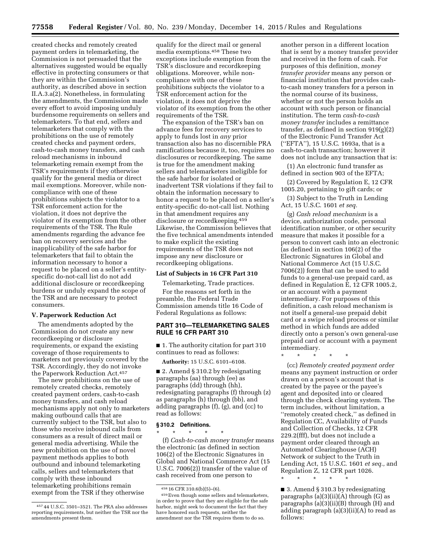created checks and remotely created payment orders in telemarketing, the Commission is not persuaded that the alternatives suggested would be equally effective in protecting consumers or that they are within the Commission's authority, as described above in section II.A.3.a(2). Nonetheless, in formulating the amendments, the Commission made every effort to avoid imposing unduly burdensome requirements on sellers and telemarketers. To that end, sellers and telemarketers that comply with the prohibitions on the use of remotely created checks and payment orders, cash-to-cash money transfers, and cash reload mechanisms in inbound telemarketing remain exempt from the TSR's requirements if they otherwise qualify for the general media or direct mail exemptions. Moreover, while noncompliance with one of these prohibitions subjects the violator to a TSR enforcement action for the violation, it does not deprive the violator of its exemption from the other requirements of the TSR. The Rule amendments regarding the advance fee ban on recovery services and the inapplicability of the safe harbor for telemarketers that fail to obtain the information necessary to honor a request to be placed on a seller's entityspecific do-not-call list do not add additional disclosure or recordkeeping burdens or unduly expand the scope of the TSR and are necessary to protect consumers.

#### **V. Paperwork Reduction Act**

The amendments adopted by the Commission do not create any new recordkeeping or disclosure requirements, or expand the existing coverage of those requirements to marketers not previously covered by the TSR. Accordingly, they do not invoke the Paperwork Reduction Act.457

The new prohibitions on the use of remotely created checks, remotely created payment orders, cash-to-cash money transfers, and cash reload mechanisms apply not only to marketers making outbound calls that are currently subject to the TSR, but also to those who receive inbound calls from consumers as a result of direct mail or general media advertising. While the new prohibition on the use of novel payment methods applies to both outbound and inbound telemarketing calls, sellers and telemarketers that comply with these inbound telemarketing prohibitions remain exempt from the TSR if they otherwise

qualify for the direct mail or general media exemptions.458 These two exceptions include exemption from the TSR's disclosure and recordkeeping obligations. Moreover, while noncompliance with one of these prohibitions subjects the violator to a TSR enforcement action for the violation, it does not deprive the violator of its exemption from the other requirements of the TSR.

The expansion of the TSR's ban on advance fees for recovery services to apply to funds lost in *any* prior transaction also has no discernible PRA ramifications because it, too, requires no disclosures or recordkeeping. The same is true for the amendment making sellers and telemarketers ineligible for the safe harbor for isolated or inadvertent TSR violations if they fail to obtain the information necessary to honor a request to be placed on a seller's entity-specific do-not-call list. Nothing in that amendment requires any disclosure or recordkeeping.459 Likewise, the Commission believes that the five technical amendments intended to make explicit the existing requirements of the TSR does not impose any new disclosure or recordkeeping obligations.

#### **List of Subjects in 16 CFR Part 310**

Telemarketing, Trade practices. For the reasons set forth in the preamble, the Federal Trade Commission amends title 16 Code of Federal Regulations as follows:

#### **PART 310—TELEMARKETING SALES RULE 16 CFR PART 310**

■ 1. The authority citation for part 310 continues to read as follows:

**Authority:** 15 U.S.C. 6101–6108.

■ 2. Amend § 310.2 by redesignating paragraphs (aa) through (ee) as paragraphs (dd) through (hh), redesignating paragraphs (f) through (z) as paragraphs (h) through (bb), and adding paragraphs (f), (g), and (cc) to read as follows:

#### **§ 310.2 Definitions.**

\* \* \* \* \* (f) *Cash-to-cash money transfer* means the electronic (as defined in section 106(2) of the Electronic Signatures in Global and National Commerce Act (15 U.S.C. 7006(2)) transfer of the value of cash received from one person to

another person in a different location that is sent by a money transfer provider and received in the form of cash. For purposes of this definition, *money transfer provider* means any person or financial institution that provides cashto-cash money transfers for a person in the normal course of its business, whether or not the person holds an account with such person or financial institution. The term *cash-to-cash money transfer* includes a remittance transfer, as defined in section  $919(g)(2)$ of the Electronic Fund Transfer Act (''EFTA''), 15 U.S.C. 1693a, that is a cash-to-cash transaction; however it does not include any transaction that is:

(1) An electronic fund transfer as defined in section 903 of the EFTA;

(2) Covered by Regulation E, 12 CFR 1005.20, pertaining to gift cards; or

(3) Subject to the Truth in Lending Act, 15 U.S.C. 1601 *et seq.* 

(g) *Cash reload mechanism* is a device, authorization code, personal identification number, or other security measure that makes it possible for a person to convert cash into an electronic (as defined in section 106(2) of the Electronic Signatures in Global and National Commerce Act (15 U.S.C. 7006(2)) form that can be used to add funds to a general-use prepaid card, as defined in Regulation E, 12 CFR 1005.2, or an account with a payment intermediary. For purposes of this definition, a cash reload mechanism is not itself a general-use prepaid debit card or a swipe reload process or similar method in which funds are added directly onto a person's own general-use prepaid card or account with a payment intermediary.

\* \* \* \* \*

(cc) *Remotely created payment order*  means any payment instruction or order drawn on a person's account that is created by the payee or the payee's agent and deposited into or cleared through the check clearing system. The term includes, without limitation, a ''remotely created check,'' as defined in Regulation CC, Availability of Funds and Collection of Checks, 12 CFR 229.2(fff), but does not include a payment order cleared through an Automated Clearinghouse (ACH) Network or subject to the Truth in Lending Act, 15 U.S.C. 1601 *et seq.,* and Regulation Z, 12 CFR part 1026.

\* \* \* \* \*

■ 3. Amend § 310.3 by redesignating paragraphs  $(a)(3)(ii)(A)$  through  $(G)$  as paragraphs (a)(3)(ii)(B) through (H) and adding paragraph (a)(3)(ii)(A) to read as follows:

<sup>457</sup> 44 U.S.C. 3501–3521. The PRA also addresses reporting requirements, but neither the TSR nor the amendments present them.

<sup>458</sup> 16 CFR 310.6(b)(5)–(6).

<sup>459</sup>Even though some sellers and telemarketers, in order to prove that they are eligible for the safe harbor, might seek to document the fact that they have honored such requests, neither the amendment nor the TSR requires them to do so.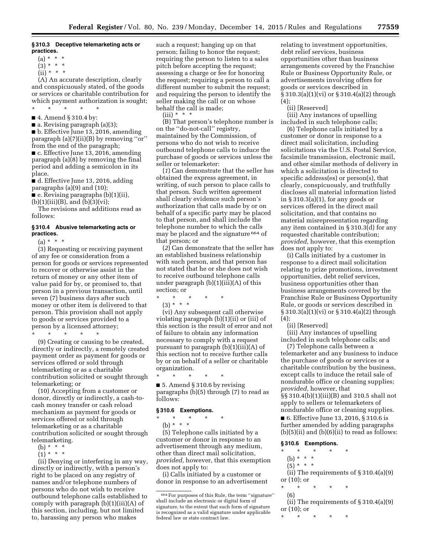#### **§ 310.3 Deceptive telemarketing acts or practices.**

- $(a) * * * *$
- $(3) * * * *$
- $(ii) * * * *$

(A) An accurate description, clearly and conspicuously stated, of the goods or services or charitable contribution for which payment authorization is sought;

- \* \* \* \* \* ■ 4. Amend § 310.4 by:
- a. Revising paragraph (a)(3);

■ b. Effective June 13, 2016, amending paragraph (a)(7)(ii)(B) by removing "or" from the end of the paragraph;

■ c. Effective June 13, 2016, amending paragraph (a)(8) by removing the final period and adding a semicolon in its place.

■ d. Effective June 13, 2016, adding paragraphs (a)(9) and (10);

■ e. Revising paragraphs (b)(1)(ii),  $(b)(1)(iii)(B)$ , and  $(b)(3)(vi)$ ;

The revisions and additions read as

follows:

#### **§ 310.4 Abusive telemarketing acts or practices.**

 $(a) * * * *$ 

(3) Requesting or receiving payment of any fee or consideration from a person for goods or services represented to recover or otherwise assist in the return of money or any other item of value paid for by, or promised to, that person in a previous transaction, until seven (7) business days after such money or other item is delivered to that person. This provision shall not apply to goods or services provided to a person by a licensed attorney;

\* \* \* \* \*

(9) Creating or causing to be created, directly or indirectly, a remotely created payment order as payment for goods or services offered or sold through telemarketing or as a charitable contribution solicited or sought through telemarketing; or

(10) Accepting from a customer or donor, directly or indirectly, a cash-tocash money transfer or cash reload mechanism as payment for goods or services offered or sold through telemarketing or as a charitable contribution solicited or sought through telemarketing.

- (b)  $* * * *$
- $(1) * * * *$

(ii) Denying or interfering in any way, directly or indirectly, with a person's right to be placed on any registry of names and/or telephone numbers of persons who do not wish to receive outbound telephone calls established to comply with paragraph (b)(1)(iii)(A) of this section, including, but not limited to, harassing any person who makes

such a request; hanging up on that person; failing to honor the request; requiring the person to listen to a sales pitch before accepting the request; assessing a charge or fee for honoring the request; requiring a person to call a different number to submit the request; and requiring the person to identify the seller making the call or on whose behalf the call is made;

 $(iii) * * * *$ 

(B) That person's telephone number is on the ''do-not-call'' registry, maintained by the Commission, of persons who do not wish to receive outbound telephone calls to induce the purchase of goods or services unless the seller or telemarketer:

(*1*) Can demonstrate that the seller has obtained the express agreement, in writing, of such person to place calls to that person. Such written agreement shall clearly evidence such person's authorization that calls made by or on behalf of a specific party may be placed to that person, and shall include the telephone number to which the calls may be placed and the signature 664 of that person; or

(*2*) Can demonstrate that the seller has an established business relationship with such person, and that person has not stated that he or she does not wish to receive outbound telephone calls under paragraph (b)(1)(iii)(A) of this section; or

\* \* \* \* \*

(3) \* \* \*

(vi) Any subsequent call otherwise violating paragraph (b)(1)(ii) or (iii) of this section is the result of error and not of failure to obtain any information necessary to comply with a request pursuant to paragraph (b)(1)(iii)(A) of this section not to receive further calls by or on behalf of a seller or charitable organization.

\* \* \* \* \* ■ 5. Amend § 310.6 by revising paragraphs (b)(5) through (7) to read as follows:

#### **§ 310.6 Exemptions.**

\* \* \* \* \*

(b) \* \* \*

(5) Telephone calls initiated by a customer or donor in response to an advertisement through any medium, other than direct mail solicitation, *provided,* however, that this exemption does not apply to:

(i) Calls initiated by a customer or donor in response to an advertisement relating to investment opportunities, debt relief services, business opportunities other than business arrangements covered by the Franchise Rule or Business Opportunity Rule, or advertisements involving offers for goods or services described in § 310.3(a)(1)(vi) or § 310.4(a)(2) through (4);

(ii) [Reserved]

(iii) Any instances of upselling included in such telephone calls;

(6) Telephone calls initiated by a customer or donor in response to a direct mail solicitation, including solicitations via the U.S. Postal Service, facsimile transmission, electronic mail, and other similar methods of delivery in which a solicitation is directed to specific address(es) or person(s), that clearly, conspicuously, and truthfully discloses all material information listed in § 310.3(a)(1), for any goods or services offered in the direct mail solicitation, and that contains no material misrepresentation regarding any item contained in § 310.3(d) for any requested charitable contribution; *provided,* however, that this exemption does not apply to:

(i) Calls initiated by a customer in response to a direct mail solicitation relating to prize promotions, investment opportunities, debt relief services, business opportunities other than business arrangements covered by the Franchise Rule or Business Opportunity Rule, or goods or services described in § 310.3(a)(1)(vi) or § 310.4(a)(2) through (4);

(ii) [Reserved]

(iii) Any instances of upselling included in such telephone calls; and

(7) Telephone calls between a telemarketer and any business to induce the purchase of goods or services or a charitable contribution by the business, except calls to induce the retail sale of nondurable office or cleaning supplies; *provided,* however, that §§ 310.4(b)(1)(iii)(B) and 310.5 shall not apply to sellers or telemarketers of nondurable office or cleaning supplies.

■ 6. Effective June 13, 2016, § 310.6 is further amended by adding paragraphs  $(b)(5)(ii)$  and  $(b)(6)(ii)$  to read as follows:

#### **§ 310.6 Exemptions.**

- $\qquad \quad \star \qquad \quad \star$
- (b) \* \* \*
- $(5) * * * *$

(ii) The requirements of § 310.4(a)(9) or (10); or

- \* \* \* \* \*
- (6)

(ii) The requirements of § 310.4(a)(9) or (10); or

\* \* \* \* \*

<sup>664</sup>For purposes of this Rule, the term ''signature'' shall include an electronic or digital form of signature, to the extent that such form of signature is recognized as a valid signature under applicable federal law or state contract law.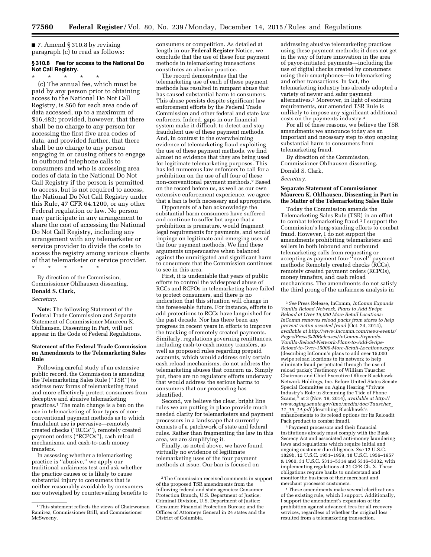■ 7. Amend § 310.8 by revising paragraph (c) to read as follows:

## **§ 310.8 Fee for access to the National Do Not Call Registry.**

\* \* \* \* \* (c) The annual fee, which must be paid by any person prior to obtaining access to the National Do Not Call Registry, is \$60 for each area code of data accessed, up to a maximum of \$16,482; provided, however, that there shall be no charge to any person for accessing the first five area codes of data, and provided further, that there shall be no charge to any person engaging in or causing others to engage in outbound telephone calls to consumers and who is accessing area codes of data in the National Do Not Call Registry if the person is permitted to access, but is not required to access, the National Do Not Call Registry under this Rule, 47 CFR 64.1200, or any other Federal regulation or law. No person may participate in any arrangement to share the cost of accessing the National Do Not Call Registry, including any arrangement with any telemarketer or service provider to divide the costs to access the registry among various clients of that telemarketer or service provider.

## \* \* \* \* \*

By direction of the Commission, Commissioner Ohlhausen dissenting. **Donald S. Clark,** 

#### *Secretary.*

**Note:** The following Statement of the Federal Trade Commission and Separate Statement of Commissioner Maureen K. Ohlhausen, Dissenting In Part, will not appear in the Code of Federal Regulations.

#### **Statement of the Federal Trade Commission on Amendments to the Telemarketing Sales Rule**

Following careful study of an extensive public record, the Commission is amending the Telemarketing Sales Rule (''TSR'') to address new forms of telemarketing fraud and more effectively protect consumers from deceptive and abusive telemarketing practices.1 The main change is a ban on the use in telemarketing of four types of nonconventional payment methods as to which fraudulent use is pervasive—remotely created checks (''RCCs''), remotely created payment orders (''RCPOs''), cash reload mechanisms, and cash-to-cash money transfers.

In assessing whether a telemarketing practice is ''abusive,'' we apply our traditional unfairness test and ask whether the practice causes or is likely to cause substantial injury to consumers that is neither reasonably avoidable by consumers nor outweighed by countervailing benefits to

consumers or competition. As detailed at length in our **Federal Register** Notice, we conclude that the use of these four payment methods in telemarketing transactions constitutes an abusive practice.

The record demonstrates that the telemarketing use of each of these payment methods has resulted in rampant abuse that has caused substantial harm to consumers. This abuse persists despite significant law enforcement efforts by the Federal Trade Commission and other federal and state law enforcers. Indeed, gaps in our financial system make it difficult to detect and stop fraudulent use of these payment methods. And, in contrast to the overwhelming evidence of telemarketing fraud exploiting the use of these payment methods, we find almost no evidence that they are being used for legitimate telemarketing purposes. This has led numerous law enforcers to call for a prohibition on the use of all four of these non-conventional payment methods.2 Based on the record before us, as well as our own extensive enforcement experience, we agree that a ban is both necessary and appropriate.

Opponents of a ban acknowledge the substantial harm consumers have suffered and continue to suffer but argue that a prohibition is premature, would fragment legal requirements for payments, and would impinge on legitimate and emerging uses of the four payment methods. We find these arguments unpersuasive when balanced against the unmitigated and significant harm to consumers that the Commission continues to see in this area.

First, it is undeniable that years of public efforts to control the widespread abuse of RCCs and RCPOs in telemarketing have failed to protect consumers, and there is no indication that this situation will change in the foreseeable future. For instance, efforts to add protections to RCCs have languished for the past decade. Nor has there been any progress in recent years in efforts to improve the tracking of remotely created payments. Similarly, regulations governing remittances, including cash-to-cash money transfers, as well as proposed rules regarding prepaid accounts, which would address only certain cash reload mechanisms, do not address the telemarketing abuses that concern us. Simply put, there are no regulatory efforts underway that would address the serious harms to consumers that our proceeding has identified.

Second, we believe the clear, bright line rules we are putting in place provide much needed clarity for telemarketers and payment processors in a landscape that currently consists of a patchwork of state and federal rules. Rather than fragmenting the law in this area, we are simplifying it.

Finally, as noted above, we have found virtually no evidence of legitimate telemarketing uses of the four payment methods at issue. Our ban is focused on

addressing abusive telemarketing practices using these payment methods; it does not get in the way of future innovation in the area of payor-initiated payments—including the use of digital checks created by consumers using their smartphones—in telemarketing and other transactions. In fact, the telemarketing industry has already adopted a variety of newer and safer payment alternatives.3 Moreover, in light of existing requirements, our amended TSR Rule is unlikely to impose any significant additional costs on the payments industry.4

For all of these reasons, we believe the TSR amendments we announce today are an important and necessary step to stop ongoing substantial harm to consumers from telemarketing fraud.

By direction of the Commission, Commissioner Ohlhausen dissenting. Donald S. Clark,

*Secretary.* 

#### **Separate Statement of Commissioner Maureen K. Ohlhausen, Dissenting in Part in the Matter of the Telemarketing Sales Rule**

Today the Commission amends the Telemarketing Sales Rule (TSR) in an effort to combat telemarketing fraud.<sup>1</sup> I support the Commission's long-standing efforts to combat fraud. However, I do not support the amendments prohibiting telemarketers and sellers in both inbound and outbound telemarketing calls from requesting or accepting as payment four "novel" payment methods: Remotely created checks (RCCs), remotely created payment orders (RCPOs), money transfers, and cash reload mechanisms. The amendments do not satisfy the third prong of the unfairness analysis in

4Payment processors and their financial institutions already must comply with the Bank Secrecy Act and associated anti-money laundering laws and regulations which require initial and ongoing customer due diligence. *See* 12 U.S.C. 1829b, 12 U.S.C. 1951–1959, 18 U.S.C. 1956–1957 & 1960, 31 U.S.C. 5311–5314 and 5316–5332, with implementing regulations at 31 CFR Ch. X. These obligations require banks to understand and monitor the business of their merchant and merchant processor customers.

<sup>1</sup>These amendments make several clarifications of the existing rule, which I support. Additionally, I support the amendment's expansion of the prohibition against advanced fees for all recovery services, regardless of whether the original loss resulted from a telemarketing transaction.

<sup>1</sup>This statement reflects the views of Chairwoman Ramirez, Commissioner Brill, and Commissioner McSweeny.

<sup>2</sup>The Commission received comments in support of the proposed TSR amendments from the following federal and state agencies: Consumer Protection Branch, U.S. Department of Justice; Criminal Division, U.S. Department of Justice; Consumer Financial Protection Bureau; and the Offices of Attorneys General in 24 states and the District of Columbia.

<sup>3</sup>*See* Press Release, InComm, *InComm Expands Vanilla Reload Network, Plans to Add Swipe Reload at Over 15,000 More Retail Locations: InComm removes reload packs from stores to help prevent victim assisted fraud* (Oct. 24, 2014), *available at [http://www.incomm.com/news-events/](http://www.incomm.com/news-events/Pages/Press%20Releases/InComm-Expands-Vanilla-Reload-Network-Plans-to-Add-Swipe-Reload-to-Over-15000-More-Retail-Locations.aspx) [Pages/Press%20Releases/InComm-Expands-](http://www.incomm.com/news-events/Pages/Press%20Releases/InComm-Expands-Vanilla-Reload-Network-Plans-to-Add-Swipe-Reload-to-Over-15000-More-Retail-Locations.aspx)[Vanilla-Reload-Network-Plans-to-Add-Swipe-](http://www.incomm.com/news-events/Pages/Press%20Releases/InComm-Expands-Vanilla-Reload-Network-Plans-to-Add-Swipe-Reload-to-Over-15000-More-Retail-Locations.aspx)[Reload-to-Over-15000-More-Retail-Locations.aspx](http://www.incomm.com/news-events/Pages/Press%20Releases/InComm-Expands-Vanilla-Reload-Network-Plans-to-Add-Swipe-Reload-to-Over-15000-More-Retail-Locations.aspx)*  (describing InComm's plans to add over 15,000 swipe reload locations to its network to help eliminate fraud perpetrated through the use of reload packs); Testimony of William Tauscher Chairman and Chief Executive Officer Blackhawk Network Holdings, Inc. Before United States Senate Special Committee on Aging Hearing ''Private Industry's Role in Stemming the Tide of Phone Scams,'' at 3 (Nov. 19, 2014), *available at [http://](http://www.aging.senate.gov/imo/media/doc/Tauscher_11_19_14.pdf) [www.aging.senate.gov/imo/media/doc/Tauscher](http://www.aging.senate.gov/imo/media/doc/Tauscher_11_19_14.pdf)*\_ *11*\_*19*\_*[14.pdf](http://www.aging.senate.gov/imo/media/doc/Tauscher_11_19_14.pdf)* (describing Blackhawk's enhancements to its reload options for its Reloadit Pack product to combat fraud).